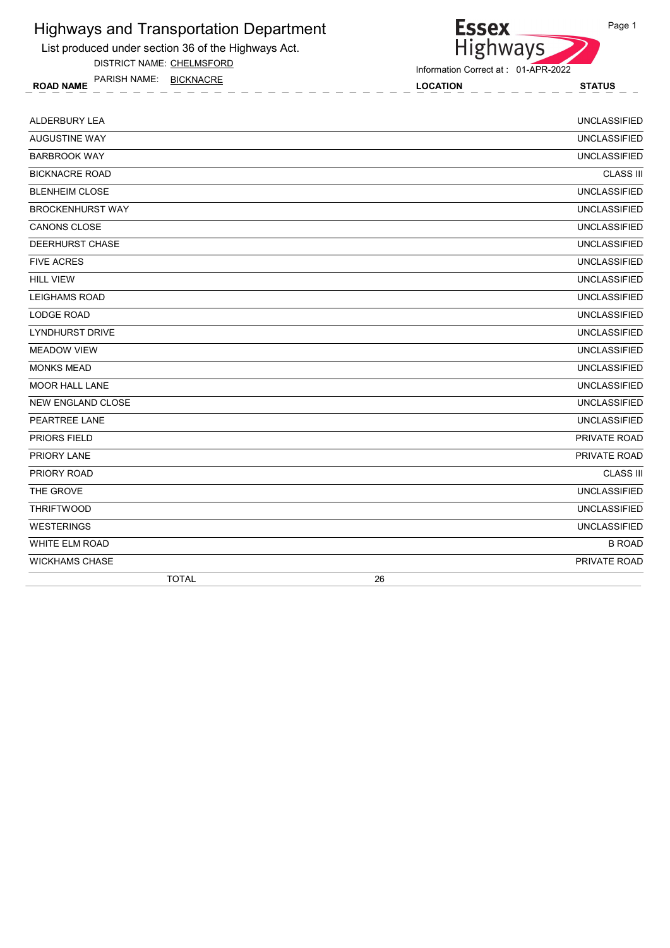

List produced under section 36 of the Highways Act.

DISTRICT NAME: CHELMSFORD

ROAD NAME LOCATION STATUS PARISH NAME: BICKNACRE

Information Correct at : 01-APR-2022

| ALDERBURY LEA            | <b>UNCLASSIFIED</b> |
|--------------------------|---------------------|
| <b>AUGUSTINE WAY</b>     | <b>UNCLASSIFIED</b> |
| <b>BARBROOK WAY</b>      | <b>UNCLASSIFIED</b> |
| <b>BICKNACRE ROAD</b>    | <b>CLASS III</b>    |
| <b>BLENHEIM CLOSE</b>    | <b>UNCLASSIFIED</b> |
| <b>BROCKENHURST WAY</b>  | <b>UNCLASSIFIED</b> |
| <b>CANONS CLOSE</b>      | <b>UNCLASSIFIED</b> |
| DEERHURST CHASE          | <b>UNCLASSIFIED</b> |
| <b>FIVE ACRES</b>        | <b>UNCLASSIFIED</b> |
| <b>HILL VIEW</b>         | <b>UNCLASSIFIED</b> |
| <b>LEIGHAMS ROAD</b>     | <b>UNCLASSIFIED</b> |
| <b>LODGE ROAD</b>        | <b>UNCLASSIFIED</b> |
| <b>LYNDHURST DRIVE</b>   | <b>UNCLASSIFIED</b> |
| <b>MEADOW VIEW</b>       | <b>UNCLASSIFIED</b> |
| <b>MONKS MEAD</b>        | <b>UNCLASSIFIED</b> |
| <b>MOOR HALL LANE</b>    | <b>UNCLASSIFIED</b> |
| <b>NEW ENGLAND CLOSE</b> | <b>UNCLASSIFIED</b> |
| PEARTREE LANE            | <b>UNCLASSIFIED</b> |
| <b>PRIORS FIELD</b>      | PRIVATE ROAD        |
| PRIORY LANE              | PRIVATE ROAD        |
| PRIORY ROAD              | <b>CLASS III</b>    |
| THE GROVE                | <b>UNCLASSIFIED</b> |
| <b>THRIFTWOOD</b>        | <b>UNCLASSIFIED</b> |
| <b>WESTERINGS</b>        | <b>UNCLASSIFIED</b> |
| <b>WHITE ELM ROAD</b>    | <b>B ROAD</b>       |
| <b>WICKHAMS CHASE</b>    | PRIVATE ROAD        |
| <b>TOTAL</b>             | 26                  |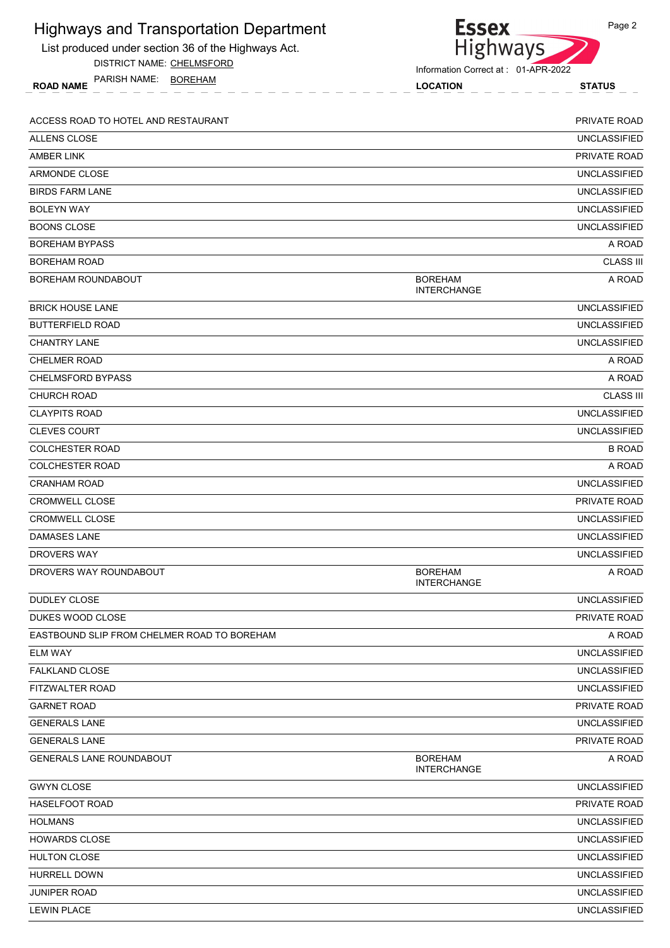| <b>Highways and Transportation Department</b>       | <b>Essex</b>                         | Page 2              |
|-----------------------------------------------------|--------------------------------------|---------------------|
| List produced under section 36 of the Highways Act. | Highways                             |                     |
| DISTRICT NAME: CHELMSFORD                           | Information Correct at: 01-APR-2022  |                     |
| PARISH NAME: BOREHAM<br><b>ROAD NAME</b>            | <b>LOCATION</b>                      | <b>STATUS</b>       |
| ACCESS ROAD TO HOTEL AND RESTAURANT                 |                                      | PRIVATE ROAD        |
| <b>ALLENS CLOSE</b>                                 |                                      | <b>UNCLASSIFIED</b> |
| <b>AMBER LINK</b>                                   |                                      | PRIVATE ROAD        |
| <b>ARMONDE CLOSE</b>                                |                                      | <b>UNCLASSIFIED</b> |
| <b>BIRDS FARM LANE</b>                              |                                      | <b>UNCLASSIFIED</b> |
| <b>BOLEYN WAY</b>                                   |                                      | <b>UNCLASSIFIED</b> |
| <b>BOONS CLOSE</b>                                  |                                      | <b>UNCLASSIFIED</b> |
| <b>BOREHAM BYPASS</b>                               |                                      | A ROAD              |
| <b>BOREHAM ROAD</b>                                 |                                      | <b>CLASS III</b>    |
| BOREHAM ROUNDABOUT                                  | <b>BOREHAM</b><br><b>INTERCHANGE</b> | A ROAD              |
| <b>BRICK HOUSE LANE</b>                             |                                      | <b>UNCLASSIFIED</b> |
| <b>BUTTERFIELD ROAD</b>                             |                                      | <b>UNCLASSIFIED</b> |
| <b>CHANTRY LANE</b>                                 |                                      | <b>UNCLASSIFIED</b> |
| CHELMER ROAD                                        |                                      | A ROAD              |
| <b>CHELMSFORD BYPASS</b>                            |                                      | A ROAD              |
| <b>CHURCH ROAD</b>                                  |                                      | <b>CLASS III</b>    |
| <b>CLAYPITS ROAD</b>                                |                                      | <b>UNCLASSIFIED</b> |
| <b>CLEVES COURT</b>                                 |                                      | <b>UNCLASSIFIED</b> |
| <b>COLCHESTER ROAD</b>                              |                                      | <b>B ROAD</b>       |
| <b>COLCHESTER ROAD</b>                              |                                      | A ROAD              |
| <b>CRANHAM ROAD</b>                                 |                                      | <b>UNCLASSIFIED</b> |
| CROMWELL CLOSE                                      |                                      | PRIVATE ROAD        |
| <b>CROMWELL CLOSE</b>                               |                                      | <b>UNCLASSIFIED</b> |
| DAMASES LANE                                        |                                      | <b>UNCLASSIFIED</b> |
| <b>DROVERS WAY</b>                                  |                                      | <b>UNCLASSIFIED</b> |
| DROVERS WAY ROUNDABOUT                              | <b>BOREHAM</b><br><b>INTERCHANGE</b> | A ROAD              |
| <b>DUDLEY CLOSE</b>                                 |                                      | <b>UNCLASSIFIED</b> |
| DUKES WOOD CLOSE                                    |                                      | PRIVATE ROAD        |
| EASTBOUND SLIP FROM CHELMER ROAD TO BOREHAM         |                                      | A ROAD              |
| <b>ELM WAY</b>                                      |                                      | <b>UNCLASSIFIED</b> |
| <b>FALKLAND CLOSE</b>                               |                                      | <b>UNCLASSIFIED</b> |
| FITZWALTER ROAD                                     |                                      | <b>UNCLASSIFIED</b> |
| <b>GARNET ROAD</b>                                  |                                      | PRIVATE ROAD        |
| <b>GENERALS LANE</b>                                |                                      | <b>UNCLASSIFIED</b> |
| <b>GENERALS LANE</b>                                |                                      | PRIVATE ROAD        |
| <b>GENERALS LANE ROUNDABOUT</b>                     | <b>BOREHAM</b><br><b>INTERCHANGE</b> | A ROAD              |
| <b>GWYN CLOSE</b>                                   |                                      | <b>UNCLASSIFIED</b> |
| <b>HASELFOOT ROAD</b>                               |                                      | PRIVATE ROAD        |
| <b>HOLMANS</b>                                      |                                      | <b>UNCLASSIFIED</b> |
| <b>HOWARDS CLOSE</b>                                |                                      | <b>UNCLASSIFIED</b> |
| <b>HULTON CLOSE</b>                                 |                                      | <b>UNCLASSIFIED</b> |
| <b>HURRELL DOWN</b>                                 |                                      | <b>UNCLASSIFIED</b> |
| JUNIPER ROAD                                        |                                      | <b>UNCLASSIFIED</b> |
| <b>LEWIN PLACE</b>                                  |                                      | <b>UNCLASSIFIED</b> |
|                                                     |                                      |                     |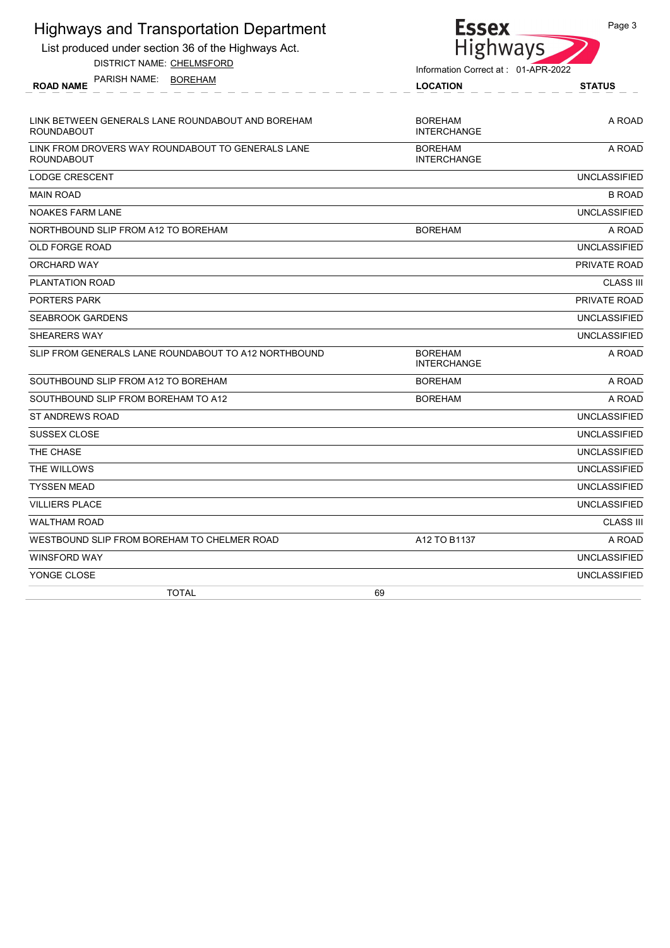| <b>Highways and Transportation Department</b>                          |                | <b>Essex</b>                        | Page 3              |
|------------------------------------------------------------------------|----------------|-------------------------------------|---------------------|
| List produced under section 36 of the Highways Act.                    |                | Highways                            |                     |
| DISTRICT NAME: CHELMSFORD                                              |                | Information Correct at: 01-APR-2022 |                     |
| PARISH NAME: BOREHAM<br><b>ROAD NAME</b>                               |                | <b>LOCATION</b>                     | <b>STATUS</b>       |
|                                                                        |                |                                     |                     |
| LINK BETWEEN GENERALS LANE ROUNDABOUT AND BOREHAM<br><b>ROUNDABOUT</b> | <b>BOREHAM</b> | <b>INTERCHANGE</b>                  | A ROAD              |
| LINK FROM DROVERS WAY ROUNDABOUT TO GENERALS LANE<br><b>ROUNDABOUT</b> | <b>BOREHAM</b> | <b>INTERCHANGE</b>                  | A ROAD              |
| <b>LODGE CRESCENT</b>                                                  |                |                                     | <b>UNCLASSIFIED</b> |
| <b>MAIN ROAD</b>                                                       |                |                                     | <b>B ROAD</b>       |
| <b>NOAKES FARM LANE</b>                                                |                |                                     | <b>UNCLASSIFIED</b> |
| NORTHBOUND SLIP FROM A12 TO BOREHAM                                    | <b>BOREHAM</b> |                                     | A ROAD              |
| <b>OLD FORGE ROAD</b>                                                  |                |                                     | <b>UNCLASSIFIED</b> |
| ORCHARD WAY                                                            |                |                                     | PRIVATE ROAD        |
| PLANTATION ROAD                                                        |                |                                     | <b>CLASS III</b>    |
| <b>PORTERS PARK</b>                                                    |                |                                     | PRIVATE ROAD        |
| <b>SEABROOK GARDENS</b>                                                |                |                                     | <b>UNCLASSIFIED</b> |
| SHEARERS WAY                                                           |                |                                     | <b>UNCLASSIFIED</b> |
| SLIP FROM GENERALS LANE ROUNDABOUT TO A12 NORTHBOUND                   | <b>BOREHAM</b> | <b>INTERCHANGE</b>                  | A ROAD              |
| SOUTHBOUND SLIP FROM A12 TO BOREHAM                                    | <b>BOREHAM</b> |                                     | A ROAD              |
| SOUTHBOUND SLIP FROM BOREHAM TO A12                                    | <b>BOREHAM</b> |                                     | A ROAD              |
| <b>ST ANDREWS ROAD</b>                                                 |                |                                     | <b>UNCLASSIFIED</b> |
| <b>SUSSEX CLOSE</b>                                                    |                |                                     | <b>UNCLASSIFIED</b> |
| THE CHASE                                                              |                |                                     | <b>UNCLASSIFIED</b> |
| THE WILLOWS                                                            |                |                                     | <b>UNCLASSIFIED</b> |
| <b>TYSSEN MEAD</b>                                                     |                |                                     | <b>UNCLASSIFIED</b> |
| <b>VILLIERS PLACE</b>                                                  |                |                                     | <b>UNCLASSIFIED</b> |
| <b>WALTHAM ROAD</b>                                                    |                |                                     | <b>CLASS III</b>    |
| WESTBOUND SLIP FROM BOREHAM TO CHELMER ROAD                            |                | A12 TO B1137                        | A ROAD              |
| <b>WINSFORD WAY</b>                                                    |                |                                     | <b>UNCLASSIFIED</b> |
| YONGE CLOSE                                                            |                |                                     | <b>UNCLASSIFIED</b> |
| <b>TOTAL</b>                                                           | 69             |                                     |                     |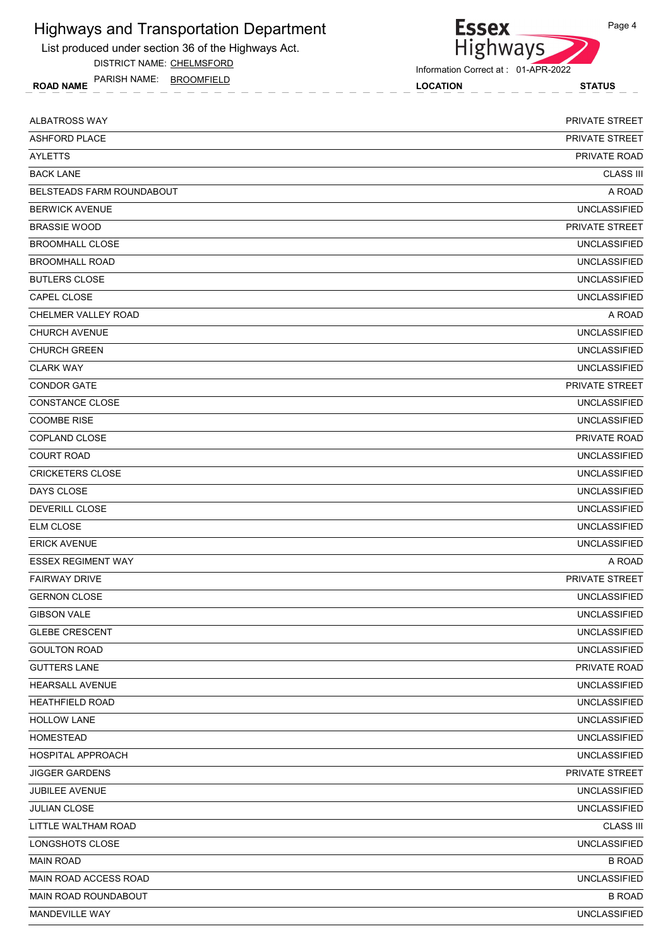

DISTRICT NAME: CHELMSFORD

ROAD NAME LOCATION STATUS PARISH NAME: BROOMFIELD



Information Correct at : 01-APR-2022

| ALBATROSS WAY                    | PRIVATE STREET        |
|----------------------------------|-----------------------|
| <b>ASHFORD PLACE</b>             | <b>PRIVATE STREET</b> |
| <b>AYLETTS</b>                   | PRIVATE ROAD          |
| <b>BACK LANE</b>                 | <b>CLASS III</b>      |
| <b>BELSTEADS FARM ROUNDABOUT</b> | A ROAD                |
| <b>BERWICK AVENUE</b>            | <b>UNCLASSIFIED</b>   |
| <b>BRASSIE WOOD</b>              | <b>PRIVATE STREET</b> |
| <b>BROOMHALL CLOSE</b>           | <b>UNCLASSIFIED</b>   |
| <b>BROOMHALL ROAD</b>            | <b>UNCLASSIFIED</b>   |
| <b>BUTLERS CLOSE</b>             | <b>UNCLASSIFIED</b>   |
| CAPEL CLOSE                      | <b>UNCLASSIFIED</b>   |
| CHELMER VALLEY ROAD              | A ROAD                |
| <b>CHURCH AVENUE</b>             | <b>UNCLASSIFIED</b>   |
| <b>CHURCH GREEN</b>              | <b>UNCLASSIFIED</b>   |
| <b>CLARK WAY</b>                 | <b>UNCLASSIFIED</b>   |
| <b>CONDOR GATE</b>               | PRIVATE STREET        |
| <b>CONSTANCE CLOSE</b>           | <b>UNCLASSIFIED</b>   |
| <b>COOMBE RISE</b>               | <b>UNCLASSIFIED</b>   |
| COPLAND CLOSE                    | PRIVATE ROAD          |
| <b>COURT ROAD</b>                | <b>UNCLASSIFIED</b>   |
| <b>CRICKETERS CLOSE</b>          | <b>UNCLASSIFIED</b>   |
| DAYS CLOSE                       | <b>UNCLASSIFIED</b>   |
| DEVERILL CLOSE                   | <b>UNCLASSIFIED</b>   |
| <b>ELM CLOSE</b>                 | <b>UNCLASSIFIED</b>   |
| <b>ERICK AVENUE</b>              | <b>UNCLASSIFIED</b>   |
| <b>ESSEX REGIMENT WAY</b>        | A ROAD                |
| <b>FAIRWAY DRIVE</b>             | <b>PRIVATE STREET</b> |
| <b>GERNON CLOSE</b>              | <b>UNCLASSIFIED</b>   |
| <b>GIBSON VALE</b>               | UNCLASSIFIED          |
| <b>GLEBE CRESCENT</b>            | <b>UNCLASSIFIED</b>   |
| <b>GOULTON ROAD</b>              | <b>UNCLASSIFIED</b>   |
| <b>GUTTERS LANE</b>              | PRIVATE ROAD          |
| HEARSALL AVENUE                  | <b>UNCLASSIFIED</b>   |
| <b>HEATHFIELD ROAD</b>           | <b>UNCLASSIFIED</b>   |
| <b>HOLLOW LANE</b>               | <b>UNCLASSIFIED</b>   |
| <b>HOMESTEAD</b>                 | <b>UNCLASSIFIED</b>   |
| HOSPITAL APPROACH                | <b>UNCLASSIFIED</b>   |
| <b>JIGGER GARDENS</b>            | PRIVATE STREET        |
| JUBILEE AVENUE                   | <b>UNCLASSIFIED</b>   |
| <b>JULIAN CLOSE</b>              | <b>UNCLASSIFIED</b>   |
| LITTLE WALTHAM ROAD              | <b>CLASS III</b>      |
| LONGSHOTS CLOSE                  | <b>UNCLASSIFIED</b>   |
| <b>MAIN ROAD</b>                 | <b>B ROAD</b>         |
| MAIN ROAD ACCESS ROAD            | <b>UNCLASSIFIED</b>   |
| MAIN ROAD ROUNDABOUT             | <b>B ROAD</b>         |
| MANDEVILLE WAY                   | <b>UNCLASSIFIED</b>   |
|                                  |                       |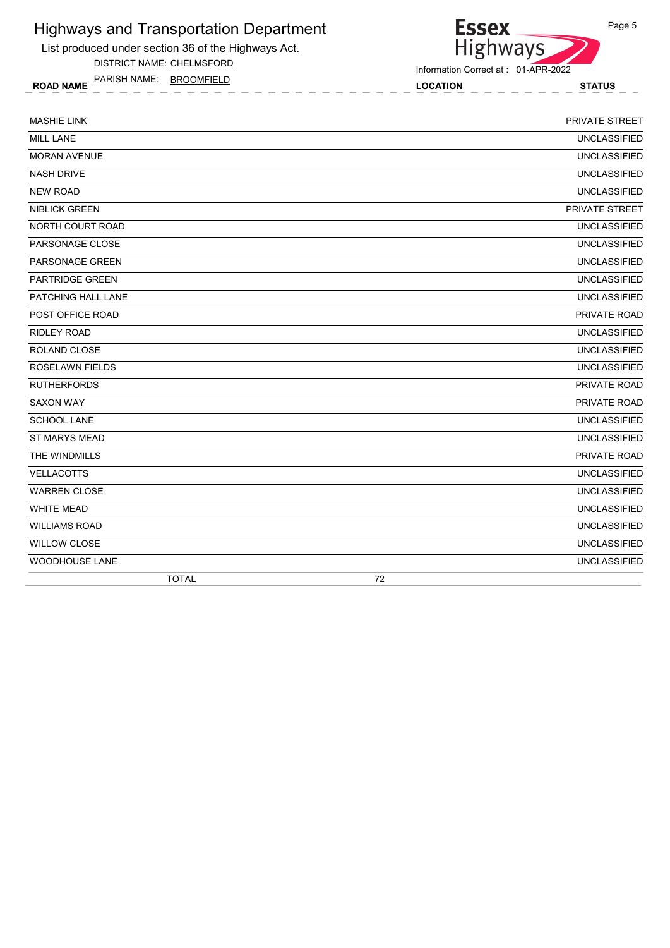

DISTRICT NAME: CHELMSFORD

**Essex** Highways

Information Correct at : 01-APR-2022

ROAD NAME LOCATION STATUS PARISH NAME: BROOMFIELD

| <b>MASHIE LINK</b>        | PRIVATE STREET      |
|---------------------------|---------------------|
| <b>MILL LANE</b>          | <b>UNCLASSIFIED</b> |
| <b>MORAN AVENUE</b>       | <b>UNCLASSIFIED</b> |
| <b>NASH DRIVE</b>         | <b>UNCLASSIFIED</b> |
| <b>NEW ROAD</b>           | <b>UNCLASSIFIED</b> |
| <b>NIBLICK GREEN</b>      | PRIVATE STREET      |
| NORTH COURT ROAD          | <b>UNCLASSIFIED</b> |
| PARSONAGE CLOSE           | <b>UNCLASSIFIED</b> |
| <b>PARSONAGE GREEN</b>    | <b>UNCLASSIFIED</b> |
| <b>PARTRIDGE GREEN</b>    | <b>UNCLASSIFIED</b> |
| <b>PATCHING HALL LANE</b> | <b>UNCLASSIFIED</b> |
| POST OFFICE ROAD          | PRIVATE ROAD        |
| <b>RIDLEY ROAD</b>        | <b>UNCLASSIFIED</b> |
| ROLAND CLOSE              | <b>UNCLASSIFIED</b> |
| ROSELAWN FIELDS           | <b>UNCLASSIFIED</b> |
| <b>RUTHERFORDS</b>        | PRIVATE ROAD        |
| <b>SAXON WAY</b>          | PRIVATE ROAD        |
| <b>SCHOOL LANE</b>        | <b>UNCLASSIFIED</b> |
| <b>ST MARYS MEAD</b>      | <b>UNCLASSIFIED</b> |
| THE WINDMILLS             | PRIVATE ROAD        |
| <b>VELLACOTTS</b>         | <b>UNCLASSIFIED</b> |
| <b>WARREN CLOSE</b>       | <b>UNCLASSIFIED</b> |
| <b>WHITE MEAD</b>         | <b>UNCLASSIFIED</b> |
| <b>WILLIAMS ROAD</b>      | <b>UNCLASSIFIED</b> |
| <b>WILLOW CLOSE</b>       | <b>UNCLASSIFIED</b> |
| <b>WOODHOUSE LANE</b>     | <b>UNCLASSIFIED</b> |
| <b>TOTAL</b>              | 72                  |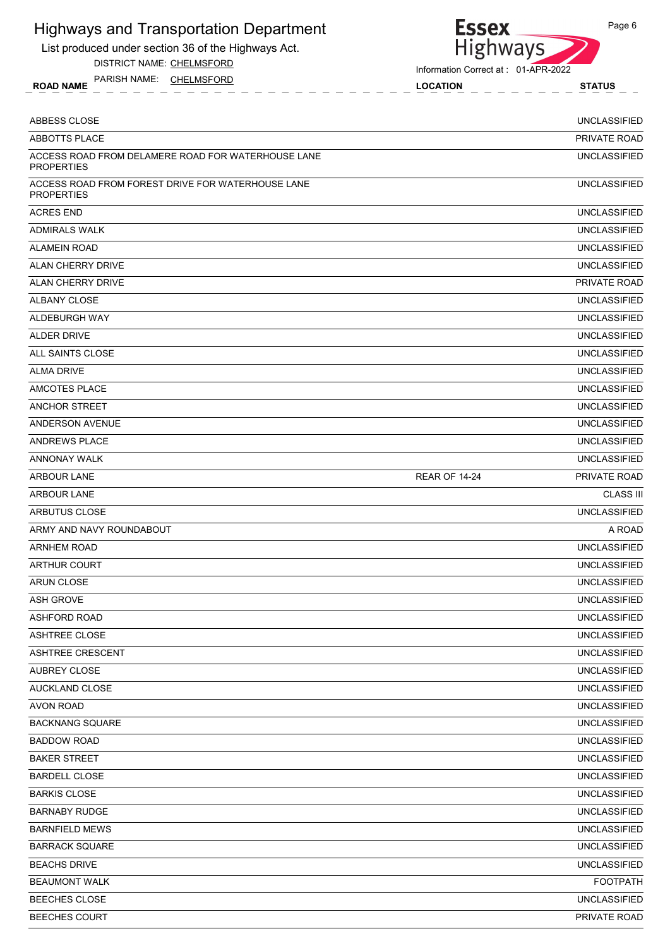List produced under section 36 of the Highways Act.

DISTRICT NAME: CHELMSFORD

ROAD NAME LOCATION STATUS PARISH NAME: CHELMSFORD



Information Correct at : 01-APR-2022

| ABBESS CLOSE                                                            |                      | <b>UNCLASSIFIED</b> |
|-------------------------------------------------------------------------|----------------------|---------------------|
| ABBOTTS PLACE                                                           |                      | PRIVATE ROAD        |
| ACCESS ROAD FROM DELAMERE ROAD FOR WATERHOUSE LANE<br><b>PROPERTIES</b> |                      | <b>UNCLASSIFIED</b> |
| ACCESS ROAD FROM FOREST DRIVE FOR WATERHOUSE LANE<br><b>PROPERTIES</b>  |                      | <b>UNCLASSIFIED</b> |
| <b>ACRES END</b>                                                        |                      | <b>UNCLASSIFIED</b> |
| <b>ADMIRALS WALK</b>                                                    |                      | <b>UNCLASSIFIED</b> |
| <b>ALAMEIN ROAD</b>                                                     |                      | <b>UNCLASSIFIED</b> |
| <b>ALAN CHERRY DRIVE</b>                                                |                      | <b>UNCLASSIFIED</b> |
| <b>ALAN CHERRY DRIVE</b>                                                |                      | PRIVATE ROAD        |
| ALBANY CLOSE                                                            |                      | <b>UNCLASSIFIED</b> |
| ALDEBURGH WAY                                                           |                      | <b>UNCLASSIFIED</b> |
| <b>ALDER DRIVE</b>                                                      |                      | <b>UNCLASSIFIED</b> |
| ALL SAINTS CLOSE                                                        |                      | <b>UNCLASSIFIED</b> |
| <b>ALMA DRIVE</b>                                                       |                      | <b>UNCLASSIFIED</b> |
| AMCOTES PLACE                                                           |                      | <b>UNCLASSIFIED</b> |
| ANCHOR STREET                                                           |                      | <b>UNCLASSIFIED</b> |
| <b>ANDERSON AVENUE</b>                                                  |                      | <b>UNCLASSIFIED</b> |
| ANDREWS PLACE                                                           |                      | <b>UNCLASSIFIED</b> |
| <b>ANNONAY WALK</b>                                                     |                      | <b>UNCLASSIFIED</b> |
| <b>ARBOUR LANE</b>                                                      | <b>REAR OF 14-24</b> | PRIVATE ROAD        |
| <b>ARBOUR LANE</b>                                                      |                      | <b>CLASS III</b>    |
| ARBUTUS CLOSE                                                           |                      | <b>UNCLASSIFIED</b> |
| ARMY AND NAVY ROUNDABOUT                                                |                      | A ROAD              |
| <b>ARNHEM ROAD</b>                                                      |                      | <b>UNCLASSIFIED</b> |
| <b>ARTHUR COURT</b>                                                     |                      | <b>UNCLASSIFIED</b> |
| <b>ARUN CLOSE</b>                                                       |                      | <b>UNCLASSIFIED</b> |
| <b>ASH GROVE</b>                                                        |                      | <b>UNCLASSIFIED</b> |
| <b>ASHFORD ROAD</b>                                                     |                      | <b>UNCLASSIFIED</b> |
| <b>ASHTREE CLOSE</b>                                                    |                      | <b>UNCLASSIFIED</b> |
| <b>ASHTREE CRESCENT</b>                                                 |                      | <b>UNCLASSIFIED</b> |
| <b>AUBREY CLOSE</b>                                                     |                      | <b>UNCLASSIFIED</b> |
| AUCKLAND CLOSE                                                          |                      | <b>UNCLASSIFIED</b> |
| <b>AVON ROAD</b>                                                        |                      | <b>UNCLASSIFIED</b> |
| <b>BACKNANG SQUARE</b>                                                  |                      | <b>UNCLASSIFIED</b> |
| <b>BADDOW ROAD</b>                                                      |                      | <b>UNCLASSIFIED</b> |
| <b>BAKER STREET</b>                                                     |                      | <b>UNCLASSIFIED</b> |
| <b>BARDELL CLOSE</b>                                                    |                      | <b>UNCLASSIFIED</b> |
| <b>BARKIS CLOSE</b>                                                     |                      | <b>UNCLASSIFIED</b> |
| <b>BARNABY RUDGE</b>                                                    |                      | <b>UNCLASSIFIED</b> |
| <b>BARNFIELD MEWS</b>                                                   |                      | <b>UNCLASSIFIED</b> |
| <b>BARRACK SQUARE</b>                                                   |                      | <b>UNCLASSIFIED</b> |
| <b>BEACHS DRIVE</b>                                                     |                      | <b>UNCLASSIFIED</b> |
| <b>BEAUMONT WALK</b>                                                    |                      | <b>FOOTPATH</b>     |
| BEECHES CLOSE                                                           |                      | <b>UNCLASSIFIED</b> |
| <b>BEECHES COURT</b>                                                    |                      | PRIVATE ROAD        |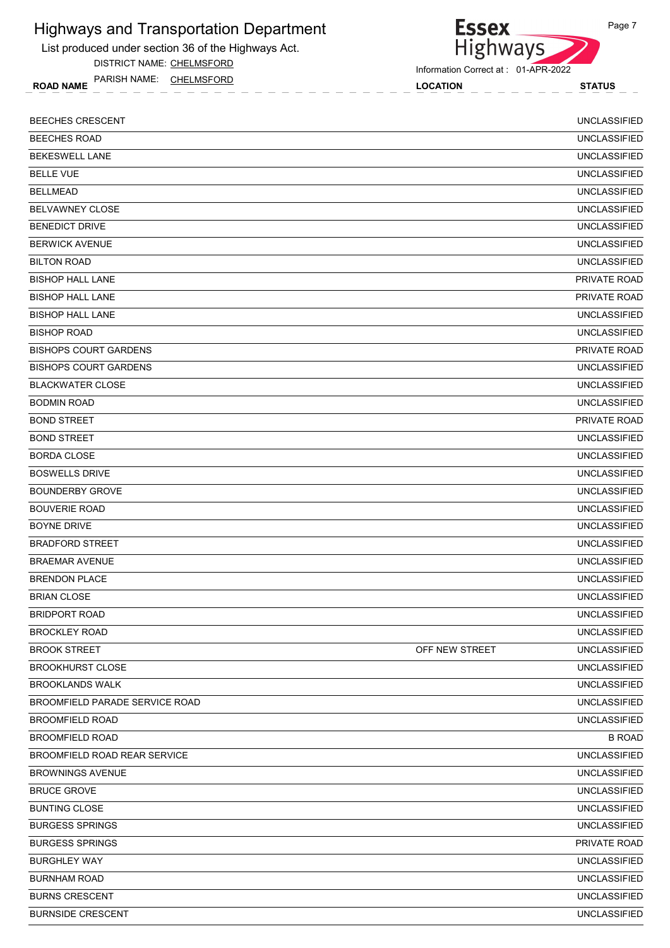List produced under section 36 of the Highways Act.

DISTRICT NAME: CHELMSFORD

ROAD NAME LOCATION STATUS PARISH NAME: CHELMSFORD

Essex<br>Highways

Information Correct at : 01-APR-2022

| <b>BEECHES CRESCENT</b>               |                | <b>UNCLASSIFIED</b> |
|---------------------------------------|----------------|---------------------|
| <b>BEECHES ROAD</b>                   |                | <b>UNCLASSIFIED</b> |
| <b>BEKESWELL LANE</b>                 |                | <b>UNCLASSIFIED</b> |
| <b>BELLE VUE</b>                      |                | <b>UNCLASSIFIED</b> |
| <b>BELLMEAD</b>                       |                | <b>UNCLASSIFIED</b> |
| <b>BELVAWNEY CLOSE</b>                |                | <b>UNCLASSIFIED</b> |
| <b>BENEDICT DRIVE</b>                 |                | <b>UNCLASSIFIED</b> |
| <b>BERWICK AVENUE</b>                 |                | <b>UNCLASSIFIED</b> |
| <b>BILTON ROAD</b>                    |                | <b>UNCLASSIFIED</b> |
| <b>BISHOP HALL LANE</b>               |                | <b>PRIVATE ROAD</b> |
| <b>BISHOP HALL LANE</b>               |                | PRIVATE ROAD        |
| <b>BISHOP HALL LANE</b>               |                | <b>UNCLASSIFIED</b> |
| <b>BISHOP ROAD</b>                    |                | <b>UNCLASSIFIED</b> |
| <b>BISHOPS COURT GARDENS</b>          |                | PRIVATE ROAD        |
| <b>BISHOPS COURT GARDENS</b>          |                | <b>UNCLASSIFIED</b> |
| <b>BLACKWATER CLOSE</b>               |                | <b>UNCLASSIFIED</b> |
| <b>BODMIN ROAD</b>                    |                | <b>UNCLASSIFIED</b> |
| <b>BOND STREET</b>                    |                | PRIVATE ROAD        |
| <b>BOND STREET</b>                    |                | <b>UNCLASSIFIED</b> |
| <b>BORDA CLOSE</b>                    |                | <b>UNCLASSIFIED</b> |
| <b>BOSWELLS DRIVE</b>                 |                | <b>UNCLASSIFIED</b> |
| <b>BOUNDERBY GROVE</b>                |                | <b>UNCLASSIFIED</b> |
| <b>BOUVERIE ROAD</b>                  |                | <b>UNCLASSIFIED</b> |
| <b>BOYNE DRIVE</b>                    |                | <b>UNCLASSIFIED</b> |
| <b>BRADFORD STREET</b>                |                | <b>UNCLASSIFIED</b> |
| <b>BRAEMAR AVENUE</b>                 |                | <b>UNCLASSIFIED</b> |
| <b>BRENDON PLACE</b>                  |                | <b>UNCLASSIFIED</b> |
| <b>BRIAN CLOSE</b>                    |                | <b>UNCLASSIFIED</b> |
| <b>BRIDPORT ROAD</b>                  |                | <b>UNCLASSIFIED</b> |
| <b>BROCKLEY ROAD</b>                  |                | <b>UNCLASSIFIED</b> |
| <b>BROOK STREET</b>                   | OFF NEW STREET | <b>UNCLASSIFIED</b> |
| <b>BROOKHURST CLOSE</b>               |                | <b>UNCLASSIFIED</b> |
| <b>BROOKLANDS WALK</b>                |                | <b>UNCLASSIFIED</b> |
| <b>BROOMFIELD PARADE SERVICE ROAD</b> |                | <b>UNCLASSIFIED</b> |
| <b>BROOMFIELD ROAD</b>                |                | <b>UNCLASSIFIED</b> |
| <b>BROOMFIELD ROAD</b>                |                | <b>B ROAD</b>       |
| <b>BROOMFIELD ROAD REAR SERVICE</b>   |                | <b>UNCLASSIFIED</b> |
| <b>BROWNINGS AVENUE</b>               |                | <b>UNCLASSIFIED</b> |
| <b>BRUCE GROVE</b>                    |                | <b>UNCLASSIFIED</b> |
| <b>BUNTING CLOSE</b>                  |                | <b>UNCLASSIFIED</b> |
| <b>BURGESS SPRINGS</b>                |                | <b>UNCLASSIFIED</b> |
| <b>BURGESS SPRINGS</b>                |                | PRIVATE ROAD        |
| <b>BURGHLEY WAY</b>                   |                | <b>UNCLASSIFIED</b> |
| <b>BURNHAM ROAD</b>                   |                | <b>UNCLASSIFIED</b> |
| <b>BURNS CRESCENT</b>                 |                | <b>UNCLASSIFIED</b> |
| <b>BURNSIDE CRESCENT</b>              |                | <b>UNCLASSIFIED</b> |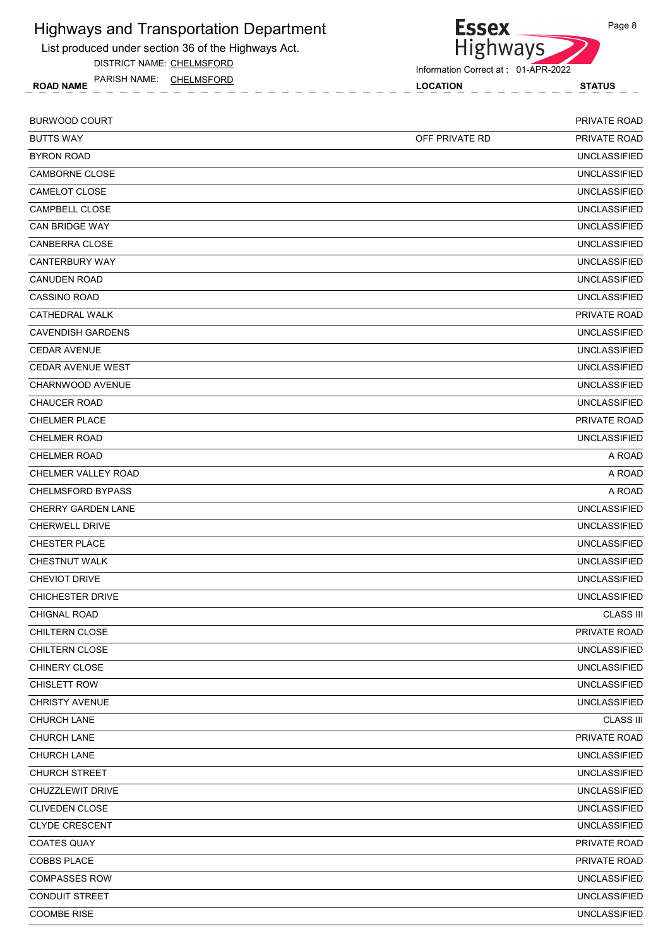List produced under section 36 of the Highways Act.

DISTRICT NAME: CHELMSFORD

ROAD NAME LOCATION STATUS PARISH NAME: CHELMSFORD



**Essex** 

| <b>BURWOOD COURT</b>      |                | <b>PRIVATE ROAD</b> |
|---------------------------|----------------|---------------------|
| <b>BUTTS WAY</b>          | OFF PRIVATE RD | PRIVATE ROAD        |
| <b>BYRON ROAD</b>         |                | <b>UNCLASSIFIED</b> |
| CAMBORNE CLOSE            |                | <b>UNCLASSIFIED</b> |
| CAMELOT CLOSE             |                | <b>UNCLASSIFIED</b> |
| CAMPBELL CLOSE            |                | <b>UNCLASSIFIED</b> |
| <b>CAN BRIDGE WAY</b>     |                | <b>UNCLASSIFIED</b> |
| CANBERRA CLOSE            |                | <b>UNCLASSIFIED</b> |
| <b>CANTERBURY WAY</b>     |                | <b>UNCLASSIFIED</b> |
| <b>CANUDEN ROAD</b>       |                | <b>UNCLASSIFIED</b> |
| <b>CASSINO ROAD</b>       |                | <b>UNCLASSIFIED</b> |
| CATHEDRAL WALK            |                | PRIVATE ROAD        |
| <b>CAVENDISH GARDENS</b>  |                | <b>UNCLASSIFIED</b> |
| <b>CEDAR AVENUE</b>       |                | <b>UNCLASSIFIED</b> |
| <b>CEDAR AVENUE WEST</b>  |                | <b>UNCLASSIFIED</b> |
| CHARNWOOD AVENUE          |                | <b>UNCLASSIFIED</b> |
| <b>CHAUCER ROAD</b>       |                | <b>UNCLASSIFIED</b> |
| <b>CHELMER PLACE</b>      |                | PRIVATE ROAD        |
| <b>CHELMER ROAD</b>       |                | <b>UNCLASSIFIED</b> |
| <b>CHELMER ROAD</b>       |                | A ROAD              |
| CHELMER VALLEY ROAD       |                | A ROAD              |
| <b>CHELMSFORD BYPASS</b>  |                | A ROAD              |
| <b>CHERRY GARDEN LANE</b> |                | <b>UNCLASSIFIED</b> |
| <b>CHERWELL DRIVE</b>     |                | <b>UNCLASSIFIED</b> |
| <b>CHESTER PLACE</b>      |                | <b>UNCLASSIFIED</b> |
| <b>CHESTNUT WALK</b>      |                | <b>UNCLASSIFIED</b> |
| <b>CHEVIOT DRIVE</b>      |                | <b>UNCLASSIFIED</b> |
| <b>CHICHESTER DRIVE</b>   |                | <b>UNCLASSIFIED</b> |
| <b>CHIGNAL ROAD</b>       |                | <b>CLASS III</b>    |
| CHILTERN CLOSE            |                | PRIVATE ROAD        |
| CHILTERN CLOSE            |                | <b>UNCLASSIFIED</b> |
| CHINERY CLOSE             |                | <b>UNCLASSIFIED</b> |
| <b>CHISLETT ROW</b>       |                | <b>UNCLASSIFIED</b> |
| <b>CHRISTY AVENUE</b>     |                | <b>UNCLASSIFIED</b> |
| CHURCH LANE               |                | <b>CLASS III</b>    |
| CHURCH LANE               |                | PRIVATE ROAD        |
| CHURCH LANE               |                | <b>UNCLASSIFIED</b> |
| CHURCH STREET             |                | <b>UNCLASSIFIED</b> |
| CHUZZLEWIT DRIVE          |                | <b>UNCLASSIFIED</b> |
| CLIVEDEN CLOSE            |                | <b>UNCLASSIFIED</b> |
| <b>CLYDE CRESCENT</b>     |                | <b>UNCLASSIFIED</b> |
| <b>COATES QUAY</b>        |                | PRIVATE ROAD        |
| COBBS PLACE               |                | PRIVATE ROAD        |
| <b>COMPASSES ROW</b>      |                | <b>UNCLASSIFIED</b> |
| <b>CONDUIT STREET</b>     |                | <b>UNCLASSIFIED</b> |
| COOMBE RISE               |                | <b>UNCLASSIFIED</b> |
|                           |                |                     |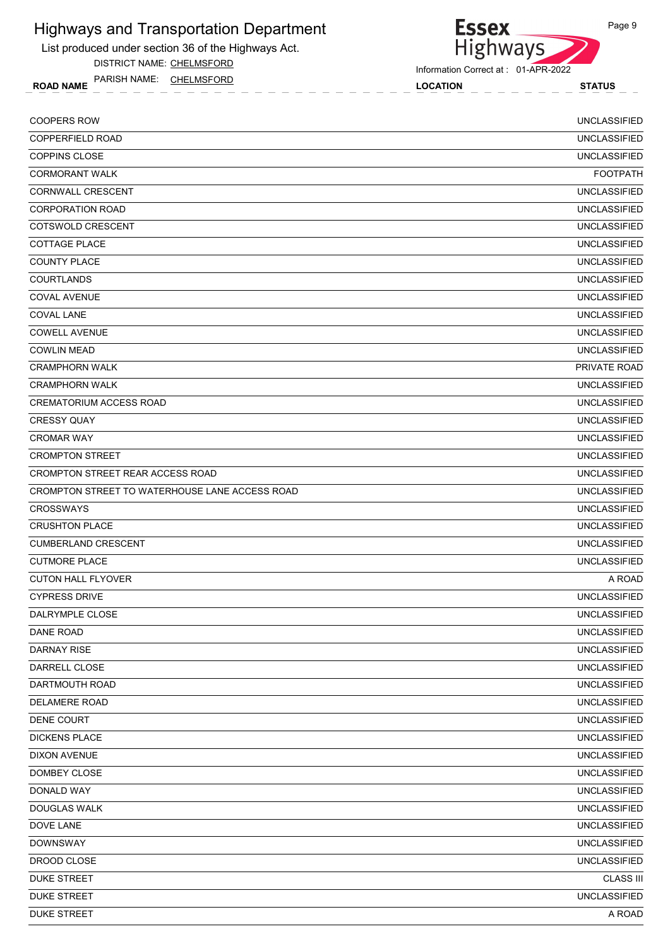List produced under section 36 of the Highways Act.

DISTRICT NAME: CHELMSFORD

ROAD NAME LOCATION STATUS PARISH NAME: CHELMSFORD



Information Correct at : 01-APR-2022

| <b>COOPERS ROW</b>                             | <b>UNCLASSIFIED</b> |
|------------------------------------------------|---------------------|
| <b>COPPERFIELD ROAD</b>                        | <b>UNCLASSIFIED</b> |
| <b>COPPINS CLOSE</b>                           | <b>UNCLASSIFIED</b> |
| <b>CORMORANT WALK</b>                          | <b>FOOTPATH</b>     |
| CORNWALL CRESCENT                              | <b>UNCLASSIFIED</b> |
| <b>CORPORATION ROAD</b>                        | <b>UNCLASSIFIED</b> |
| COTSWOLD CRESCENT                              | <b>UNCLASSIFIED</b> |
| <b>COTTAGE PLACE</b>                           | <b>UNCLASSIFIED</b> |
| <b>COUNTY PLACE</b>                            | <b>UNCLASSIFIED</b> |
| <b>COURTLANDS</b>                              | <b>UNCLASSIFIED</b> |
| <b>COVAL AVENUE</b>                            | <b>UNCLASSIFIED</b> |
| <b>COVAL LANE</b>                              | <b>UNCLASSIFIED</b> |
| <b>COWELL AVENUE</b>                           | <b>UNCLASSIFIED</b> |
| <b>COWLIN MEAD</b>                             | <b>UNCLASSIFIED</b> |
| <b>CRAMPHORN WALK</b>                          | PRIVATE ROAD        |
| <b>CRAMPHORN WALK</b>                          | <b>UNCLASSIFIED</b> |
| <b>CREMATORIUM ACCESS ROAD</b>                 | <b>UNCLASSIFIED</b> |
| <b>CRESSY QUAY</b>                             | <b>UNCLASSIFIED</b> |
| <b>CROMAR WAY</b>                              | <b>UNCLASSIFIED</b> |
| <b>CROMPTON STREET</b>                         | <b>UNCLASSIFIED</b> |
| CROMPTON STREET REAR ACCESS ROAD               | <b>UNCLASSIFIED</b> |
| CROMPTON STREET TO WATERHOUSE LANE ACCESS ROAD | <b>UNCLASSIFIED</b> |
| <b>CROSSWAYS</b>                               | <b>UNCLASSIFIED</b> |
| <b>CRUSHTON PLACE</b>                          | <b>UNCLASSIFIED</b> |
| <b>CUMBERLAND CRESCENT</b>                     | <b>UNCLASSIFIED</b> |
| <b>CUTMORE PLACE</b>                           | <b>UNCLASSIFIED</b> |
| <b>CUTON HALL FLYOVER</b>                      | A ROAD              |
| <b>CYPRESS DRIVE</b>                           | <b>UNCLASSIFIED</b> |
| DALRYMPLE CLOSE                                | <b>UNCLASSIFIED</b> |
| DANE ROAD                                      | <b>UNCLASSIFIED</b> |
| <b>DARNAY RISE</b>                             | <b>UNCLASSIFIED</b> |
| DARRELL CLOSE                                  | <b>UNCLASSIFIED</b> |
| DARTMOUTH ROAD                                 | <b>UNCLASSIFIED</b> |
| <b>DELAMERE ROAD</b>                           | <b>UNCLASSIFIED</b> |
| DENE COURT                                     | <b>UNCLASSIFIED</b> |
| <b>DICKENS PLACE</b>                           | <b>UNCLASSIFIED</b> |
| <b>DIXON AVENUE</b>                            | <b>UNCLASSIFIED</b> |
| DOMBEY CLOSE                                   | <b>UNCLASSIFIED</b> |
| DONALD WAY                                     | <b>UNCLASSIFIED</b> |
| <b>DOUGLAS WALK</b>                            | <b>UNCLASSIFIED</b> |
| DOVE LANE                                      | <b>UNCLASSIFIED</b> |
| <b>DOWNSWAY</b>                                | <b>UNCLASSIFIED</b> |
| DROOD CLOSE                                    | <b>UNCLASSIFIED</b> |
| <b>DUKE STREET</b>                             | <b>CLASS III</b>    |
| <b>DUKE STREET</b>                             | <b>UNCLASSIFIED</b> |
| <b>DUKE STREET</b>                             | A ROAD              |
|                                                |                     |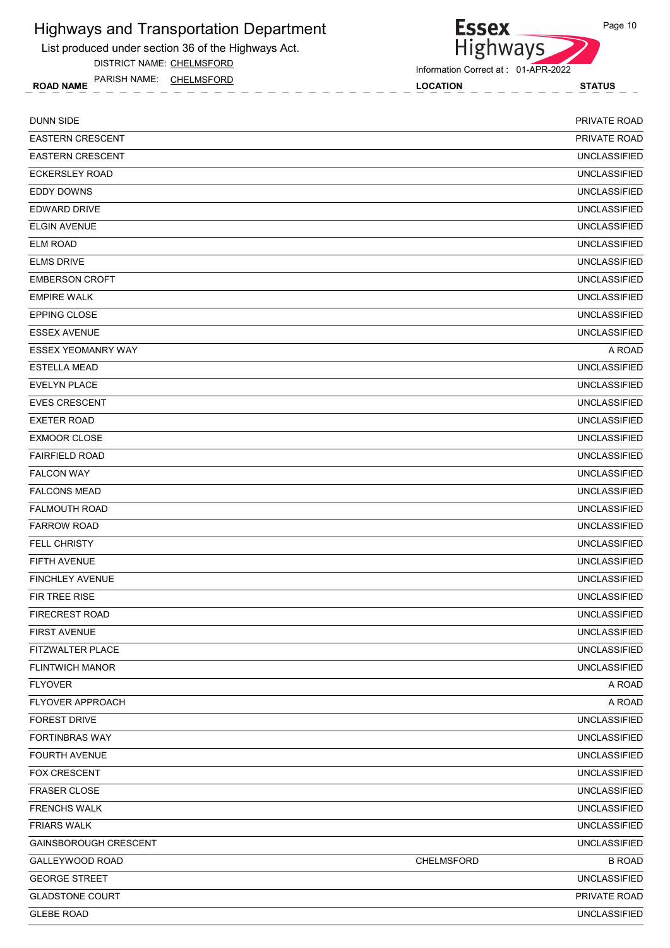List produced under section 36 of the Highways Act.

DISTRICT NAME: CHELMSFORD

ROAD NAME LOCATION STATUS PARISH NAME: CHELMSFORD



**Essex** 

| <b>DUNN SIDE</b>          |            | PRIVATE ROAD        |
|---------------------------|------------|---------------------|
| <b>EASTERN CRESCENT</b>   |            | <b>PRIVATE ROAD</b> |
| <b>EASTERN CRESCENT</b>   |            | <b>UNCLASSIFIED</b> |
| <b>ECKERSLEY ROAD</b>     |            | <b>UNCLASSIFIED</b> |
| <b>EDDY DOWNS</b>         |            | <b>UNCLASSIFIED</b> |
| <b>EDWARD DRIVE</b>       |            | <b>UNCLASSIFIED</b> |
| <b>ELGIN AVENUE</b>       |            | <b>UNCLASSIFIED</b> |
| <b>ELM ROAD</b>           |            | <b>UNCLASSIFIED</b> |
| <b>ELMS DRIVE</b>         |            | <b>UNCLASSIFIED</b> |
| <b>EMBERSON CROFT</b>     |            | <b>UNCLASSIFIED</b> |
| <b>EMPIRE WALK</b>        |            | <b>UNCLASSIFIED</b> |
| <b>EPPING CLOSE</b>       |            | <b>UNCLASSIFIED</b> |
| <b>ESSEX AVENUE</b>       |            | <b>UNCLASSIFIED</b> |
| <b>ESSEX YEOMANRY WAY</b> |            | A ROAD              |
| <b>ESTELLA MEAD</b>       |            | <b>UNCLASSIFIED</b> |
| <b>EVELYN PLACE</b>       |            | <b>UNCLASSIFIED</b> |
| <b>EVES CRESCENT</b>      |            | <b>UNCLASSIFIED</b> |
| <b>EXETER ROAD</b>        |            | <b>UNCLASSIFIED</b> |
| <b>EXMOOR CLOSE</b>       |            | <b>UNCLASSIFIED</b> |
| <b>FAIRFIELD ROAD</b>     |            | <b>UNCLASSIFIED</b> |
| <b>FALCON WAY</b>         |            | <b>UNCLASSIFIED</b> |
| <b>FALCONS MEAD</b>       |            | <b>UNCLASSIFIED</b> |
| <b>FALMOUTH ROAD</b>      |            | <b>UNCLASSIFIED</b> |
| <b>FARROW ROAD</b>        |            | <b>UNCLASSIFIED</b> |
| <b>FELL CHRISTY</b>       |            | <b>UNCLASSIFIED</b> |
| <b>FIFTH AVENUE</b>       |            | <b>UNCLASSIFIED</b> |
| <b>FINCHLEY AVENUE</b>    |            | <b>UNCLASSIFIED</b> |
| FIR TREE RISE             |            | <b>UNCLASSIFIED</b> |
| <b>FIRECREST ROAD</b>     |            | <b>UNCLASSIFIED</b> |
| <b>FIRST AVENUE</b>       |            | <b>UNCLASSIFIED</b> |
| FITZWALTER PLACE          |            | <b>UNCLASSIFIED</b> |
| <b>FLINTWICH MANOR</b>    |            | <b>UNCLASSIFIED</b> |
| <b>FLYOVER</b>            |            | A ROAD              |
| FLYOVER APPROACH          |            | A ROAD              |
| <b>FOREST DRIVE</b>       |            | <b>UNCLASSIFIED</b> |
| <b>FORTINBRAS WAY</b>     |            | <b>UNCLASSIFIED</b> |
| FOURTH AVENUE             |            | <b>UNCLASSIFIED</b> |
| FOX CRESCENT              |            | <b>UNCLASSIFIED</b> |
| <b>FRASER CLOSE</b>       |            | <b>UNCLASSIFIED</b> |
| <b>FRENCHS WALK</b>       |            | <b>UNCLASSIFIED</b> |
| <b>FRIARS WALK</b>        |            | <b>UNCLASSIFIED</b> |
| GAINSBOROUGH CRESCENT     |            | <b>UNCLASSIFIED</b> |
| GALLEYWOOD ROAD           | CHELMSFORD | <b>B ROAD</b>       |
| <b>GEORGE STREET</b>      |            | <b>UNCLASSIFIED</b> |
| <b>GLADSTONE COURT</b>    |            | PRIVATE ROAD        |
| <b>GLEBE ROAD</b>         |            | <b>UNCLASSIFIED</b> |
|                           |            |                     |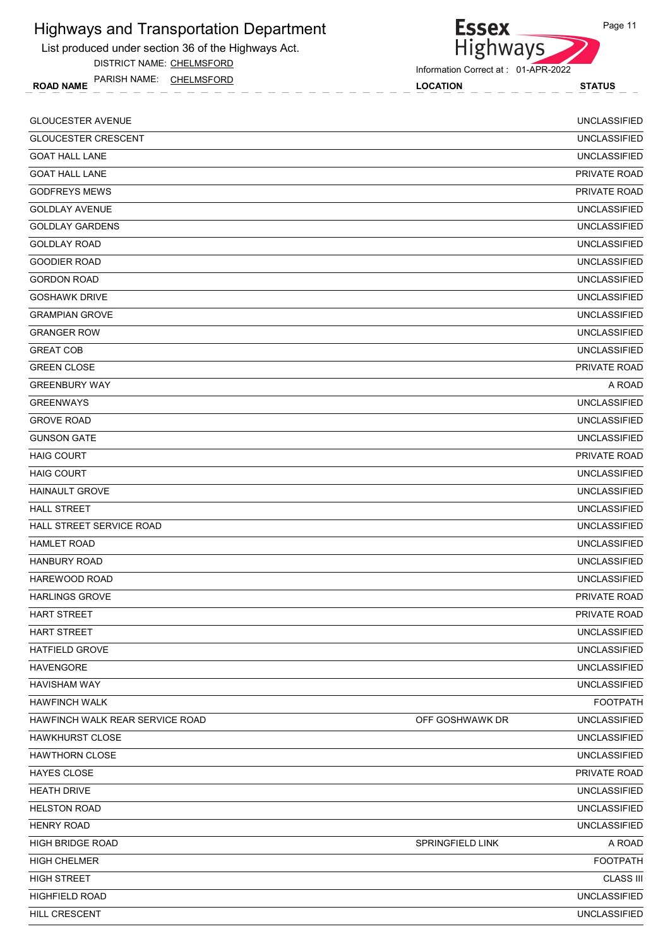List produced under section 36 of the Highways Act.

DISTRICT NAME: CHELMSFORD

ROAD NAME LOCATION STATUS PARISH NAME: CHELMSFORD



Information Correct at : 01-APR-2022

| <b>GLOUCESTER AVENUE</b>        |                  | <b>UNCLASSIFIED</b> |
|---------------------------------|------------------|---------------------|
| <b>GLOUCESTER CRESCENT</b>      |                  | <b>UNCLASSIFIED</b> |
| <b>GOAT HALL LANE</b>           |                  | <b>UNCLASSIFIED</b> |
| <b>GOAT HALL LANE</b>           |                  | PRIVATE ROAD        |
| <b>GODFREYS MEWS</b>            |                  | PRIVATE ROAD        |
| <b>GOLDLAY AVENUE</b>           |                  | <b>UNCLASSIFIED</b> |
| <b>GOLDLAY GARDENS</b>          |                  | <b>UNCLASSIFIED</b> |
| <b>GOLDLAY ROAD</b>             |                  | <b>UNCLASSIFIED</b> |
| <b>GOODIER ROAD</b>             |                  | <b>UNCLASSIFIED</b> |
| <b>GORDON ROAD</b>              |                  | <b>UNCLASSIFIED</b> |
| <b>GOSHAWK DRIVE</b>            |                  | <b>UNCLASSIFIED</b> |
| <b>GRAMPIAN GROVE</b>           |                  | <b>UNCLASSIFIED</b> |
| <b>GRANGER ROW</b>              |                  | <b>UNCLASSIFIED</b> |
| <b>GREAT COB</b>                |                  | <b>UNCLASSIFIED</b> |
| <b>GREEN CLOSE</b>              |                  | PRIVATE ROAD        |
| <b>GREENBURY WAY</b>            |                  | A ROAD              |
| <b>GREENWAYS</b>                |                  | <b>UNCLASSIFIED</b> |
| <b>GROVE ROAD</b>               |                  | <b>UNCLASSIFIED</b> |
| <b>GUNSON GATE</b>              |                  | <b>UNCLASSIFIED</b> |
| <b>HAIG COURT</b>               |                  | <b>PRIVATE ROAD</b> |
| <b>HAIG COURT</b>               |                  | <b>UNCLASSIFIED</b> |
| <b>HAINAULT GROVE</b>           |                  | <b>UNCLASSIFIED</b> |
| <b>HALL STREET</b>              |                  | <b>UNCLASSIFIED</b> |
| HALL STREET SERVICE ROAD        |                  | <b>UNCLASSIFIED</b> |
| <b>HAMLET ROAD</b>              |                  | <b>UNCLASSIFIED</b> |
| <b>HANBURY ROAD</b>             |                  | <b>UNCLASSIFIED</b> |
| HAREWOOD ROAD                   |                  | <b>UNCLASSIFIED</b> |
| <b>HARLINGS GROVE</b>           |                  | <b>PRIVATE ROAD</b> |
| <b>HART STREET</b>              |                  | PRIVATE ROAD        |
| HART STREET                     |                  | <b>UNCLASSIFIED</b> |
| HATFIELD GROVE                  |                  | <b>UNCLASSIFIED</b> |
| <b>HAVENGORE</b>                |                  | <b>UNCLASSIFIED</b> |
| <b>HAVISHAM WAY</b>             |                  | <b>UNCLASSIFIED</b> |
| <b>HAWFINCH WALK</b>            |                  | <b>FOOTPATH</b>     |
| HAWFINCH WALK REAR SERVICE ROAD | OFF GOSHWAWK DR  | <b>UNCLASSIFIED</b> |
| <b>HAWKHURST CLOSE</b>          |                  | <b>UNCLASSIFIED</b> |
| <b>HAWTHORN CLOSE</b>           |                  | <b>UNCLASSIFIED</b> |
| HAYES CLOSE                     |                  | PRIVATE ROAD        |
| <b>HEATH DRIVE</b>              |                  | <b>UNCLASSIFIED</b> |
| <b>HELSTON ROAD</b>             |                  | <b>UNCLASSIFIED</b> |
| <b>HENRY ROAD</b>               |                  | <b>UNCLASSIFIED</b> |
| <b>HIGH BRIDGE ROAD</b>         | SPRINGFIELD LINK | A ROAD              |
| <b>HIGH CHELMER</b>             |                  | <b>FOOTPATH</b>     |
| <b>HIGH STREET</b>              |                  | <b>CLASS III</b>    |
| HIGHFIELD ROAD                  |                  | <b>UNCLASSIFIED</b> |
| HILL CRESCENT                   |                  | <b>UNCLASSIFIED</b> |
|                                 |                  |                     |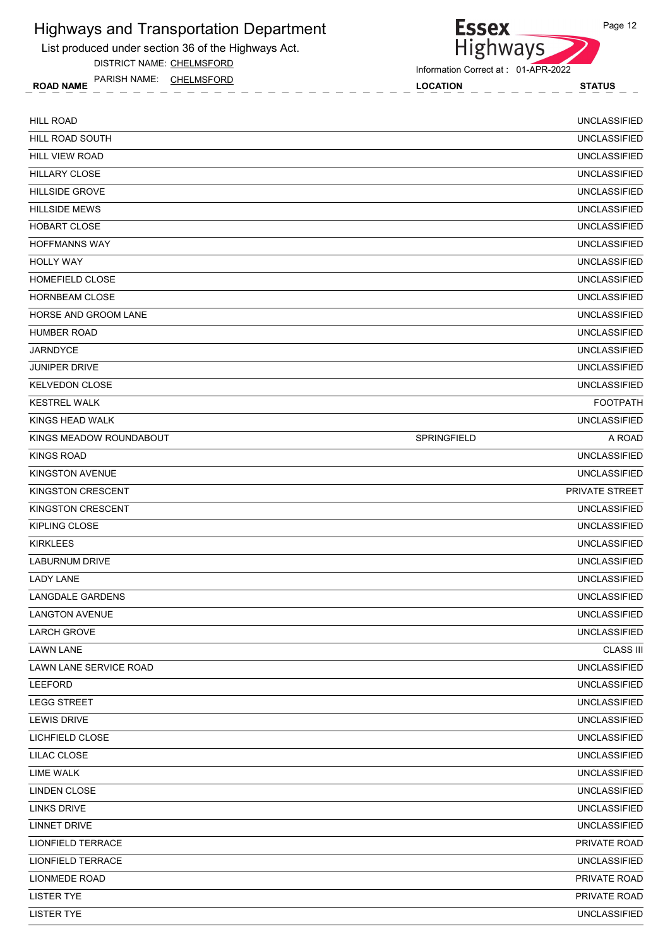List produced under section 36 of the Highways Act.

DISTRICT NAME: CHELMSFORD

ROAD NAME LOCATION STATUS PARISH NAME: CHELMSFORD



**Essex** 

| <b>HILL ROAD</b>        |             | <b>UNCLASSIFIED</b> |
|-------------------------|-------------|---------------------|
| HILL ROAD SOUTH         |             | <b>UNCLASSIFIED</b> |
| <b>HILL VIEW ROAD</b>   |             | <b>UNCLASSIFIED</b> |
| <b>HILLARY CLOSE</b>    |             | <b>UNCLASSIFIED</b> |
| <b>HILLSIDE GROVE</b>   |             | <b>UNCLASSIFIED</b> |
| <b>HILLSIDE MEWS</b>    |             | <b>UNCLASSIFIED</b> |
| <b>HOBART CLOSE</b>     |             | <b>UNCLASSIFIED</b> |
| <b>HOFFMANNS WAY</b>    |             | <b>UNCLASSIFIED</b> |
| <b>HOLLY WAY</b>        |             | <b>UNCLASSIFIED</b> |
| <b>HOMEFIELD CLOSE</b>  |             | <b>UNCLASSIFIED</b> |
| <b>HORNBEAM CLOSE</b>   |             | <b>UNCLASSIFIED</b> |
| HORSE AND GROOM LANE    |             | <b>UNCLASSIFIED</b> |
| <b>HUMBER ROAD</b>      |             | <b>UNCLASSIFIED</b> |
| <b>JARNDYCE</b>         |             | <b>UNCLASSIFIED</b> |
| <b>JUNIPER DRIVE</b>    |             | <b>UNCLASSIFIED</b> |
| <b>KELVEDON CLOSE</b>   |             | <b>UNCLASSIFIED</b> |
| <b>KESTREL WALK</b>     |             | <b>FOOTPATH</b>     |
| KINGS HEAD WALK         |             | <b>UNCLASSIFIED</b> |
| KINGS MEADOW ROUNDABOUT | SPRINGFIELD | A ROAD              |
| <b>KINGS ROAD</b>       |             | <b>UNCLASSIFIED</b> |
| <b>KINGSTON AVENUE</b>  |             | <b>UNCLASSIFIED</b> |
| KINGSTON CRESCENT       |             | PRIVATE STREET      |
| KINGSTON CRESCENT       |             | <b>UNCLASSIFIED</b> |
| KIPLING CLOSE           |             | <b>UNCLASSIFIED</b> |
| <b>KIRKLEES</b>         |             | <b>UNCLASSIFIED</b> |
| <b>LABURNUM DRIVE</b>   |             | <b>UNCLASSIFIED</b> |
| <b>LADY LANE</b>        |             | <b>UNCLASSIFIED</b> |
| LANGDALE GARDENS        |             | <b>UNCLASSIFIED</b> |
| <b>LANGTON AVENUE</b>   |             | <b>UNCLASSIFIED</b> |
| <b>LARCH GROVE</b>      |             | <b>UNCLASSIFIED</b> |
| <b>LAWN LANE</b>        |             | <b>CLASS III</b>    |
| LAWN LANE SERVICE ROAD  |             | <b>UNCLASSIFIED</b> |
| LEEFORD                 |             | <b>UNCLASSIFIED</b> |
| <b>LEGG STREET</b>      |             | <b>UNCLASSIFIED</b> |
| LEWIS DRIVE             |             | <b>UNCLASSIFIED</b> |
| LICHFIELD CLOSE         |             | <b>UNCLASSIFIED</b> |
| LILAC CLOSE             |             | <b>UNCLASSIFIED</b> |
| LIME WALK               |             | <b>UNCLASSIFIED</b> |
| LINDEN CLOSE            |             | <b>UNCLASSIFIED</b> |
| LINKS DRIVE             |             | <b>UNCLASSIFIED</b> |
| <b>LINNET DRIVE</b>     |             | <b>UNCLASSIFIED</b> |
| LIONFIELD TERRACE       |             | PRIVATE ROAD        |
| LIONFIELD TERRACE       |             | <b>UNCLASSIFIED</b> |
| LIONMEDE ROAD           |             | PRIVATE ROAD        |
| <b>LISTER TYE</b>       |             | PRIVATE ROAD        |
| <b>LISTER TYE</b>       |             | <b>UNCLASSIFIED</b> |
|                         |             |                     |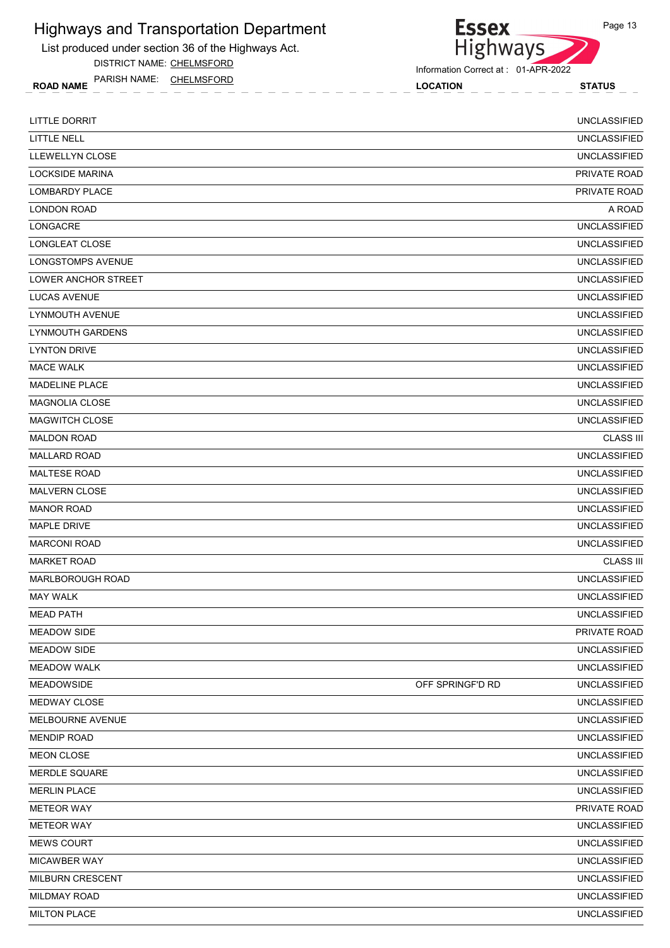List produced under section 36 of the Highways Act.

DISTRICT NAME: CHELMSFORD

ROAD NAME LOCATION STATUS PARISH NAME: CHELMSFORD

Essex<br>Highways

| LITTLE DORRIT           |                  | <b>UNCLASSIFIED</b> |
|-------------------------|------------------|---------------------|
| LITTLE NELL             |                  | <b>UNCLASSIFIED</b> |
| LLEWELLYN CLOSE         |                  | <b>UNCLASSIFIED</b> |
| <b>LOCKSIDE MARINA</b>  |                  | PRIVATE ROAD        |
| <b>LOMBARDY PLACE</b>   |                  | PRIVATE ROAD        |
| <b>LONDON ROAD</b>      |                  | A ROAD              |
| <b>LONGACRE</b>         |                  | <b>UNCLASSIFIED</b> |
| LONGLEAT CLOSE          |                  | <b>UNCLASSIFIED</b> |
| LONGSTOMPS AVENUE       |                  | <b>UNCLASSIFIED</b> |
| LOWER ANCHOR STREET     |                  | <b>UNCLASSIFIED</b> |
| LUCAS AVENUE            |                  | <b>UNCLASSIFIED</b> |
| LYNMOUTH AVENUE         |                  | <b>UNCLASSIFIED</b> |
| <b>LYNMOUTH GARDENS</b> |                  | <b>UNCLASSIFIED</b> |
| <b>LYNTON DRIVE</b>     |                  | <b>UNCLASSIFIED</b> |
| <b>MACE WALK</b>        |                  | <b>UNCLASSIFIED</b> |
| <b>MADELINE PLACE</b>   |                  | <b>UNCLASSIFIED</b> |
| <b>MAGNOLIA CLOSE</b>   |                  | <b>UNCLASSIFIED</b> |
| <b>MAGWITCH CLOSE</b>   |                  | <b>UNCLASSIFIED</b> |
| <b>MALDON ROAD</b>      |                  | <b>CLASS III</b>    |
| <b>MALLARD ROAD</b>     |                  | <b>UNCLASSIFIED</b> |
| <b>MALTESE ROAD</b>     |                  | <b>UNCLASSIFIED</b> |
| <b>MALVERN CLOSE</b>    |                  | <b>UNCLASSIFIED</b> |
| <b>MANOR ROAD</b>       |                  | <b>UNCLASSIFIED</b> |
| <b>MAPLE DRIVE</b>      |                  | <b>UNCLASSIFIED</b> |
| <b>MARCONI ROAD</b>     |                  | <b>UNCLASSIFIED</b> |
| <b>MARKET ROAD</b>      |                  | <b>CLASS III</b>    |
| <b>MARLBOROUGH ROAD</b> |                  | <b>UNCLASSIFIED</b> |
| <b>MAY WALK</b>         |                  | <b>UNCLASSIFIED</b> |
| <b>MEAD PATH</b>        |                  | <b>UNCLASSIFIED</b> |
| <b>MEADOW SIDE</b>      |                  | PRIVATE ROAD        |
| <b>MEADOW SIDE</b>      |                  | <b>UNCLASSIFIED</b> |
| <b>MEADOW WALK</b>      |                  | <b>UNCLASSIFIED</b> |
| <b>MEADOWSIDE</b>       | OFF SPRINGF'D RD | <b>UNCLASSIFIED</b> |
| MEDWAY CLOSE            |                  | <b>UNCLASSIFIED</b> |
| MELBOURNE AVENUE        |                  | <b>UNCLASSIFIED</b> |
| <b>MENDIP ROAD</b>      |                  | <b>UNCLASSIFIED</b> |
| <b>MEON CLOSE</b>       |                  | <b>UNCLASSIFIED</b> |
| <b>MERDLE SQUARE</b>    |                  | <b>UNCLASSIFIED</b> |
| <b>MERLIN PLACE</b>     |                  | <b>UNCLASSIFIED</b> |
| <b>METEOR WAY</b>       |                  | PRIVATE ROAD        |
| <b>METEOR WAY</b>       |                  | <b>UNCLASSIFIED</b> |
| <b>MEWS COURT</b>       |                  | <b>UNCLASSIFIED</b> |
| MICAWBER WAY            |                  | <b>UNCLASSIFIED</b> |
| MILBURN CRESCENT        |                  | <b>UNCLASSIFIED</b> |
| MILDMAY ROAD            |                  | <b>UNCLASSIFIED</b> |
| <b>MILTON PLACE</b>     |                  | <b>UNCLASSIFIED</b> |
|                         |                  |                     |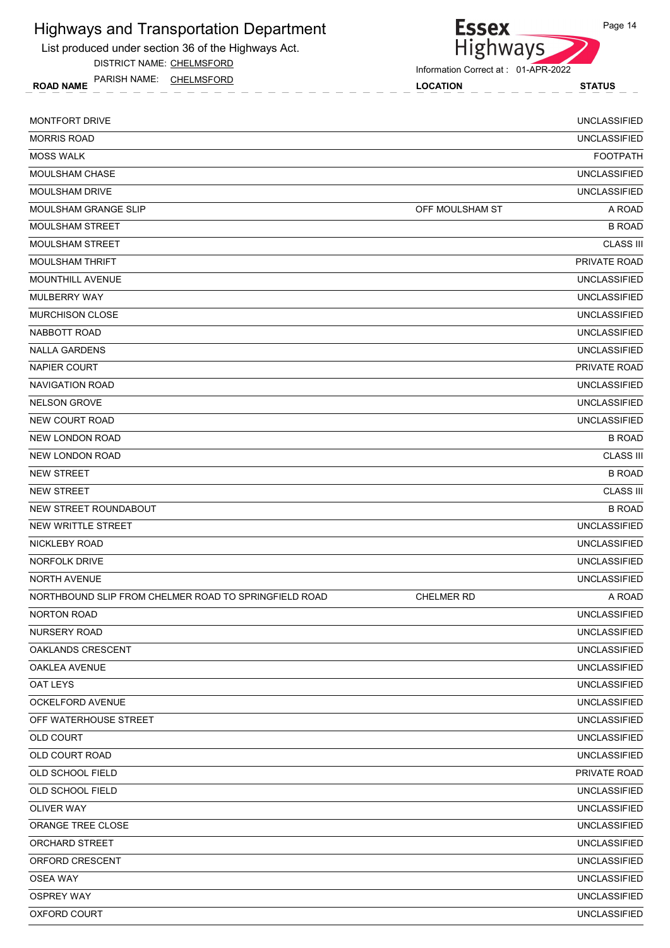List produced under section 36 of the Highways Act.

DISTRICT NAME: CHELMSFORD

ROAD NAME LOCATION STATUS PARISH NAME: CHELMSFORD

Essex<br>Highways

Information Correct at : 01-APR-2022

| MONTFORT DRIVE                                        |                 | <b>UNCLASSIFIED</b> |
|-------------------------------------------------------|-----------------|---------------------|
| <b>MORRIS ROAD</b>                                    |                 | <b>UNCLASSIFIED</b> |
| <b>MOSS WALK</b>                                      |                 | <b>FOOTPATH</b>     |
| <b>MOULSHAM CHASE</b>                                 |                 | <b>UNCLASSIFIED</b> |
| MOULSHAM DRIVE                                        |                 | <b>UNCLASSIFIED</b> |
| <b>MOULSHAM GRANGE SLIP</b>                           | OFF MOULSHAM ST | A ROAD              |
| <b>MOULSHAM STREET</b>                                |                 | <b>B ROAD</b>       |
| <b>MOULSHAM STREET</b>                                |                 | <b>CLASS III</b>    |
| <b>MOULSHAM THRIFT</b>                                |                 | PRIVATE ROAD        |
| <b>MOUNTHILL AVENUE</b>                               |                 | <b>UNCLASSIFIED</b> |
| MULBERRY WAY                                          |                 | <b>UNCLASSIFIED</b> |
| <b>MURCHISON CLOSE</b>                                |                 | <b>UNCLASSIFIED</b> |
| NABBOTT ROAD                                          |                 | <b>UNCLASSIFIED</b> |
| <b>NALLA GARDENS</b>                                  |                 | <b>UNCLASSIFIED</b> |
| NAPIER COURT                                          |                 | PRIVATE ROAD        |
| <b>NAVIGATION ROAD</b>                                |                 | <b>UNCLASSIFIED</b> |
| <b>NELSON GROVE</b>                                   |                 | <b>UNCLASSIFIED</b> |
| NEW COURT ROAD                                        |                 | <b>UNCLASSIFIED</b> |
| NEW LONDON ROAD                                       |                 | <b>B ROAD</b>       |
| NEW LONDON ROAD                                       |                 | <b>CLASS III</b>    |
| <b>NEW STREET</b>                                     |                 | <b>B ROAD</b>       |
| <b>NEW STREET</b>                                     |                 | <b>CLASS III</b>    |
| NEW STREET ROUNDABOUT                                 |                 | <b>B ROAD</b>       |
| NEW WRITTLE STREET                                    |                 | <b>UNCLASSIFIED</b> |
| NICKLEBY ROAD                                         |                 | <b>UNCLASSIFIED</b> |
| NORFOLK DRIVE                                         |                 | <b>UNCLASSIFIED</b> |
| <b>NORTH AVENUE</b>                                   |                 | <b>UNCLASSIFIED</b> |
| NORTHBOUND SLIP FROM CHELMER ROAD TO SPRINGFIELD ROAD | CHELMER RD      | A ROAD              |
| <b>NORTON ROAD</b>                                    |                 | <b>UNCLASSIFIED</b> |
| NURSERY ROAD                                          |                 | <b>UNCLASSIFIED</b> |
| <b>OAKLANDS CRESCENT</b>                              |                 | <b>UNCLASSIFIED</b> |
| OAKLEA AVENUE                                         |                 | <b>UNCLASSIFIED</b> |
| OAT LEYS                                              |                 | <b>UNCLASSIFIED</b> |
| OCKELFORD AVENUE                                      |                 | <b>UNCLASSIFIED</b> |
| OFF WATERHOUSE STREET                                 |                 | <b>UNCLASSIFIED</b> |
| <b>OLD COURT</b>                                      |                 | <b>UNCLASSIFIED</b> |
| OLD COURT ROAD                                        |                 | <b>UNCLASSIFIED</b> |
| OLD SCHOOL FIELD                                      |                 | PRIVATE ROAD        |
| OLD SCHOOL FIELD                                      |                 | <b>UNCLASSIFIED</b> |
| OLIVER WAY                                            |                 | <b>UNCLASSIFIED</b> |
| ORANGE TREE CLOSE                                     |                 | <b>UNCLASSIFIED</b> |
| ORCHARD STREET                                        |                 | <b>UNCLASSIFIED</b> |
| ORFORD CRESCENT                                       |                 | <b>UNCLASSIFIED</b> |
| <b>OSEA WAY</b>                                       |                 | <b>UNCLASSIFIED</b> |
| <b>OSPREY WAY</b>                                     |                 | <b>UNCLASSIFIED</b> |
| <b>OXFORD COURT</b>                                   |                 | <b>UNCLASSIFIED</b> |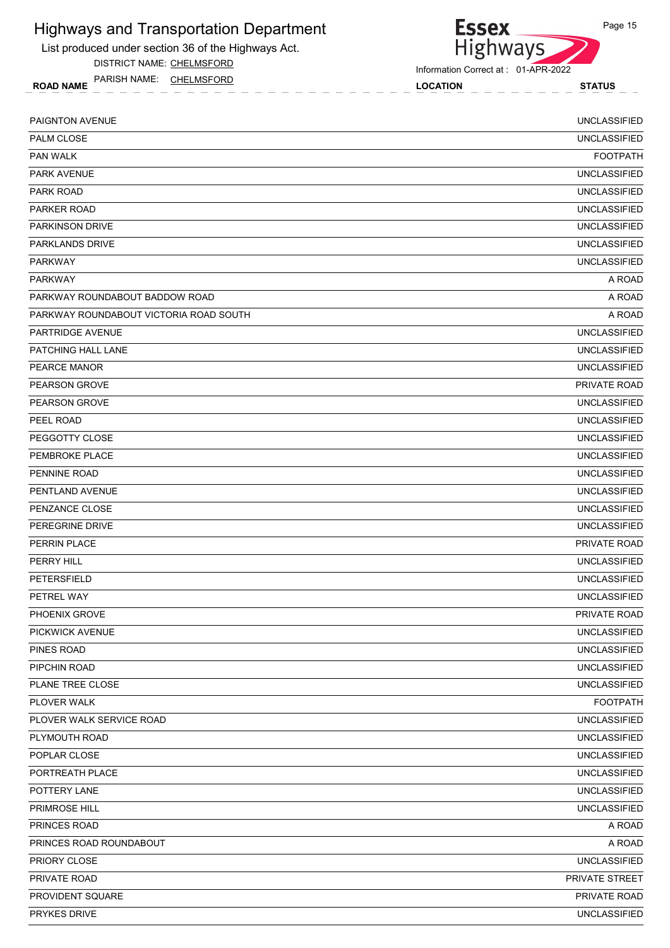List produced under section 36 of the Highways Act.

DISTRICT NAME: CHELMSFORD

ROAD NAME LOCATION STATUS PARISH NAME: CHELMSFORD



Information Correct at : 01-APR-2022

| PAIGNTON AVENUE                        | <b>UNCLASSIFIED</b> |
|----------------------------------------|---------------------|
| PALM CLOSE                             | <b>UNCLASSIFIED</b> |
| PAN WALK                               | <b>FOOTPATH</b>     |
| PARK AVENUE                            | <b>UNCLASSIFIED</b> |
| <b>PARK ROAD</b>                       | <b>UNCLASSIFIED</b> |
| <b>PARKER ROAD</b>                     | <b>UNCLASSIFIED</b> |
| <b>PARKINSON DRIVE</b>                 | <b>UNCLASSIFIED</b> |
| PARKLANDS DRIVE                        | <b>UNCLASSIFIED</b> |
| <b>PARKWAY</b>                         | <b>UNCLASSIFIED</b> |
| <b>PARKWAY</b>                         | A ROAD              |
| PARKWAY ROUNDABOUT BADDOW ROAD         | A ROAD              |
| PARKWAY ROUNDABOUT VICTORIA ROAD SOUTH | A ROAD              |
| <b>PARTRIDGE AVENUE</b>                | <b>UNCLASSIFIED</b> |
| PATCHING HALL LANE                     | <b>UNCLASSIFIED</b> |
| PEARCE MANOR                           | <b>UNCLASSIFIED</b> |
| PEARSON GROVE                          | PRIVATE ROAD        |
| <b>PEARSON GROVE</b>                   | <b>UNCLASSIFIED</b> |
| PEEL ROAD                              | <b>UNCLASSIFIED</b> |
| PEGGOTTY CLOSE                         | <b>UNCLASSIFIED</b> |
| PEMBROKE PLACE                         | <b>UNCLASSIFIED</b> |
| PENNINE ROAD                           | <b>UNCLASSIFIED</b> |
| PENTLAND AVENUE                        | <b>UNCLASSIFIED</b> |
| PENZANCE CLOSE                         | <b>UNCLASSIFIED</b> |
| PEREGRINE DRIVE                        | <b>UNCLASSIFIED</b> |
| PERRIN PLACE                           | PRIVATE ROAD        |
| PERRY HILL                             | <b>UNCLASSIFIED</b> |
| <b>PETERSFIELD</b>                     | <b>UNCLASSIFIED</b> |
| PETREL WAY                             | <b>UNCLASSIFIED</b> |
| PHOENIX GROVE                          | PRIVATE ROAD        |
| PICKWICK AVENUE                        | <b>UNCLASSIFIED</b> |
| PINES ROAD                             | <b>UNCLASSIFIED</b> |
| PIPCHIN ROAD                           | <b>UNCLASSIFIED</b> |
| PLANE TREE CLOSE                       | <b>UNCLASSIFIED</b> |
| PLOVER WALK                            | <b>FOOTPATH</b>     |
| PLOVER WALK SERVICE ROAD               | <b>UNCLASSIFIED</b> |
| PLYMOUTH ROAD                          | <b>UNCLASSIFIED</b> |
| POPLAR CLOSE                           | <b>UNCLASSIFIED</b> |
| PORTREATH PLACE                        | <b>UNCLASSIFIED</b> |
| POTTERY LANE                           | <b>UNCLASSIFIED</b> |
| PRIMROSE HILL                          | <b>UNCLASSIFIED</b> |
| PRINCES ROAD                           | A ROAD              |
| PRINCES ROAD ROUNDABOUT                | A ROAD              |
| PRIORY CLOSE                           | <b>UNCLASSIFIED</b> |
| PRIVATE ROAD                           | PRIVATE STREET      |
| PROVIDENT SQUARE                       | PRIVATE ROAD        |
| PRYKES DRIVE                           | <b>UNCLASSIFIED</b> |
|                                        |                     |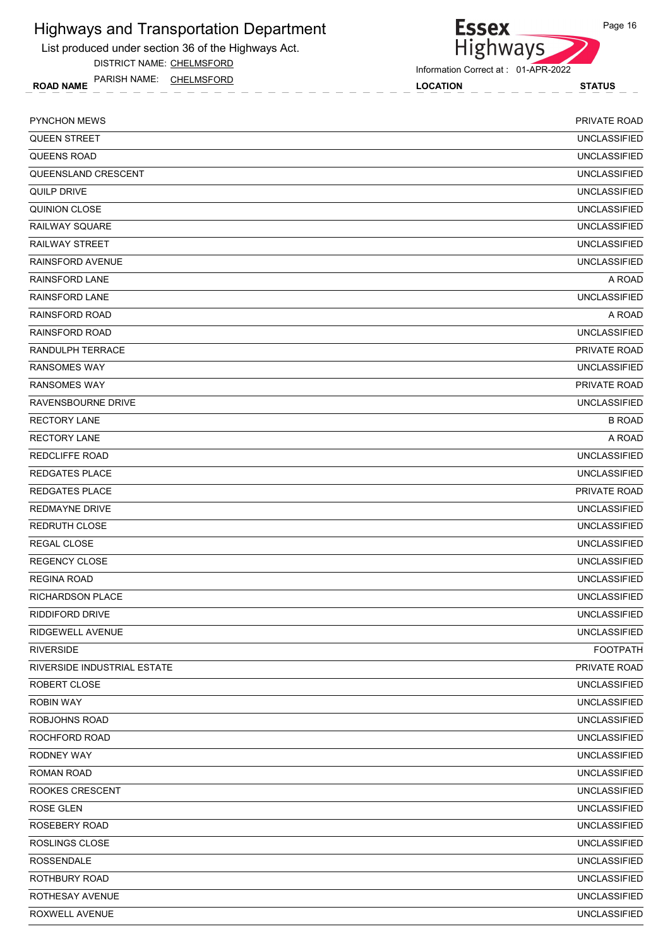List produced under section 36 of the Highways Act.

DISTRICT NAME: CHELMSFORD

ROAD NAME LOCATION STATUS PARISH NAME: CHELMSFORD

```
Essex
Highways
```
Information Correct at : 01-APR-2022

| <b>UNCLASSIFIED</b><br><b>QUEEN STREET</b><br><b>QUEENS ROAD</b><br><b>UNCLASSIFIED</b><br>QUEENSLAND CRESCENT<br><b>UNCLASSIFIED</b><br>QUILP DRIVE<br><b>UNCLASSIFIED</b><br><b>UNCLASSIFIED</b><br>QUINION CLOSE<br><b>RAILWAY SQUARE</b><br><b>UNCLASSIFIED</b><br><b>RAILWAY STREET</b><br><b>UNCLASSIFIED</b><br><b>RAINSFORD AVENUE</b><br><b>UNCLASSIFIED</b><br><b>RAINSFORD LANE</b><br>A ROAD<br><b>UNCLASSIFIED</b><br><b>RAINSFORD LANE</b><br><b>RAINSFORD ROAD</b><br>A ROAD<br><b>RAINSFORD ROAD</b><br><b>UNCLASSIFIED</b><br>RANDULPH TERRACE<br>PRIVATE ROAD<br><b>RANSOMES WAY</b><br><b>UNCLASSIFIED</b><br><b>RANSOMES WAY</b><br><b>PRIVATE ROAD</b><br><b>UNCLASSIFIED</b><br>RAVENSBOURNE DRIVE<br><b>B ROAD</b><br><b>RECTORY LANE</b><br><b>RECTORY LANE</b><br>A ROAD<br><b>UNCLASSIFIED</b><br><b>REDCLIFFE ROAD</b><br><b>REDGATES PLACE</b><br><b>UNCLASSIFIED</b><br><b>REDGATES PLACE</b><br>PRIVATE ROAD<br><b>UNCLASSIFIED</b><br>REDMAYNE DRIVE<br>REDRUTH CLOSE<br><b>UNCLASSIFIED</b><br>REGAL CLOSE<br><b>UNCLASSIFIED</b><br><b>REGENCY CLOSE</b><br><b>UNCLASSIFIED</b><br><b>UNCLASSIFIED</b><br><b>REGINA ROAD</b><br><b>UNCLASSIFIED</b><br><b>RICHARDSON PLACE</b><br>RIDDIFORD DRIVE<br><b>UNCLASSIFIED</b><br><b>UNCLASSIFIED</b><br>RIDGEWELL AVENUE<br><b>RIVERSIDE</b><br><b>FOOTPATH</b><br>RIVERSIDE INDUSTRIAL ESTATE<br>PRIVATE ROAD<br><b>UNCLASSIFIED</b><br>ROBERT CLOSE<br><b>ROBIN WAY</b><br><b>UNCLASSIFIED</b><br>ROBJOHNS ROAD<br><b>UNCLASSIFIED</b><br><b>UNCLASSIFIED</b><br>ROCHFORD ROAD<br>RODNEY WAY<br><b>UNCLASSIFIED</b><br><b>UNCLASSIFIED</b><br>ROMAN ROAD<br>ROOKES CRESCENT<br>ROSE GLEN<br><b>UNCLASSIFIED</b><br>ROSEBERY ROAD<br><b>UNCLASSIFIED</b><br>ROSLINGS CLOSE<br><b>UNCLASSIFIED</b><br><b>ROSSENDALE</b><br><b>UNCLASSIFIED</b><br>ROTHBURY ROAD<br><b>UNCLASSIFIED</b><br>ROTHESAY AVENUE<br><b>UNCLASSIFIED</b><br><b>UNCLASSIFIED</b><br>ROXWELL AVENUE | <b>PYNCHON MEWS</b> | PRIVATE ROAD |
|-------------------------------------------------------------------------------------------------------------------------------------------------------------------------------------------------------------------------------------------------------------------------------------------------------------------------------------------------------------------------------------------------------------------------------------------------------------------------------------------------------------------------------------------------------------------------------------------------------------------------------------------------------------------------------------------------------------------------------------------------------------------------------------------------------------------------------------------------------------------------------------------------------------------------------------------------------------------------------------------------------------------------------------------------------------------------------------------------------------------------------------------------------------------------------------------------------------------------------------------------------------------------------------------------------------------------------------------------------------------------------------------------------------------------------------------------------------------------------------------------------------------------------------------------------------------------------------------------------------------------------------------------------------------------------------------------------------------------------------------------------------------------------------------------------------------------------------------------------------------------------------------------------------------------------------------------------|---------------------|--------------|
|                                                                                                                                                                                                                                                                                                                                                                                                                                                                                                                                                                                                                                                                                                                                                                                                                                                                                                                                                                                                                                                                                                                                                                                                                                                                                                                                                                                                                                                                                                                                                                                                                                                                                                                                                                                                                                                                                                                                                       |                     |              |
|                                                                                                                                                                                                                                                                                                                                                                                                                                                                                                                                                                                                                                                                                                                                                                                                                                                                                                                                                                                                                                                                                                                                                                                                                                                                                                                                                                                                                                                                                                                                                                                                                                                                                                                                                                                                                                                                                                                                                       |                     |              |
|                                                                                                                                                                                                                                                                                                                                                                                                                                                                                                                                                                                                                                                                                                                                                                                                                                                                                                                                                                                                                                                                                                                                                                                                                                                                                                                                                                                                                                                                                                                                                                                                                                                                                                                                                                                                                                                                                                                                                       |                     |              |
|                                                                                                                                                                                                                                                                                                                                                                                                                                                                                                                                                                                                                                                                                                                                                                                                                                                                                                                                                                                                                                                                                                                                                                                                                                                                                                                                                                                                                                                                                                                                                                                                                                                                                                                                                                                                                                                                                                                                                       |                     |              |
|                                                                                                                                                                                                                                                                                                                                                                                                                                                                                                                                                                                                                                                                                                                                                                                                                                                                                                                                                                                                                                                                                                                                                                                                                                                                                                                                                                                                                                                                                                                                                                                                                                                                                                                                                                                                                                                                                                                                                       |                     |              |
|                                                                                                                                                                                                                                                                                                                                                                                                                                                                                                                                                                                                                                                                                                                                                                                                                                                                                                                                                                                                                                                                                                                                                                                                                                                                                                                                                                                                                                                                                                                                                                                                                                                                                                                                                                                                                                                                                                                                                       |                     |              |
|                                                                                                                                                                                                                                                                                                                                                                                                                                                                                                                                                                                                                                                                                                                                                                                                                                                                                                                                                                                                                                                                                                                                                                                                                                                                                                                                                                                                                                                                                                                                                                                                                                                                                                                                                                                                                                                                                                                                                       |                     |              |
|                                                                                                                                                                                                                                                                                                                                                                                                                                                                                                                                                                                                                                                                                                                                                                                                                                                                                                                                                                                                                                                                                                                                                                                                                                                                                                                                                                                                                                                                                                                                                                                                                                                                                                                                                                                                                                                                                                                                                       |                     |              |
|                                                                                                                                                                                                                                                                                                                                                                                                                                                                                                                                                                                                                                                                                                                                                                                                                                                                                                                                                                                                                                                                                                                                                                                                                                                                                                                                                                                                                                                                                                                                                                                                                                                                                                                                                                                                                                                                                                                                                       |                     |              |
|                                                                                                                                                                                                                                                                                                                                                                                                                                                                                                                                                                                                                                                                                                                                                                                                                                                                                                                                                                                                                                                                                                                                                                                                                                                                                                                                                                                                                                                                                                                                                                                                                                                                                                                                                                                                                                                                                                                                                       |                     |              |
|                                                                                                                                                                                                                                                                                                                                                                                                                                                                                                                                                                                                                                                                                                                                                                                                                                                                                                                                                                                                                                                                                                                                                                                                                                                                                                                                                                                                                                                                                                                                                                                                                                                                                                                                                                                                                                                                                                                                                       |                     |              |
|                                                                                                                                                                                                                                                                                                                                                                                                                                                                                                                                                                                                                                                                                                                                                                                                                                                                                                                                                                                                                                                                                                                                                                                                                                                                                                                                                                                                                                                                                                                                                                                                                                                                                                                                                                                                                                                                                                                                                       |                     |              |
|                                                                                                                                                                                                                                                                                                                                                                                                                                                                                                                                                                                                                                                                                                                                                                                                                                                                                                                                                                                                                                                                                                                                                                                                                                                                                                                                                                                                                                                                                                                                                                                                                                                                                                                                                                                                                                                                                                                                                       |                     |              |
|                                                                                                                                                                                                                                                                                                                                                                                                                                                                                                                                                                                                                                                                                                                                                                                                                                                                                                                                                                                                                                                                                                                                                                                                                                                                                                                                                                                                                                                                                                                                                                                                                                                                                                                                                                                                                                                                                                                                                       |                     |              |
|                                                                                                                                                                                                                                                                                                                                                                                                                                                                                                                                                                                                                                                                                                                                                                                                                                                                                                                                                                                                                                                                                                                                                                                                                                                                                                                                                                                                                                                                                                                                                                                                                                                                                                                                                                                                                                                                                                                                                       |                     |              |
|                                                                                                                                                                                                                                                                                                                                                                                                                                                                                                                                                                                                                                                                                                                                                                                                                                                                                                                                                                                                                                                                                                                                                                                                                                                                                                                                                                                                                                                                                                                                                                                                                                                                                                                                                                                                                                                                                                                                                       |                     |              |
|                                                                                                                                                                                                                                                                                                                                                                                                                                                                                                                                                                                                                                                                                                                                                                                                                                                                                                                                                                                                                                                                                                                                                                                                                                                                                                                                                                                                                                                                                                                                                                                                                                                                                                                                                                                                                                                                                                                                                       |                     |              |
|                                                                                                                                                                                                                                                                                                                                                                                                                                                                                                                                                                                                                                                                                                                                                                                                                                                                                                                                                                                                                                                                                                                                                                                                                                                                                                                                                                                                                                                                                                                                                                                                                                                                                                                                                                                                                                                                                                                                                       |                     |              |
|                                                                                                                                                                                                                                                                                                                                                                                                                                                                                                                                                                                                                                                                                                                                                                                                                                                                                                                                                                                                                                                                                                                                                                                                                                                                                                                                                                                                                                                                                                                                                                                                                                                                                                                                                                                                                                                                                                                                                       |                     |              |
|                                                                                                                                                                                                                                                                                                                                                                                                                                                                                                                                                                                                                                                                                                                                                                                                                                                                                                                                                                                                                                                                                                                                                                                                                                                                                                                                                                                                                                                                                                                                                                                                                                                                                                                                                                                                                                                                                                                                                       |                     |              |
|                                                                                                                                                                                                                                                                                                                                                                                                                                                                                                                                                                                                                                                                                                                                                                                                                                                                                                                                                                                                                                                                                                                                                                                                                                                                                                                                                                                                                                                                                                                                                                                                                                                                                                                                                                                                                                                                                                                                                       |                     |              |
|                                                                                                                                                                                                                                                                                                                                                                                                                                                                                                                                                                                                                                                                                                                                                                                                                                                                                                                                                                                                                                                                                                                                                                                                                                                                                                                                                                                                                                                                                                                                                                                                                                                                                                                                                                                                                                                                                                                                                       |                     |              |
| <b>UNCLASSIFIED</b>                                                                                                                                                                                                                                                                                                                                                                                                                                                                                                                                                                                                                                                                                                                                                                                                                                                                                                                                                                                                                                                                                                                                                                                                                                                                                                                                                                                                                                                                                                                                                                                                                                                                                                                                                                                                                                                                                                                                   |                     |              |
|                                                                                                                                                                                                                                                                                                                                                                                                                                                                                                                                                                                                                                                                                                                                                                                                                                                                                                                                                                                                                                                                                                                                                                                                                                                                                                                                                                                                                                                                                                                                                                                                                                                                                                                                                                                                                                                                                                                                                       |                     |              |
|                                                                                                                                                                                                                                                                                                                                                                                                                                                                                                                                                                                                                                                                                                                                                                                                                                                                                                                                                                                                                                                                                                                                                                                                                                                                                                                                                                                                                                                                                                                                                                                                                                                                                                                                                                                                                                                                                                                                                       |                     |              |
|                                                                                                                                                                                                                                                                                                                                                                                                                                                                                                                                                                                                                                                                                                                                                                                                                                                                                                                                                                                                                                                                                                                                                                                                                                                                                                                                                                                                                                                                                                                                                                                                                                                                                                                                                                                                                                                                                                                                                       |                     |              |
|                                                                                                                                                                                                                                                                                                                                                                                                                                                                                                                                                                                                                                                                                                                                                                                                                                                                                                                                                                                                                                                                                                                                                                                                                                                                                                                                                                                                                                                                                                                                                                                                                                                                                                                                                                                                                                                                                                                                                       |                     |              |
|                                                                                                                                                                                                                                                                                                                                                                                                                                                                                                                                                                                                                                                                                                                                                                                                                                                                                                                                                                                                                                                                                                                                                                                                                                                                                                                                                                                                                                                                                                                                                                                                                                                                                                                                                                                                                                                                                                                                                       |                     |              |
|                                                                                                                                                                                                                                                                                                                                                                                                                                                                                                                                                                                                                                                                                                                                                                                                                                                                                                                                                                                                                                                                                                                                                                                                                                                                                                                                                                                                                                                                                                                                                                                                                                                                                                                                                                                                                                                                                                                                                       |                     |              |
|                                                                                                                                                                                                                                                                                                                                                                                                                                                                                                                                                                                                                                                                                                                                                                                                                                                                                                                                                                                                                                                                                                                                                                                                                                                                                                                                                                                                                                                                                                                                                                                                                                                                                                                                                                                                                                                                                                                                                       |                     |              |
|                                                                                                                                                                                                                                                                                                                                                                                                                                                                                                                                                                                                                                                                                                                                                                                                                                                                                                                                                                                                                                                                                                                                                                                                                                                                                                                                                                                                                                                                                                                                                                                                                                                                                                                                                                                                                                                                                                                                                       |                     |              |
|                                                                                                                                                                                                                                                                                                                                                                                                                                                                                                                                                                                                                                                                                                                                                                                                                                                                                                                                                                                                                                                                                                                                                                                                                                                                                                                                                                                                                                                                                                                                                                                                                                                                                                                                                                                                                                                                                                                                                       |                     |              |
|                                                                                                                                                                                                                                                                                                                                                                                                                                                                                                                                                                                                                                                                                                                                                                                                                                                                                                                                                                                                                                                                                                                                                                                                                                                                                                                                                                                                                                                                                                                                                                                                                                                                                                                                                                                                                                                                                                                                                       |                     |              |
|                                                                                                                                                                                                                                                                                                                                                                                                                                                                                                                                                                                                                                                                                                                                                                                                                                                                                                                                                                                                                                                                                                                                                                                                                                                                                                                                                                                                                                                                                                                                                                                                                                                                                                                                                                                                                                                                                                                                                       |                     |              |
|                                                                                                                                                                                                                                                                                                                                                                                                                                                                                                                                                                                                                                                                                                                                                                                                                                                                                                                                                                                                                                                                                                                                                                                                                                                                                                                                                                                                                                                                                                                                                                                                                                                                                                                                                                                                                                                                                                                                                       |                     |              |
|                                                                                                                                                                                                                                                                                                                                                                                                                                                                                                                                                                                                                                                                                                                                                                                                                                                                                                                                                                                                                                                                                                                                                                                                                                                                                                                                                                                                                                                                                                                                                                                                                                                                                                                                                                                                                                                                                                                                                       |                     |              |
|                                                                                                                                                                                                                                                                                                                                                                                                                                                                                                                                                                                                                                                                                                                                                                                                                                                                                                                                                                                                                                                                                                                                                                                                                                                                                                                                                                                                                                                                                                                                                                                                                                                                                                                                                                                                                                                                                                                                                       |                     |              |
|                                                                                                                                                                                                                                                                                                                                                                                                                                                                                                                                                                                                                                                                                                                                                                                                                                                                                                                                                                                                                                                                                                                                                                                                                                                                                                                                                                                                                                                                                                                                                                                                                                                                                                                                                                                                                                                                                                                                                       |                     |              |
|                                                                                                                                                                                                                                                                                                                                                                                                                                                                                                                                                                                                                                                                                                                                                                                                                                                                                                                                                                                                                                                                                                                                                                                                                                                                                                                                                                                                                                                                                                                                                                                                                                                                                                                                                                                                                                                                                                                                                       |                     |              |
|                                                                                                                                                                                                                                                                                                                                                                                                                                                                                                                                                                                                                                                                                                                                                                                                                                                                                                                                                                                                                                                                                                                                                                                                                                                                                                                                                                                                                                                                                                                                                                                                                                                                                                                                                                                                                                                                                                                                                       |                     |              |
|                                                                                                                                                                                                                                                                                                                                                                                                                                                                                                                                                                                                                                                                                                                                                                                                                                                                                                                                                                                                                                                                                                                                                                                                                                                                                                                                                                                                                                                                                                                                                                                                                                                                                                                                                                                                                                                                                                                                                       |                     |              |
|                                                                                                                                                                                                                                                                                                                                                                                                                                                                                                                                                                                                                                                                                                                                                                                                                                                                                                                                                                                                                                                                                                                                                                                                                                                                                                                                                                                                                                                                                                                                                                                                                                                                                                                                                                                                                                                                                                                                                       |                     |              |
|                                                                                                                                                                                                                                                                                                                                                                                                                                                                                                                                                                                                                                                                                                                                                                                                                                                                                                                                                                                                                                                                                                                                                                                                                                                                                                                                                                                                                                                                                                                                                                                                                                                                                                                                                                                                                                                                                                                                                       |                     |              |
|                                                                                                                                                                                                                                                                                                                                                                                                                                                                                                                                                                                                                                                                                                                                                                                                                                                                                                                                                                                                                                                                                                                                                                                                                                                                                                                                                                                                                                                                                                                                                                                                                                                                                                                                                                                                                                                                                                                                                       |                     |              |
|                                                                                                                                                                                                                                                                                                                                                                                                                                                                                                                                                                                                                                                                                                                                                                                                                                                                                                                                                                                                                                                                                                                                                                                                                                                                                                                                                                                                                                                                                                                                                                                                                                                                                                                                                                                                                                                                                                                                                       |                     |              |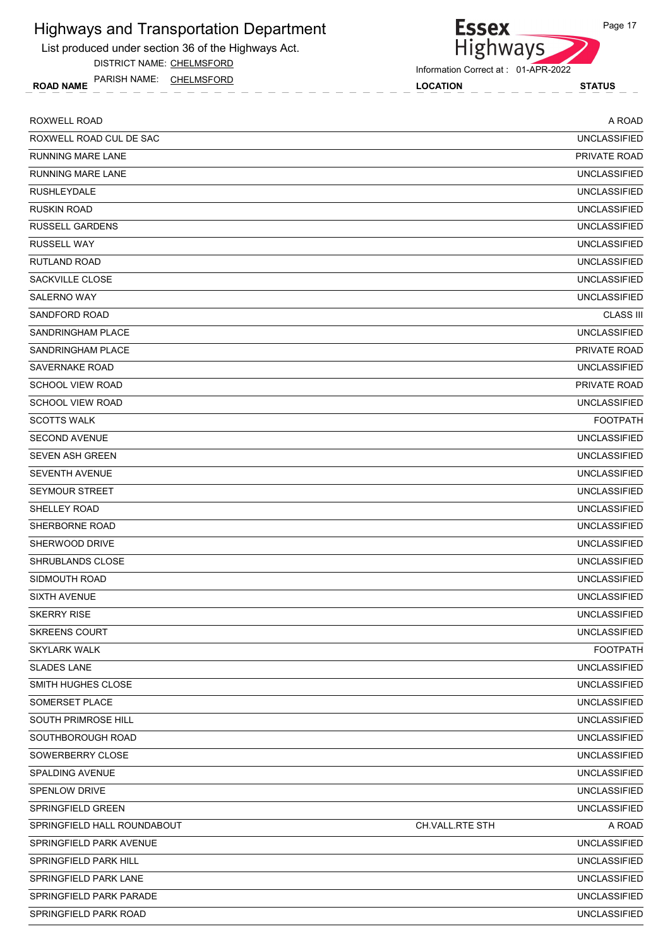List produced under section 36 of the Highways Act.

DISTRICT NAME: CHELMSFORD

ROAD NAME LOCATION STATUS PARISH NAME: CHELMSFORD

Highways Information Correct at : 01-APR-2022

**Essex** 

| <b>ROXWELL ROAD</b>         |                 | A ROAD              |
|-----------------------------|-----------------|---------------------|
| ROXWELL ROAD CUL DE SAC     |                 | <b>UNCLASSIFIED</b> |
| <b>RUNNING MARE LANE</b>    |                 | PRIVATE ROAD        |
| <b>RUNNING MARE LANE</b>    |                 | <b>UNCLASSIFIED</b> |
| <b>RUSHLEYDALE</b>          |                 | <b>UNCLASSIFIED</b> |
| <b>RUSKIN ROAD</b>          |                 | <b>UNCLASSIFIED</b> |
| <b>RUSSELL GARDENS</b>      |                 | <b>UNCLASSIFIED</b> |
| <b>RUSSELL WAY</b>          |                 | <b>UNCLASSIFIED</b> |
| <b>RUTLAND ROAD</b>         |                 | <b>UNCLASSIFIED</b> |
| SACKVILLE CLOSE             |                 | <b>UNCLASSIFIED</b> |
| <b>SALERNO WAY</b>          |                 | <b>UNCLASSIFIED</b> |
| SANDFORD ROAD               |                 | <b>CLASS III</b>    |
| SANDRINGHAM PLACE           |                 | <b>UNCLASSIFIED</b> |
| SANDRINGHAM PLACE           |                 | PRIVATE ROAD        |
| <b>SAVERNAKE ROAD</b>       |                 | <b>UNCLASSIFIED</b> |
| <b>SCHOOL VIEW ROAD</b>     |                 | PRIVATE ROAD        |
| SCHOOL VIEW ROAD            |                 | <b>UNCLASSIFIED</b> |
| <b>SCOTTS WALK</b>          |                 | <b>FOOTPATH</b>     |
| <b>SECOND AVENUE</b>        |                 | <b>UNCLASSIFIED</b> |
| <b>SEVEN ASH GREEN</b>      |                 | <b>UNCLASSIFIED</b> |
| <b>SEVENTH AVENUE</b>       |                 | <b>UNCLASSIFIED</b> |
| <b>SEYMOUR STREET</b>       |                 | <b>UNCLASSIFIED</b> |
| SHELLEY ROAD                |                 | <b>UNCLASSIFIED</b> |
| SHERBORNE ROAD              |                 | <b>UNCLASSIFIED</b> |
| SHERWOOD DRIVE              |                 | <b>UNCLASSIFIED</b> |
| SHRUBLANDS CLOSE            |                 | <b>UNCLASSIFIED</b> |
| SIDMOUTH ROAD               |                 | <b>UNCLASSIFIED</b> |
| <b>SIXTH AVENUE</b>         |                 | <b>UNCLASSIFIED</b> |
| <b>SKERRY RISE</b>          |                 | <b>UNCLASSIFIED</b> |
| <b>SKREENS COURT</b>        |                 | <b>UNCLASSIFIED</b> |
| <b>SKYLARK WALK</b>         |                 | <b>FOOTPATH</b>     |
| <b>SLADES LANE</b>          |                 | <b>UNCLASSIFIED</b> |
| SMITH HUGHES CLOSE          |                 | <b>UNCLASSIFIED</b> |
| SOMERSET PLACE              |                 | <b>UNCLASSIFIED</b> |
| SOUTH PRIMROSE HILL         |                 | <b>UNCLASSIFIED</b> |
| SOUTHBOROUGH ROAD           |                 | <b>UNCLASSIFIED</b> |
| SOWERBERRY CLOSE            |                 | <b>UNCLASSIFIED</b> |
| <b>SPALDING AVENUE</b>      |                 | <b>UNCLASSIFIED</b> |
| SPENLOW DRIVE               |                 | UNCLASSIFIED        |
| SPRINGFIELD GREEN           |                 | <b>UNCLASSIFIED</b> |
| SPRINGFIELD HALL ROUNDABOUT | CH.VALL.RTE STH | A ROAD              |
| SPRINGFIELD PARK AVENUE     |                 | <b>UNCLASSIFIED</b> |
| SPRINGFIELD PARK HILL       |                 | <b>UNCLASSIFIED</b> |
| SPRINGFIELD PARK LANE       |                 | UNCLASSIFIED        |
| SPRINGFIELD PARK PARADE     |                 | <b>UNCLASSIFIED</b> |
| SPRINGFIELD PARK ROAD       |                 | UNCLASSIFIED        |

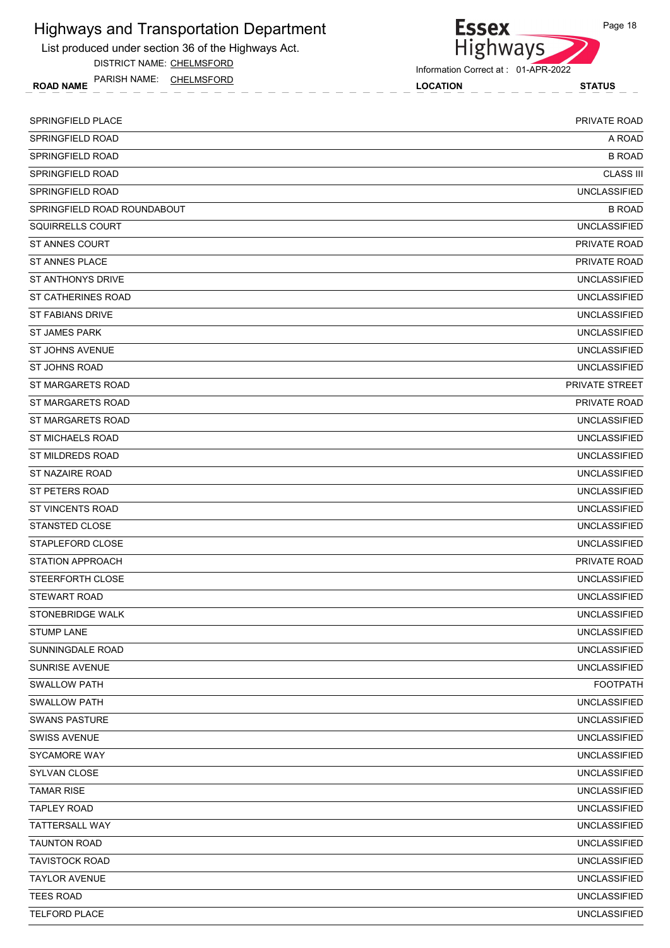

DISTRICT NAME: CHELMSFORD

ROAD NAME LOCATION STATUS PARISH NAME: CHELMSFORD



Information Correct at : 01-APR-2022

| <b>SPRINGFIELD PLACE</b>    | PRIVATE ROAD        |
|-----------------------------|---------------------|
| SPRINGFIELD ROAD            | A ROAD              |
| SPRINGFIELD ROAD            | <b>B ROAD</b>       |
| SPRINGFIELD ROAD            | <b>CLASS III</b>    |
| SPRINGFIELD ROAD            | <b>UNCLASSIFIED</b> |
| SPRINGFIELD ROAD ROUNDABOUT | <b>B ROAD</b>       |
| SQUIRRELLS COURT            | <b>UNCLASSIFIED</b> |
| <b>ST ANNES COURT</b>       | PRIVATE ROAD        |
| <b>ST ANNES PLACE</b>       | PRIVATE ROAD        |
| ST ANTHONYS DRIVE           | <b>UNCLASSIFIED</b> |
| ST CATHERINES ROAD          | <b>UNCLASSIFIED</b> |
| <b>ST FABIANS DRIVE</b>     | <b>UNCLASSIFIED</b> |
| <b>ST JAMES PARK</b>        | <b>UNCLASSIFIED</b> |
| ST JOHNS AVENUE             | <b>UNCLASSIFIED</b> |
| ST JOHNS ROAD               | <b>UNCLASSIFIED</b> |
| ST MARGARETS ROAD           | PRIVATE STREET      |
| ST MARGARETS ROAD           | <b>PRIVATE ROAD</b> |
| ST MARGARETS ROAD           | <b>UNCLASSIFIED</b> |
| <b>ST MICHAELS ROAD</b>     | <b>UNCLASSIFIED</b> |
| ST MILDREDS ROAD            | <b>UNCLASSIFIED</b> |
| ST NAZAIRE ROAD             | <b>UNCLASSIFIED</b> |
| ST PETERS ROAD              | <b>UNCLASSIFIED</b> |
| ST VINCENTS ROAD            | <b>UNCLASSIFIED</b> |
| STANSTED CLOSE              | <b>UNCLASSIFIED</b> |
| STAPLEFORD CLOSE            | <b>UNCLASSIFIED</b> |
| <b>STATION APPROACH</b>     | PRIVATE ROAD        |
| STEERFORTH CLOSE            | <b>UNCLASSIFIED</b> |
| <b>STEWART ROAD</b>         | <b>UNCLASSIFIED</b> |
| <b>STONEBRIDGE WALK</b>     | <b>UNCLASSIFIED</b> |
| <b>STUMP LANE</b>           | <b>UNCLASSIFIED</b> |
| SUNNINGDALE ROAD            | <b>UNCLASSIFIED</b> |
| SUNRISE AVENUE              | <b>UNCLASSIFIED</b> |
| <b>SWALLOW PATH</b>         | <b>FOOTPATH</b>     |
| <b>SWALLOW PATH</b>         | <b>UNCLASSIFIED</b> |
| <b>SWANS PASTURE</b>        | <b>UNCLASSIFIED</b> |
| <b>SWISS AVENUE</b>         | <b>UNCLASSIFIED</b> |
| SYCAMORE WAY                | <b>UNCLASSIFIED</b> |
| SYLVAN CLOSE                | <b>UNCLASSIFIED</b> |
| <b>TAMAR RISE</b>           | <b>UNCLASSIFIED</b> |
| <b>TAPLEY ROAD</b>          | <b>UNCLASSIFIED</b> |
| TATTERSALL WAY              | <b>UNCLASSIFIED</b> |
| <b>TAUNTON ROAD</b>         | <b>UNCLASSIFIED</b> |
| <b>TAVISTOCK ROAD</b>       | <b>UNCLASSIFIED</b> |
| <b>TAYLOR AVENUE</b>        | <b>UNCLASSIFIED</b> |
| <b>TEES ROAD</b>            | <b>UNCLASSIFIED</b> |
| <b>TELFORD PLACE</b>        | <b>UNCLASSIFIED</b> |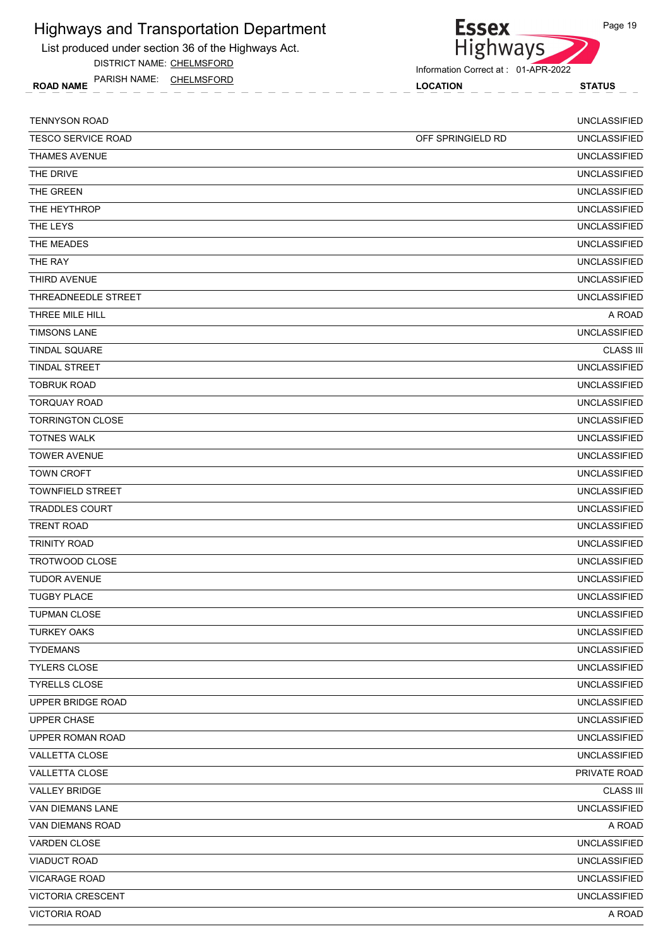List produced under section 36 of the Highways Act.

DISTRICT NAME: CHELMSFORD

ROAD NAME LOCATION STATUS PARISH NAME: CHELMSFORD



| <b>TENNYSON ROAD</b>      |                   | <b>UNCLASSIFIED</b> |
|---------------------------|-------------------|---------------------|
| <b>TESCO SERVICE ROAD</b> | OFF SPRINGIELD RD | <b>UNCLASSIFIED</b> |
| <b>THAMES AVENUE</b>      |                   | <b>UNCLASSIFIED</b> |
| THE DRIVE                 |                   | <b>UNCLASSIFIED</b> |
| THE GREEN                 |                   | <b>UNCLASSIFIED</b> |
| THE HEYTHROP              |                   | <b>UNCLASSIFIED</b> |
| THE LEYS                  |                   | <b>UNCLASSIFIED</b> |
| THE MEADES                |                   | <b>UNCLASSIFIED</b> |
| THE RAY                   |                   | <b>UNCLASSIFIED</b> |
| THIRD AVENUE              |                   | <b>UNCLASSIFIED</b> |
| THREADNEEDLE STREET       |                   | <b>UNCLASSIFIED</b> |
| THREE MILE HILL           |                   | A ROAD              |
| <b>TIMSONS LANE</b>       |                   | <b>UNCLASSIFIED</b> |
| <b>TINDAL SQUARE</b>      |                   | <b>CLASS III</b>    |
| <b>TINDAL STREET</b>      |                   | <b>UNCLASSIFIED</b> |
| <b>TOBRUK ROAD</b>        |                   | <b>UNCLASSIFIED</b> |
| <b>TORQUAY ROAD</b>       |                   | <b>UNCLASSIFIED</b> |
| <b>TORRINGTON CLOSE</b>   |                   | <b>UNCLASSIFIED</b> |
| <b>TOTNES WALK</b>        |                   | <b>UNCLASSIFIED</b> |
| <b>TOWER AVENUE</b>       |                   | <b>UNCLASSIFIED</b> |
| <b>TOWN CROFT</b>         |                   | <b>UNCLASSIFIED</b> |
| <b>TOWNFIELD STREET</b>   |                   | <b>UNCLASSIFIED</b> |
| <b>TRADDLES COURT</b>     |                   | <b>UNCLASSIFIED</b> |
| <b>TRENT ROAD</b>         |                   | <b>UNCLASSIFIED</b> |
| <b>TRINITY ROAD</b>       |                   | <b>UNCLASSIFIED</b> |
| TROTWOOD CLOSE            |                   | <b>UNCLASSIFIED</b> |
| <b>TUDOR AVENUE</b>       |                   | <b>UNCLASSIFIED</b> |
| <b>TUGBY PLACE</b>        |                   | <b>UNCLASSIFIED</b> |
| <b>TUPMAN CLOSE</b>       |                   | <b>UNCLASSIFIED</b> |
| <b>TURKEY OAKS</b>        |                   | <b>UNCLASSIFIED</b> |
| <b>TYDEMANS</b>           |                   | <b>UNCLASSIFIED</b> |
| TYLERS CLOSE              |                   | <b>UNCLASSIFIED</b> |
| <b>TYRELLS CLOSE</b>      |                   | <b>UNCLASSIFIED</b> |
| UPPER BRIDGE ROAD         |                   | <b>UNCLASSIFIED</b> |
| UPPER CHASE               |                   | <b>UNCLASSIFIED</b> |
| UPPER ROMAN ROAD          |                   | <b>UNCLASSIFIED</b> |
| VALLETTA CLOSE            |                   | <b>UNCLASSIFIED</b> |
| VALLETTA CLOSE            |                   | PRIVATE ROAD        |
| <b>VALLEY BRIDGE</b>      |                   | <b>CLASS III</b>    |
| VAN DIEMANS LANE          |                   | <b>UNCLASSIFIED</b> |
| VAN DIEMANS ROAD          |                   | A ROAD              |
| VARDEN CLOSE              |                   | <b>UNCLASSIFIED</b> |
| <b>VIADUCT ROAD</b>       |                   | <b>UNCLASSIFIED</b> |
| <b>VICARAGE ROAD</b>      |                   | <b>UNCLASSIFIED</b> |
| VICTORIA CRESCENT         |                   | <b>UNCLASSIFIED</b> |
| <b>VICTORIA ROAD</b>      |                   | A ROAD              |
|                           |                   |                     |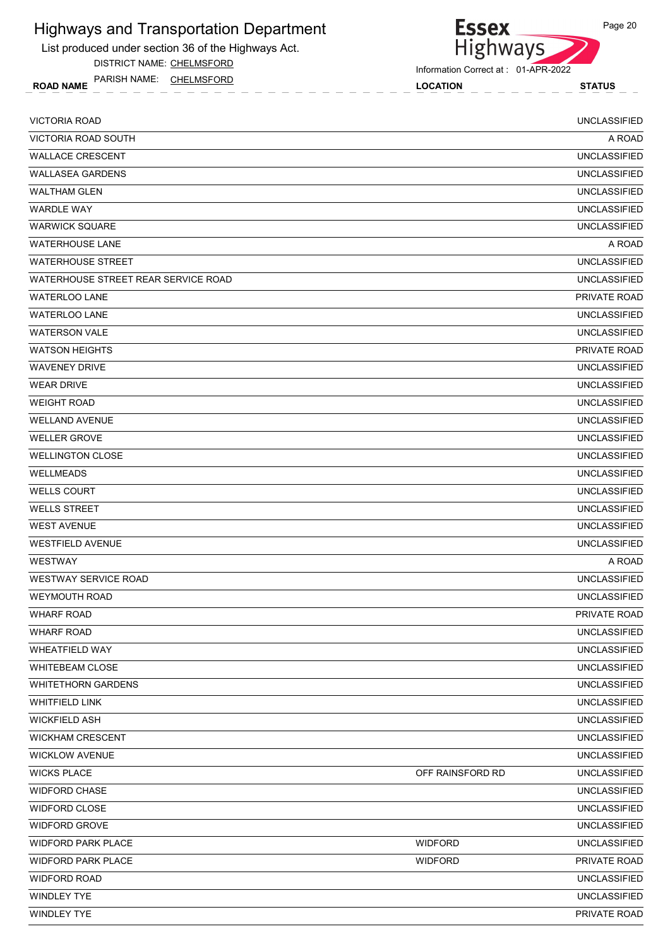List produced under section 36 of the Highways Act.

DISTRICT NAME: CHELMSFORD

ROAD NAME LOCATION STATUS PARISH NAME: CHELMSFORD

**Essex** Highways

Information Correct at : 01-APR-2022

| <b>VICTORIA ROAD</b>                |                  | <b>UNCLASSIFIED</b> |
|-------------------------------------|------------------|---------------------|
| VICTORIA ROAD SOUTH                 |                  | A ROAD              |
| <b>WALLACE CRESCENT</b>             |                  | <b>UNCLASSIFIED</b> |
| <b>WALLASEA GARDENS</b>             |                  | <b>UNCLASSIFIED</b> |
| <b>WALTHAM GLEN</b>                 |                  | <b>UNCLASSIFIED</b> |
| <b>WARDLE WAY</b>                   |                  | <b>UNCLASSIFIED</b> |
| <b>WARWICK SQUARE</b>               |                  | <b>UNCLASSIFIED</b> |
| <b>WATERHOUSE LANE</b>              |                  | A ROAD              |
| <b>WATERHOUSE STREET</b>            |                  | <b>UNCLASSIFIED</b> |
| WATERHOUSE STREET REAR SERVICE ROAD |                  | <b>UNCLASSIFIED</b> |
| <b>WATERLOO LANE</b>                |                  | PRIVATE ROAD        |
| <b>WATERLOO LANE</b>                |                  | <b>UNCLASSIFIED</b> |
| <b>WATERSON VALE</b>                |                  | <b>UNCLASSIFIED</b> |
| <b>WATSON HEIGHTS</b>               |                  | PRIVATE ROAD        |
| <b>WAVENEY DRIVE</b>                |                  | <b>UNCLASSIFIED</b> |
| <b>WEAR DRIVE</b>                   |                  | <b>UNCLASSIFIED</b> |
| <b>WEIGHT ROAD</b>                  |                  | <b>UNCLASSIFIED</b> |
| <b>WELLAND AVENUE</b>               |                  | <b>UNCLASSIFIED</b> |
| <b>WELLER GROVE</b>                 |                  | <b>UNCLASSIFIED</b> |
| <b>WELLINGTON CLOSE</b>             |                  | <b>UNCLASSIFIED</b> |
| WELLMEADS                           |                  | <b>UNCLASSIFIED</b> |
| <b>WELLS COURT</b>                  |                  | <b>UNCLASSIFIED</b> |
| <b>WELLS STREET</b>                 |                  | <b>UNCLASSIFIED</b> |
| <b>WEST AVENUE</b>                  |                  | <b>UNCLASSIFIED</b> |
| <b>WESTFIELD AVENUE</b>             |                  | <b>UNCLASSIFIED</b> |
| <b>WESTWAY</b>                      |                  | A ROAD              |
| <b>WESTWAY SERVICE ROAD</b>         |                  | <b>UNCLASSIFIED</b> |
| <b>WEYMOUTH ROAD</b>                |                  | <b>UNCLASSIFIED</b> |
| <b>WHARF ROAD</b>                   |                  | PRIVATE ROAD        |
| <b>WHARF ROAD</b>                   |                  | <b>UNCLASSIFIED</b> |
| WHEATFIELD WAY                      |                  | <b>UNCLASSIFIED</b> |
| <b>WHITEBEAM CLOSE</b>              |                  | <b>UNCLASSIFIED</b> |
| <b>WHITETHORN GARDENS</b>           |                  | <b>UNCLASSIFIED</b> |
| <b>WHITFIELD LINK</b>               |                  | <b>UNCLASSIFIED</b> |
| <b>WICKFIELD ASH</b>                |                  | <b>UNCLASSIFIED</b> |
| <b>WICKHAM CRESCENT</b>             |                  | <b>UNCLASSIFIED</b> |
| <b>WICKLOW AVENUE</b>               |                  | <b>UNCLASSIFIED</b> |
| <b>WICKS PLACE</b>                  | OFF RAINSFORD RD | <b>UNCLASSIFIED</b> |
| <b>WIDFORD CHASE</b>                |                  | <b>UNCLASSIFIED</b> |
| WIDFORD CLOSE                       |                  | <b>UNCLASSIFIED</b> |
| WIDFORD GROVE                       |                  | <b>UNCLASSIFIED</b> |
| WIDFORD PARK PLACE                  | <b>WIDFORD</b>   | <b>UNCLASSIFIED</b> |
| <b>WIDFORD PARK PLACE</b>           | <b>WIDFORD</b>   | PRIVATE ROAD        |
| <b>WIDFORD ROAD</b>                 |                  | <b>UNCLASSIFIED</b> |
| WINDLEY TYE                         |                  | <b>UNCLASSIFIED</b> |
| WINDLEY TYE                         |                  | PRIVATE ROAD        |
|                                     |                  |                     |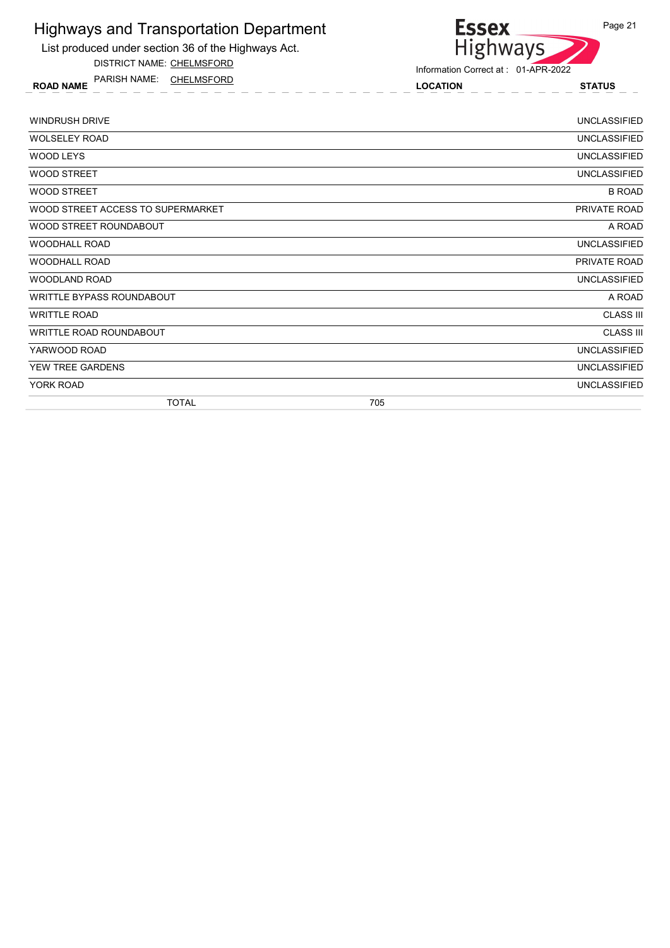

DISTRICT NAME: CHELMSFORD

ROAD NAME LOCATION STATUS PARISH NAME: CHELMSFORD



| <b>WINDRUSH DRIVE</b>             |     | UNCLASSIFIED        |
|-----------------------------------|-----|---------------------|
| <b>WOLSELEY ROAD</b>              |     | <b>UNCLASSIFIED</b> |
| WOOD LEYS                         |     | <b>UNCLASSIFIED</b> |
| <b>WOOD STREET</b>                |     | <b>UNCLASSIFIED</b> |
| <b>WOOD STREET</b>                |     | <b>B ROAD</b>       |
| WOOD STREET ACCESS TO SUPERMARKET |     | PRIVATE ROAD        |
| WOOD STREET ROUNDABOUT            |     | A ROAD              |
| <b>WOODHALL ROAD</b>              |     | <b>UNCLASSIFIED</b> |
| <b>WOODHALL ROAD</b>              |     | PRIVATE ROAD        |
| WOODLAND ROAD                     |     | <b>UNCLASSIFIED</b> |
| WRITTLE BYPASS ROUNDABOUT         |     | A ROAD              |
| <b>WRITTLE ROAD</b>               |     | <b>CLASS III</b>    |
| WRITTLE ROAD ROUNDABOUT           |     | <b>CLASS III</b>    |
| YARWOOD ROAD                      |     | <b>UNCLASSIFIED</b> |
| YEW TREE GARDENS                  |     | <b>UNCLASSIFIED</b> |
| YORK ROAD                         |     | <b>UNCLASSIFIED</b> |
| <b>TOTAL</b>                      | 705 |                     |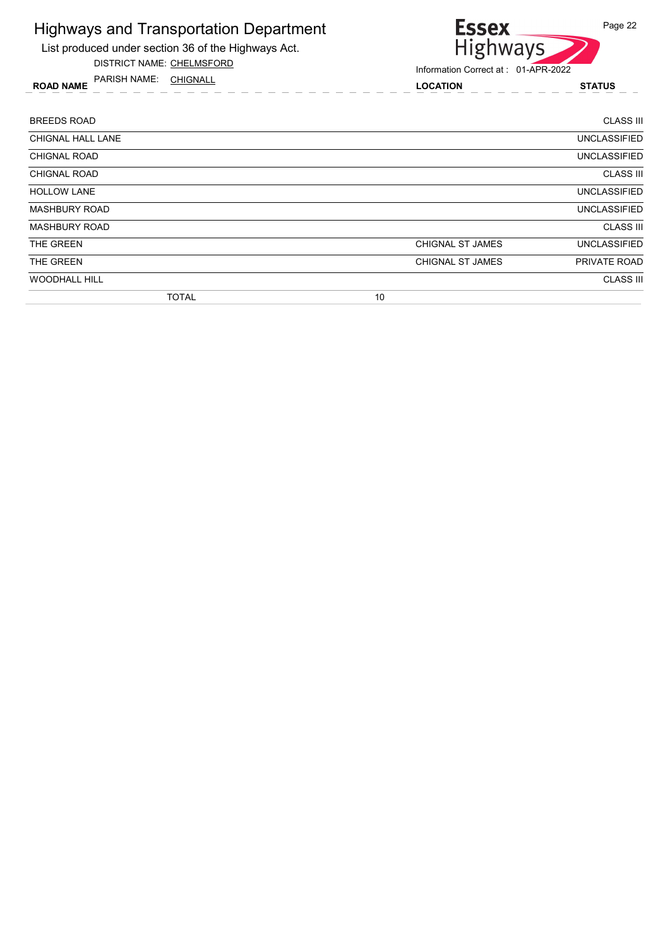

DISTRICT NAME: CHELMSFORD

ROAD NAME LOCATION STATUS PARISH NAME: CHIGNALL



| <b>BREEDS ROAD</b>   |    |                         | <b>CLASS III</b>    |
|----------------------|----|-------------------------|---------------------|
| CHIGNAL HALL LANE    |    |                         | <b>UNCLASSIFIED</b> |
| <b>CHIGNAL ROAD</b>  |    |                         | <b>UNCLASSIFIED</b> |
| <b>CHIGNAL ROAD</b>  |    |                         | <b>CLASS III</b>    |
| <b>HOLLOW LANE</b>   |    |                         | <b>UNCLASSIFIED</b> |
| <b>MASHBURY ROAD</b> |    |                         | <b>UNCLASSIFIED</b> |
| <b>MASHBURY ROAD</b> |    |                         | <b>CLASS III</b>    |
| THE GREEN            |    | <b>CHIGNAL ST JAMES</b> | <b>UNCLASSIFIED</b> |
| THE GREEN            |    | CHIGNAL ST JAMES        | <b>PRIVATE ROAD</b> |
| <b>WOODHALL HILL</b> |    |                         | <b>CLASS III</b>    |
| <b>TOTAL</b>         | 10 |                         |                     |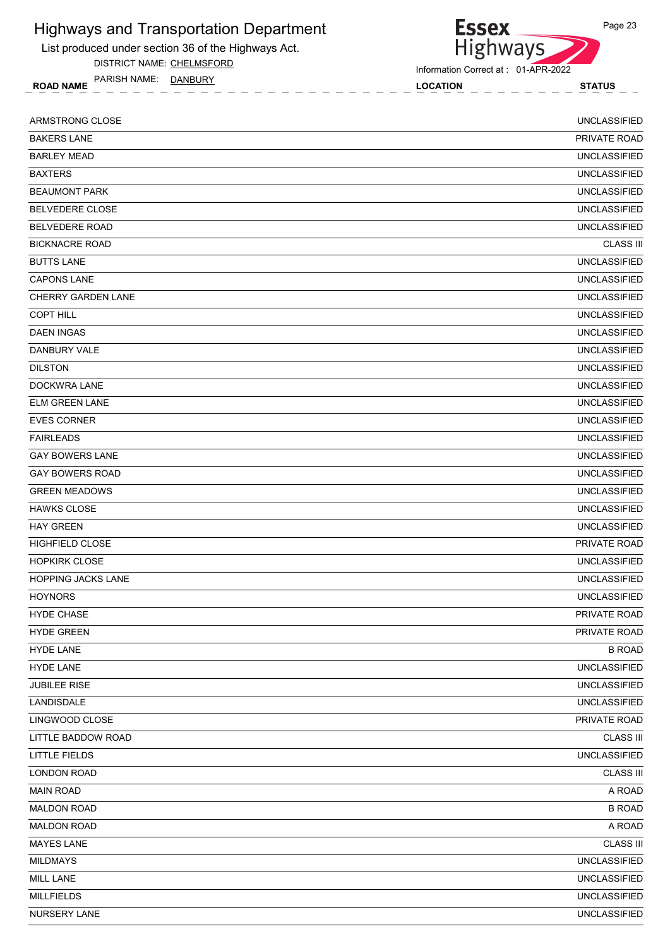

DISTRICT NAME: CHELMSFORD

ROAD NAME LOCATION STATUS PARISH NAME: DANBURY

Essex<br>Highways Information Correct at : 01-APR-2022

| ARMSTRONG CLOSE           | <b>UNCLASSIFIED</b> |
|---------------------------|---------------------|
| <b>BAKERS LANE</b>        | PRIVATE ROAD        |
| <b>BARLEY MEAD</b>        | <b>UNCLASSIFIED</b> |
| <b>BAXTERS</b>            | <b>UNCLASSIFIED</b> |
| <b>BEAUMONT PARK</b>      | <b>UNCLASSIFIED</b> |
| <b>BELVEDERE CLOSE</b>    | <b>UNCLASSIFIED</b> |
| <b>BELVEDERE ROAD</b>     | <b>UNCLASSIFIED</b> |
| <b>BICKNACRE ROAD</b>     | <b>CLASS III</b>    |
| <b>BUTTS LANE</b>         | <b>UNCLASSIFIED</b> |
| <b>CAPONS LANE</b>        | <b>UNCLASSIFIED</b> |
| CHERRY GARDEN LANE        | <b>UNCLASSIFIED</b> |
| <b>COPT HILL</b>          | <b>UNCLASSIFIED</b> |
| <b>DAEN INGAS</b>         | <b>UNCLASSIFIED</b> |
| DANBURY VALE              | <b>UNCLASSIFIED</b> |
| <b>DILSTON</b>            | <b>UNCLASSIFIED</b> |
| DOCKWRA LANE              | <b>UNCLASSIFIED</b> |
| <b>ELM GREEN LANE</b>     | <b>UNCLASSIFIED</b> |
| <b>EVES CORNER</b>        | <b>UNCLASSIFIED</b> |
| <b>FAIRLEADS</b>          | <b>UNCLASSIFIED</b> |
| <b>GAY BOWERS LANE</b>    | <b>UNCLASSIFIED</b> |
| <b>GAY BOWERS ROAD</b>    | <b>UNCLASSIFIED</b> |
| <b>GREEN MEADOWS</b>      | <b>UNCLASSIFIED</b> |
| <b>HAWKS CLOSE</b>        | <b>UNCLASSIFIED</b> |
| <b>HAY GREEN</b>          | <b>UNCLASSIFIED</b> |
| <b>HIGHFIELD CLOSE</b>    | PRIVATE ROAD        |
| <b>HOPKIRK CLOSE</b>      | <b>UNCLASSIFIED</b> |
| <b>HOPPING JACKS LANE</b> | <b>UNCLASSIFIED</b> |
| <b>HOYNORS</b>            | <b>UNCLASSIFIED</b> |
| <b>HYDE CHASE</b>         | PRIVATE ROAD        |
| <b>HYDE GREEN</b>         | PRIVATE ROAD        |
| <b>HYDE LANE</b>          | <b>B ROAD</b>       |
| <b>HYDE LANE</b>          | <b>UNCLASSIFIED</b> |
| <b>JUBILEE RISE</b>       | <b>UNCLASSIFIED</b> |
| LANDISDALE                | <b>UNCLASSIFIED</b> |
| LINGWOOD CLOSE            | PRIVATE ROAD        |
| LITTLE BADDOW ROAD        | <b>CLASS III</b>    |
| <b>LITTLE FIELDS</b>      | <b>UNCLASSIFIED</b> |
| LONDON ROAD               | <b>CLASS III</b>    |
| <b>MAIN ROAD</b>          | A ROAD              |
| <b>MALDON ROAD</b>        | <b>B ROAD</b>       |
| <b>MALDON ROAD</b>        | A ROAD              |
| <b>MAYES LANE</b>         | <b>CLASS III</b>    |
| <b>MILDMAYS</b>           | <b>UNCLASSIFIED</b> |
| MILL LANE                 | <b>UNCLASSIFIED</b> |
| <b>MILLFIELDS</b>         | <b>UNCLASSIFIED</b> |
| NURSERY LANE              | <b>UNCLASSIFIED</b> |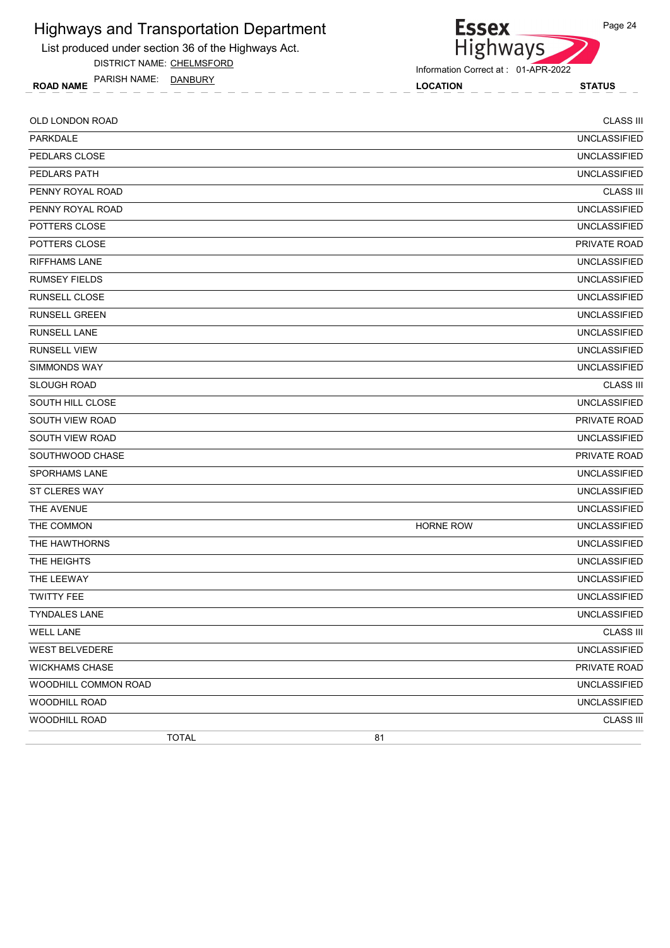

DISTRICT NAME: CHELMSFORD

ROAD NAME LOCATION STATUS PARISH NAME: DANBURY



Information Correct at : 01-APR-2022

| OLD LONDON ROAD         |              |                  | <b>CLASS III</b>    |
|-------------------------|--------------|------------------|---------------------|
| PARKDALE                |              |                  | <b>UNCLASSIFIED</b> |
| PEDLARS CLOSE           |              |                  | <b>UNCLASSIFIED</b> |
| <b>PEDLARS PATH</b>     |              |                  | <b>UNCLASSIFIED</b> |
| PENNY ROYAL ROAD        |              |                  | <b>CLASS III</b>    |
| PENNY ROYAL ROAD        |              |                  | <b>UNCLASSIFIED</b> |
| POTTERS CLOSE           |              |                  | <b>UNCLASSIFIED</b> |
| POTTERS CLOSE           |              |                  | PRIVATE ROAD        |
| <b>RIFFHAMS LANE</b>    |              |                  | <b>UNCLASSIFIED</b> |
| <b>RUMSEY FIELDS</b>    |              |                  | <b>UNCLASSIFIED</b> |
| RUNSELL CLOSE           |              |                  | <b>UNCLASSIFIED</b> |
| <b>RUNSELL GREEN</b>    |              |                  | <b>UNCLASSIFIED</b> |
| <b>RUNSELL LANE</b>     |              |                  | <b>UNCLASSIFIED</b> |
| <b>RUNSELL VIEW</b>     |              |                  | <b>UNCLASSIFIED</b> |
| SIMMONDS WAY            |              |                  | <b>UNCLASSIFIED</b> |
| <b>SLOUGH ROAD</b>      |              |                  | <b>CLASS III</b>    |
| <b>SOUTH HILL CLOSE</b> |              |                  | <b>UNCLASSIFIED</b> |
| SOUTH VIEW ROAD         |              |                  | PRIVATE ROAD        |
| SOUTH VIEW ROAD         |              |                  | <b>UNCLASSIFIED</b> |
| SOUTHWOOD CHASE         |              |                  | PRIVATE ROAD        |
| <b>SPORHAMS LANE</b>    |              |                  | <b>UNCLASSIFIED</b> |
| ST CLERES WAY           |              |                  | <b>UNCLASSIFIED</b> |
| THE AVENUE              |              |                  | <b>UNCLASSIFIED</b> |
| THE COMMON              |              | <b>HORNE ROW</b> | <b>UNCLASSIFIED</b> |
| THE HAWTHORNS           |              |                  | <b>UNCLASSIFIED</b> |
| THE HEIGHTS             |              |                  | <b>UNCLASSIFIED</b> |
| THE LEEWAY              |              |                  | <b>UNCLASSIFIED</b> |
| <b>TWITTY FEE</b>       |              |                  | <b>UNCLASSIFIED</b> |
| TYNDALES LANE           |              |                  | UNCLASSIFIED        |
| <b>WELL LANE</b>        |              |                  | <b>CLASS III</b>    |
| <b>WEST BELVEDERE</b>   |              |                  | <b>UNCLASSIFIED</b> |
| <b>WICKHAMS CHASE</b>   |              |                  | PRIVATE ROAD        |
| WOODHILL COMMON ROAD    |              |                  | <b>UNCLASSIFIED</b> |
| <b>WOODHILL ROAD</b>    |              |                  | <b>UNCLASSIFIED</b> |
| WOODHILL ROAD           |              |                  | <b>CLASS III</b>    |
|                         | <b>TOTAL</b> | 81               |                     |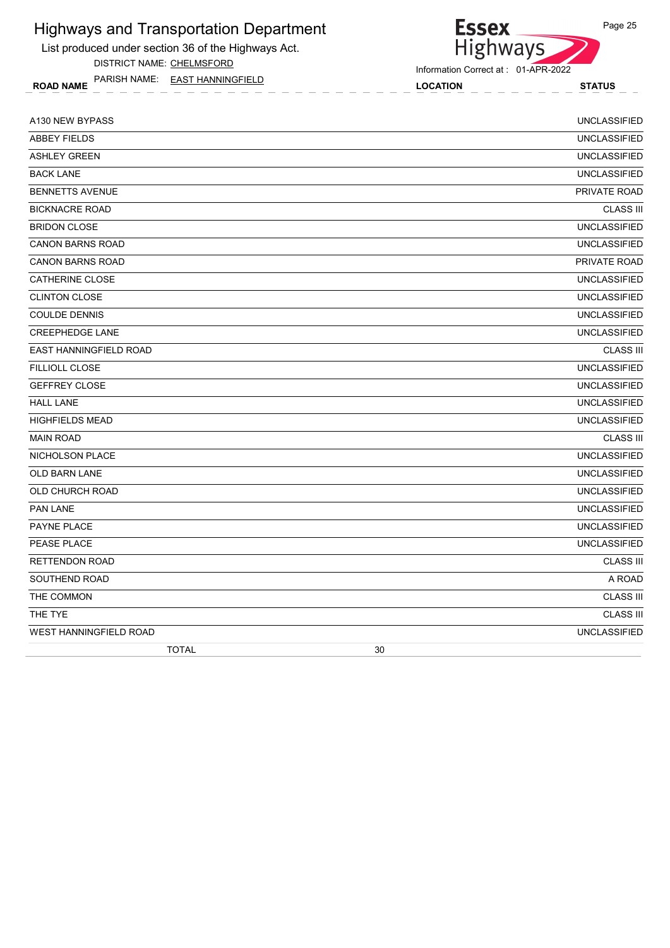List produced under section 36 of the Highways Act.

DISTRICT NAME: CHELMSFORD

ROAD NAME LOCATION STATUS PARISH NAME: EAST HANNINGFIELD

Essex<br>Highways

Information Correct at : 01-APR-2022

| A130 NEW BYPASS         | <b>UNCLASSIFIED</b> |
|-------------------------|---------------------|
| <b>ABBEY FIELDS</b>     | <b>UNCLASSIFIED</b> |
| <b>ASHLEY GREEN</b>     | <b>UNCLASSIFIED</b> |
| <b>BACK LANE</b>        | <b>UNCLASSIFIED</b> |
| <b>BENNETTS AVENUE</b>  | <b>PRIVATE ROAD</b> |
| <b>BICKNACRE ROAD</b>   | <b>CLASS III</b>    |
| <b>BRIDON CLOSE</b>     | <b>UNCLASSIFIED</b> |
| <b>CANON BARNS ROAD</b> | <b>UNCLASSIFIED</b> |
| <b>CANON BARNS ROAD</b> | PRIVATE ROAD        |
| <b>CATHERINE CLOSE</b>  | <b>UNCLASSIFIED</b> |
| <b>CLINTON CLOSE</b>    | <b>UNCLASSIFIED</b> |
| <b>COULDE DENNIS</b>    | <b>UNCLASSIFIED</b> |
| <b>CREEPHEDGE LANE</b>  | <b>UNCLASSIFIED</b> |
| EAST HANNINGFIELD ROAD  | <b>CLASS III</b>    |
| <b>FILLIOLL CLOSE</b>   | <b>UNCLASSIFIED</b> |
| <b>GEFFREY CLOSE</b>    | <b>UNCLASSIFIED</b> |
| <b>HALL LANE</b>        | <b>UNCLASSIFIED</b> |
| <b>HIGHFIELDS MEAD</b>  | <b>UNCLASSIFIED</b> |
| <b>MAIN ROAD</b>        | <b>CLASS III</b>    |
| <b>NICHOLSON PLACE</b>  | <b>UNCLASSIFIED</b> |
| <b>OLD BARN LANE</b>    | <b>UNCLASSIFIED</b> |
| <b>OLD CHURCH ROAD</b>  | <b>UNCLASSIFIED</b> |
| PAN LANE                | <b>UNCLASSIFIED</b> |
| PAYNE PLACE             | <b>UNCLASSIFIED</b> |
| PEASE PLACE             | <b>UNCLASSIFIED</b> |
| <b>RETTENDON ROAD</b>   | <b>CLASS III</b>    |
| SOUTHEND ROAD           | A ROAD              |
| THE COMMON              | <b>CLASS III</b>    |
| THE TYE                 | <b>CLASS III</b>    |
| WEST HANNINGFIELD ROAD  | <b>UNCLASSIFIED</b> |
| <b>TOTAL</b>            | 30                  |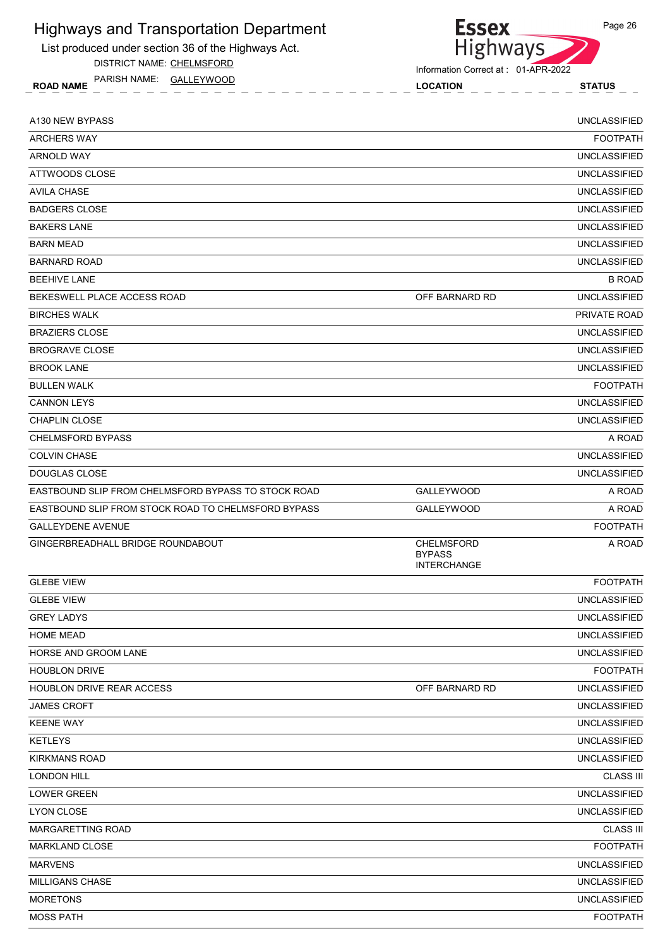List produced under section 36 of the Highways Act.

DISTRICT NAME: CHELMSFORD

ROAD NAME LOCATION STATUS PARISH NAME: GALLEYWOOD

| <b>ARCHERS WAY</b>                                  |                                                          | <b>FOOTPATH</b>     |
|-----------------------------------------------------|----------------------------------------------------------|---------------------|
|                                                     |                                                          |                     |
| ARNOLD WAY                                          |                                                          | <b>UNCLASSIFIED</b> |
| ATTWOODS CLOSE                                      |                                                          | <b>UNCLASSIFIED</b> |
| <b>AVILA CHASE</b>                                  |                                                          | <b>UNCLASSIFIED</b> |
| <b>BADGERS CLOSE</b>                                |                                                          | <b>UNCLASSIFIED</b> |
| <b>BAKERS LANE</b>                                  |                                                          | <b>UNCLASSIFIED</b> |
| <b>BARN MEAD</b>                                    |                                                          | <b>UNCLASSIFIED</b> |
| <b>BARNARD ROAD</b>                                 |                                                          | <b>UNCLASSIFIED</b> |
| <b>BEEHIVE LANE</b>                                 |                                                          | <b>B ROAD</b>       |
| BEKESWELL PLACE ACCESS ROAD                         | OFF BARNARD RD                                           | <b>UNCLASSIFIED</b> |
| <b>BIRCHES WALK</b>                                 |                                                          | <b>PRIVATE ROAD</b> |
| <b>BRAZIERS CLOSE</b>                               |                                                          | <b>UNCLASSIFIED</b> |
| <b>BROGRAVE CLOSE</b>                               |                                                          | <b>UNCLASSIFIED</b> |
| <b>BROOK LANE</b>                                   |                                                          | <b>UNCLASSIFIED</b> |
| <b>BULLEN WALK</b>                                  |                                                          | <b>FOOTPATH</b>     |
| <b>CANNON LEYS</b>                                  |                                                          | <b>UNCLASSIFIED</b> |
| <b>CHAPLIN CLOSE</b>                                |                                                          | <b>UNCLASSIFIED</b> |
| <b>CHELMSFORD BYPASS</b>                            |                                                          | A ROAD              |
| <b>COLVIN CHASE</b>                                 |                                                          | <b>UNCLASSIFIED</b> |
| DOUGLAS CLOSE                                       |                                                          | <b>UNCLASSIFIED</b> |
| EASTBOUND SLIP FROM CHELMSFORD BYPASS TO STOCK ROAD | <b>GALLEYWOOD</b>                                        | A ROAD              |
| EASTBOUND SLIP FROM STOCK ROAD TO CHELMSFORD BYPASS | <b>GALLEYWOOD</b>                                        | A ROAD              |
| <b>GALLEYDENE AVENUE</b>                            |                                                          | <b>FOOTPATH</b>     |
| GINGERBREADHALL BRIDGE ROUNDABOUT                   | <b>CHELMSFORD</b><br><b>BYPASS</b><br><b>INTERCHANGE</b> | A ROAD              |
| <b>GLEBE VIEW</b>                                   |                                                          | <b>FOOTPATH</b>     |
| <b>GLEBE VIEW</b>                                   |                                                          | <b>UNCLASSIFIED</b> |
| <b>GREY LADYS</b>                                   |                                                          | <b>UNCLASSIFIED</b> |
| <b>HOME MEAD</b>                                    |                                                          | UNCLASSIFIED        |
| HORSE AND GROOM LANE                                |                                                          | <b>UNCLASSIFIED</b> |
| <b>HOUBLON DRIVE</b>                                |                                                          | <b>FOOTPATH</b>     |
| HOUBLON DRIVE REAR ACCESS                           | OFF BARNARD RD                                           | <b>UNCLASSIFIED</b> |
| <b>JAMES CROFT</b>                                  |                                                          | <b>UNCLASSIFIED</b> |
| <b>KEENE WAY</b>                                    |                                                          | <b>UNCLASSIFIED</b> |
| <b>KETLEYS</b>                                      |                                                          | <b>UNCLASSIFIED</b> |
| <b>KIRKMANS ROAD</b>                                |                                                          | <b>UNCLASSIFIED</b> |
| <b>LONDON HILL</b>                                  |                                                          | <b>CLASS III</b>    |
| <b>LOWER GREEN</b>                                  |                                                          | <b>UNCLASSIFIED</b> |
| LYON CLOSE                                          |                                                          | UNCLASSIFIED        |
| MARGARETTING ROAD                                   |                                                          | <b>CLASS III</b>    |
| <b>MARKLAND CLOSE</b>                               |                                                          | <b>FOOTPATH</b>     |
| <b>MARVENS</b>                                      |                                                          | UNCLASSIFIED        |
| <b>MILLIGANS CHASE</b>                              |                                                          | <b>UNCLASSIFIED</b> |
| <b>MORETONS</b>                                     |                                                          | <b>UNCLASSIFIED</b> |
| <b>MOSS PATH</b>                                    |                                                          | <b>FOOTPATH</b>     |
|                                                     |                                                          |                     |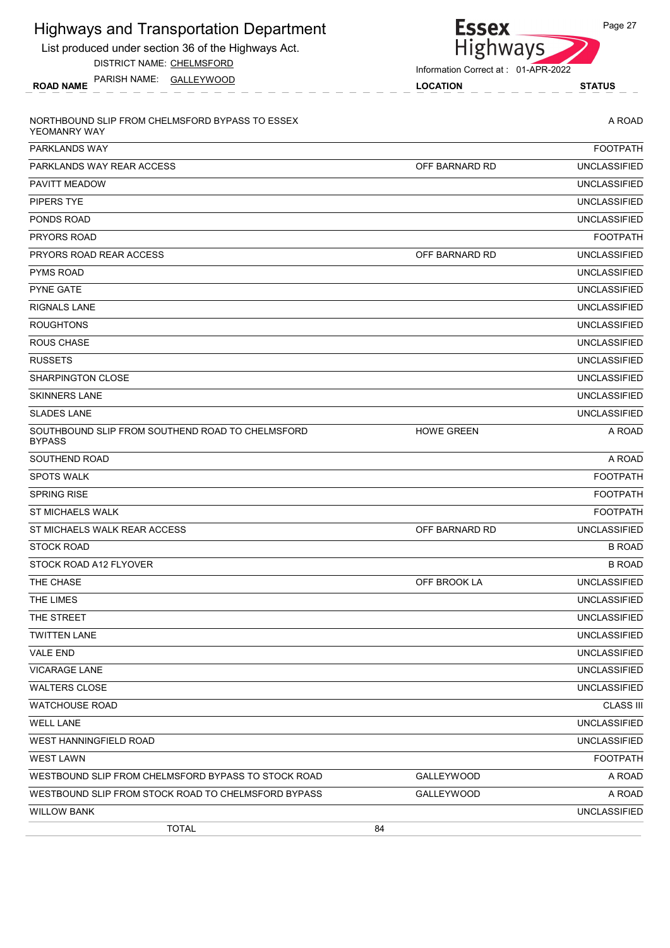| <b>Highways and Transportation Department</b>                     | <b>Essex</b>                        | Page 27             |
|-------------------------------------------------------------------|-------------------------------------|---------------------|
| List produced under section 36 of the Highways Act.               | Highways                            |                     |
| DISTRICT NAME: CHELMSFORD                                         | Information Correct at: 01-APR-2022 |                     |
| PARISH NAME: GALLEYWOOD<br><b>ROAD NAME</b>                       | <b>LOCATION</b>                     | <b>STATUS</b>       |
| NORTHBOUND SLIP FROM CHELMSFORD BYPASS TO ESSEX<br>YEOMANRY WAY   |                                     | A ROAD              |
| PARKLANDS WAY                                                     |                                     | <b>FOOTPATH</b>     |
| PARKLANDS WAY REAR ACCESS                                         | OFF BARNARD RD                      | <b>UNCLASSIFIED</b> |
| <b>PAVITT MEADOW</b>                                              |                                     | <b>UNCLASSIFIED</b> |
| <b>PIPERS TYE</b>                                                 |                                     | <b>UNCLASSIFIED</b> |
| PONDS ROAD                                                        |                                     | <b>UNCLASSIFIED</b> |
| PRYORS ROAD                                                       |                                     | <b>FOOTPATH</b>     |
| PRYORS ROAD REAR ACCESS                                           | OFF BARNARD RD                      | <b>UNCLASSIFIED</b> |
| <b>PYMS ROAD</b>                                                  |                                     | <b>UNCLASSIFIED</b> |
| <b>PYNE GATE</b>                                                  |                                     | <b>UNCLASSIFIED</b> |
| RIGNALS LANE                                                      |                                     | <b>UNCLASSIFIED</b> |
| <b>ROUGHTONS</b>                                                  |                                     | <b>UNCLASSIFIED</b> |
| <b>ROUS CHASE</b>                                                 |                                     | <b>UNCLASSIFIED</b> |
| <b>RUSSETS</b>                                                    |                                     | <b>UNCLASSIFIED</b> |
| SHARPINGTON CLOSE                                                 |                                     | <b>UNCLASSIFIED</b> |
| <b>SKINNERS LANE</b>                                              |                                     | <b>UNCLASSIFIED</b> |
| <b>SLADES LANE</b>                                                |                                     | <b>UNCLASSIFIED</b> |
| SOUTHBOUND SLIP FROM SOUTHEND ROAD TO CHELMSFORD<br><b>BYPASS</b> | <b>HOWE GREEN</b>                   | A ROAD              |
| <b>SOUTHEND ROAD</b>                                              |                                     | A ROAD              |
| <b>SPOTS WALK</b>                                                 |                                     | <b>FOOTPATH</b>     |
| <b>SPRING RISE</b>                                                |                                     | <b>FOOTPATH</b>     |
| <b>ST MICHAELS WALK</b>                                           |                                     | <b>FOOTPATH</b>     |
| ST MICHAELS WALK REAR ACCESS                                      | OFF BARNARD RD                      | <b>UNCLASSIFIED</b> |
| <b>STOCK ROAD</b>                                                 |                                     | <b>B ROAD</b>       |
| STOCK ROAD A12 FLYOVER                                            |                                     | <b>B ROAD</b>       |
| THE CHASE                                                         | OFF BROOK LA                        | <b>UNCLASSIFIED</b> |
| THE LIMES                                                         |                                     | <b>UNCLASSIFIED</b> |
| THE STREET                                                        |                                     | <b>UNCLASSIFIED</b> |
| <b>TWITTEN LANE</b>                                               |                                     | <b>UNCLASSIFIED</b> |
| <b>VALE END</b>                                                   |                                     | <b>UNCLASSIFIED</b> |
| <b>VICARAGE LANE</b>                                              |                                     | <b>UNCLASSIFIED</b> |
| <b>WALTERS CLOSE</b>                                              |                                     | <b>UNCLASSIFIED</b> |
| <b>WATCHOUSE ROAD</b>                                             |                                     | <b>CLASS III</b>    |
| <b>WELL LANE</b>                                                  |                                     | <b>UNCLASSIFIED</b> |
| <b>WEST HANNINGFIELD ROAD</b>                                     |                                     | <b>UNCLASSIFIED</b> |
| <b>WEST LAWN</b>                                                  |                                     | <b>FOOTPATH</b>     |
| WESTBOUND SLIP FROM CHELMSFORD BYPASS TO STOCK ROAD               | <b>GALLEYWOOD</b>                   | A ROAD              |
| WESTBOUND SLIP FROM STOCK ROAD TO CHELMSFORD BYPASS               | <b>GALLEYWOOD</b>                   | A ROAD              |
| <b>WILLOW BANK</b>                                                |                                     | <b>UNCLASSIFIED</b> |

TOTAL 84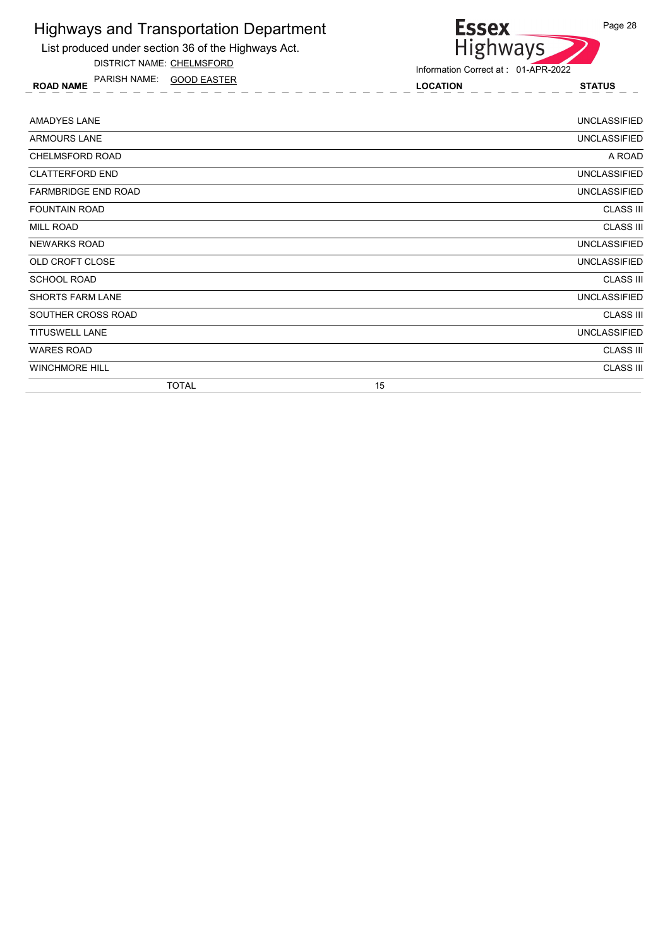

DISTRICT NAME: CHELMSFORD

ROAD NAME LOCATION STATUS PARISH NAME: GOOD EASTER



| AMADYES LANE               | UNCLASSIFIED        |
|----------------------------|---------------------|
| ARMOURS LANE               | <b>UNCLASSIFIED</b> |
| <b>CHELMSFORD ROAD</b>     | A ROAD              |
| <b>CLATTERFORD END</b>     | <b>UNCLASSIFIED</b> |
| <b>FARMBRIDGE END ROAD</b> | <b>UNCLASSIFIED</b> |
| <b>FOUNTAIN ROAD</b>       | <b>CLASS III</b>    |
| MILL ROAD                  | <b>CLASS III</b>    |
| <b>NEWARKS ROAD</b>        | <b>UNCLASSIFIED</b> |
| OLD CROFT CLOSE            | <b>UNCLASSIFIED</b> |
| <b>SCHOOL ROAD</b>         | <b>CLASS III</b>    |
| <b>SHORTS FARM LANE</b>    | <b>UNCLASSIFIED</b> |
| SOUTHER CROSS ROAD         | <b>CLASS III</b>    |
| <b>TITUSWELL LANE</b>      | <b>UNCLASSIFIED</b> |
| <b>WARES ROAD</b>          | <b>CLASS III</b>    |
| <b>WINCHMORE HILL</b>      | <b>CLASS III</b>    |
| <b>TOTAL</b>               | 15                  |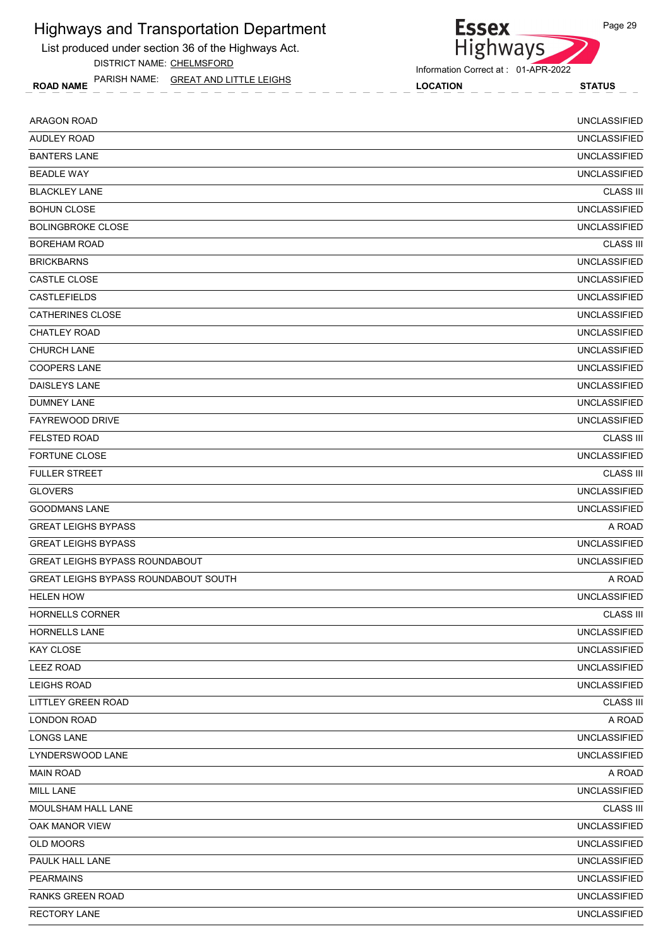

ROAD NAME LOCATION STATUS PARISH NAME: GREAT AND LITTLE LEIGHS



| <b>ARAGON ROAD</b>                    | <b>UNCLASSIFIED</b> |
|---------------------------------------|---------------------|
| <b>AUDLEY ROAD</b>                    | <b>UNCLASSIFIED</b> |
| <b>BANTERS LANE</b>                   | <b>UNCLASSIFIED</b> |
| <b>BEADLE WAY</b>                     | <b>UNCLASSIFIED</b> |
| <b>BLACKLEY LANE</b>                  | <b>CLASS III</b>    |
| <b>BOHUN CLOSE</b>                    | <b>UNCLASSIFIED</b> |
| <b>BOLINGBROKE CLOSE</b>              | <b>UNCLASSIFIED</b> |
| <b>BOREHAM ROAD</b>                   | <b>CLASS III</b>    |
| <b>BRICKBARNS</b>                     | <b>UNCLASSIFIED</b> |
| CASTLE CLOSE                          | <b>UNCLASSIFIED</b> |
| <b>CASTLEFIELDS</b>                   | <b>UNCLASSIFIED</b> |
| <b>CATHERINES CLOSE</b>               | <b>UNCLASSIFIED</b> |
| <b>CHATLEY ROAD</b>                   | <b>UNCLASSIFIED</b> |
| <b>CHURCH LANE</b>                    | <b>UNCLASSIFIED</b> |
| <b>COOPERS LANE</b>                   | <b>UNCLASSIFIED</b> |
| DAISLEYS LANE                         | <b>UNCLASSIFIED</b> |
| <b>DUMNEY LANE</b>                    | <b>UNCLASSIFIED</b> |
| FAYREWOOD DRIVE                       | <b>UNCLASSIFIED</b> |
| <b>FELSTED ROAD</b>                   | <b>CLASS III</b>    |
| <b>FORTUNE CLOSE</b>                  | <b>UNCLASSIFIED</b> |
| <b>FULLER STREET</b>                  | <b>CLASS III</b>    |
| <b>GLOVERS</b>                        | <b>UNCLASSIFIED</b> |
| <b>GOODMANS LANE</b>                  | <b>UNCLASSIFIED</b> |
| <b>GREAT LEIGHS BYPASS</b>            | A ROAD              |
| <b>GREAT LEIGHS BYPASS</b>            | <b>UNCLASSIFIED</b> |
| <b>GREAT LEIGHS BYPASS ROUNDABOUT</b> | <b>UNCLASSIFIED</b> |
| GREAT LEIGHS BYPASS ROUNDABOUT SOUTH  | A ROAD              |
| <b>HELEN HOW</b>                      | <b>UNCLASSIFIED</b> |
| <b>HORNELLS CORNER</b>                | <b>CLASS III</b>    |
| <b>HORNELLS LANE</b>                  | <b>UNCLASSIFIED</b> |
| KAY CLOSE                             | <b>UNCLASSIFIED</b> |
| <b>LEEZ ROAD</b>                      | <b>UNCLASSIFIED</b> |
| LEIGHS ROAD                           | <b>UNCLASSIFIED</b> |
| <b>LITTLEY GREEN ROAD</b>             | <b>CLASS III</b>    |
| LONDON ROAD                           | A ROAD              |
| <b>LONGS LANE</b>                     | <b>UNCLASSIFIED</b> |
| LYNDERSWOOD LANE                      | <b>UNCLASSIFIED</b> |
| <b>MAIN ROAD</b>                      | A ROAD              |
| MILL LANE                             | <b>UNCLASSIFIED</b> |
| MOULSHAM HALL LANE                    | <b>CLASS III</b>    |
| OAK MANOR VIEW                        | <b>UNCLASSIFIED</b> |
| OLD MOORS                             | <b>UNCLASSIFIED</b> |
| PAULK HALL LANE                       | <b>UNCLASSIFIED</b> |
| <b>PEARMAINS</b>                      | <b>UNCLASSIFIED</b> |
| <b>RANKS GREEN ROAD</b>               | UNCLASSIFIED        |
| <b>RECTORY LANE</b>                   | <b>UNCLASSIFIED</b> |
|                                       |                     |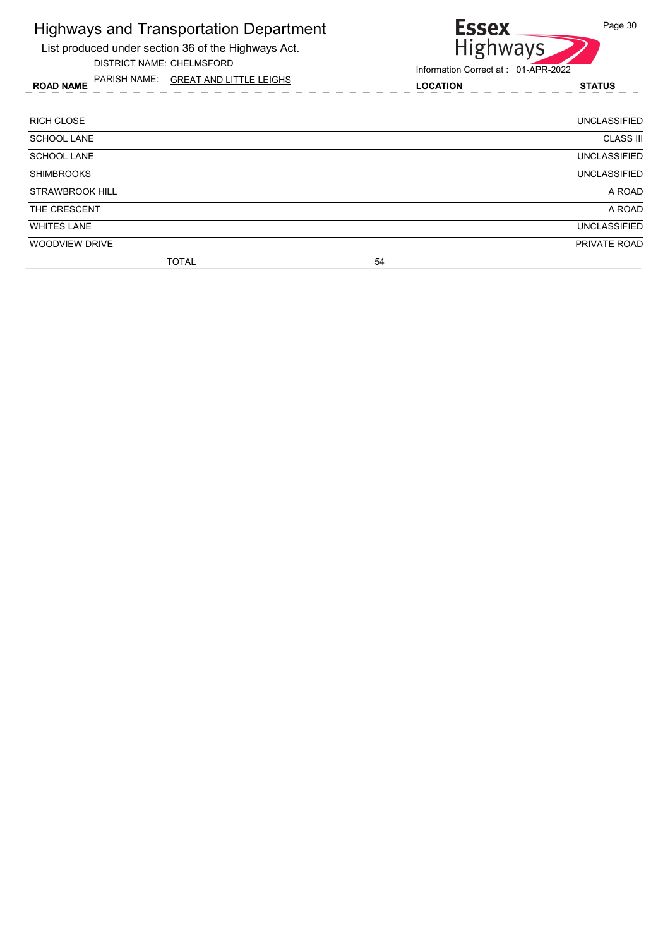

ROAD NAME LOCATION STATUS PARISH NAME: GREAT AND LITTLE LEIGHS

## Essex<br>Highways Page 30

| <b>RICH CLOSE</b>      |              |    | <b>UNCLASSIFIED</b> |
|------------------------|--------------|----|---------------------|
| <b>SCHOOL LANE</b>     |              |    | <b>CLASS III</b>    |
| <b>SCHOOL LANE</b>     |              |    | <b>UNCLASSIFIED</b> |
| <b>SHIMBROOKS</b>      |              |    | <b>UNCLASSIFIED</b> |
| <b>STRAWBROOK HILL</b> |              |    | A ROAD              |
| THE CRESCENT           |              |    | A ROAD              |
| <b>WHITES LANE</b>     |              |    | <b>UNCLASSIFIED</b> |
| WOODVIEW DRIVE         |              |    | PRIVATE ROAD        |
|                        | <b>TOTAL</b> | 54 |                     |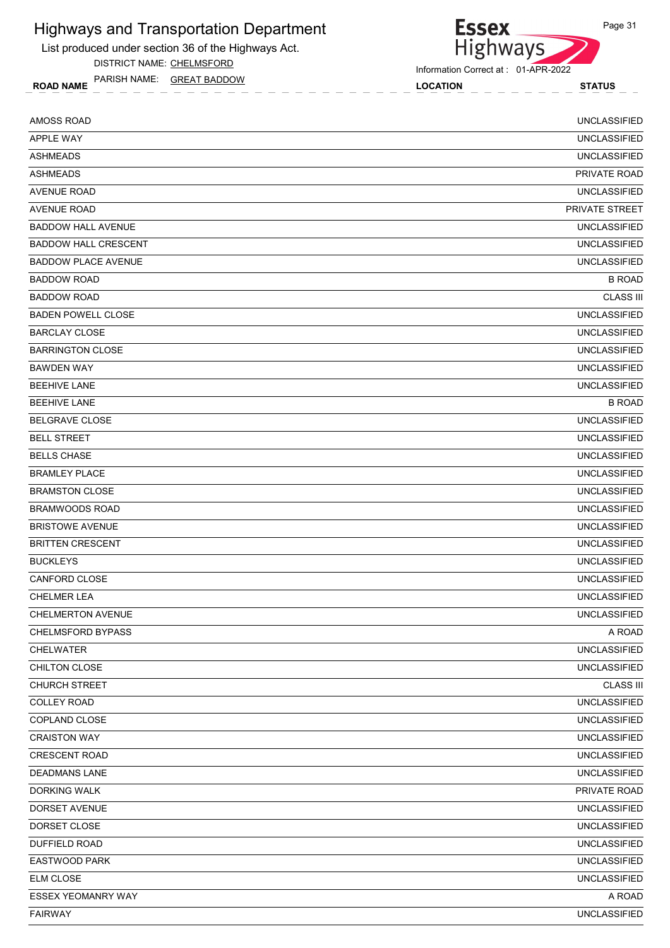List produced under section 36 of the Highways Act.

DISTRICT NAME: CHELMSFORD

ROAD NAME LOCATION STATUS PARISH NAME: GREAT BADDOW

| <b>AMOSS ROAD</b>           | <b>UNCLASSIFIED</b> |
|-----------------------------|---------------------|
| <b>APPLE WAY</b>            | <b>UNCLASSIFIED</b> |
| <b>ASHMEADS</b>             | <b>UNCLASSIFIED</b> |
| <b>ASHMEADS</b>             | PRIVATE ROAD        |
| <b>AVENUE ROAD</b>          | <b>UNCLASSIFIED</b> |
| <b>AVENUE ROAD</b>          | PRIVATE STREET      |
| <b>BADDOW HALL AVENUE</b>   | <b>UNCLASSIFIED</b> |
| <b>BADDOW HALL CRESCENT</b> | <b>UNCLASSIFIED</b> |
| <b>BADDOW PLACE AVENUE</b>  | <b>UNCLASSIFIED</b> |
| <b>BADDOW ROAD</b>          | <b>B ROAD</b>       |
| <b>BADDOW ROAD</b>          | <b>CLASS III</b>    |
| <b>BADEN POWELL CLOSE</b>   | <b>UNCLASSIFIED</b> |
| <b>BARCLAY CLOSE</b>        | <b>UNCLASSIFIED</b> |
| <b>BARRINGTON CLOSE</b>     | <b>UNCLASSIFIED</b> |
| <b>BAWDEN WAY</b>           | <b>UNCLASSIFIED</b> |
| <b>BEEHIVE LANE</b>         | <b>UNCLASSIFIED</b> |
| <b>BEEHIVE LANE</b>         | <b>B ROAD</b>       |
| <b>BELGRAVE CLOSE</b>       | <b>UNCLASSIFIED</b> |
| <b>BELL STREET</b>          | <b>UNCLASSIFIED</b> |
| <b>BELLS CHASE</b>          | <b>UNCLASSIFIED</b> |
| <b>BRAMLEY PLACE</b>        | <b>UNCLASSIFIED</b> |
| <b>BRAMSTON CLOSE</b>       | <b>UNCLASSIFIED</b> |
| <b>BRAMWOODS ROAD</b>       | <b>UNCLASSIFIED</b> |
| <b>BRISTOWE AVENUE</b>      | <b>UNCLASSIFIED</b> |
| <b>BRITTEN CRESCENT</b>     | <b>UNCLASSIFIED</b> |
| <b>BUCKLEYS</b>             | <b>UNCLASSIFIED</b> |
| CANFORD CLOSE               | <b>UNCLASSIFIED</b> |
| <b>CHELMER LEA</b>          | <b>UNCLASSIFIED</b> |
| <b>CHELMERTON AVENUE</b>    | <b>UNCLASSIFIED</b> |
| <b>CHELMSFORD BYPASS</b>    | A ROAD              |
| CHELWATER                   | <b>UNCLASSIFIED</b> |
| CHILTON CLOSE               | <b>UNCLASSIFIED</b> |
| <b>CHURCH STREET</b>        | <b>CLASS III</b>    |
| <b>COLLEY ROAD</b>          | <b>UNCLASSIFIED</b> |
| COPLAND CLOSE               | <b>UNCLASSIFIED</b> |
| <b>CRAISTON WAY</b>         | <b>UNCLASSIFIED</b> |
| <b>CRESCENT ROAD</b>        | <b>UNCLASSIFIED</b> |
| <b>DEADMANS LANE</b>        | <b>UNCLASSIFIED</b> |
| <b>DORKING WALK</b>         | PRIVATE ROAD        |
| DORSET AVENUE               | <b>UNCLASSIFIED</b> |
| DORSET CLOSE                | <b>UNCLASSIFIED</b> |
| <b>DUFFIELD ROAD</b>        | <b>UNCLASSIFIED</b> |
| <b>EASTWOOD PARK</b>        | <b>UNCLASSIFIED</b> |
| ELM CLOSE                   | <b>UNCLASSIFIED</b> |
| ESSEX YEOMANRY WAY          | A ROAD              |
| <b>FAIRWAY</b>              | <b>UNCLASSIFIED</b> |
|                             |                     |



**Essex**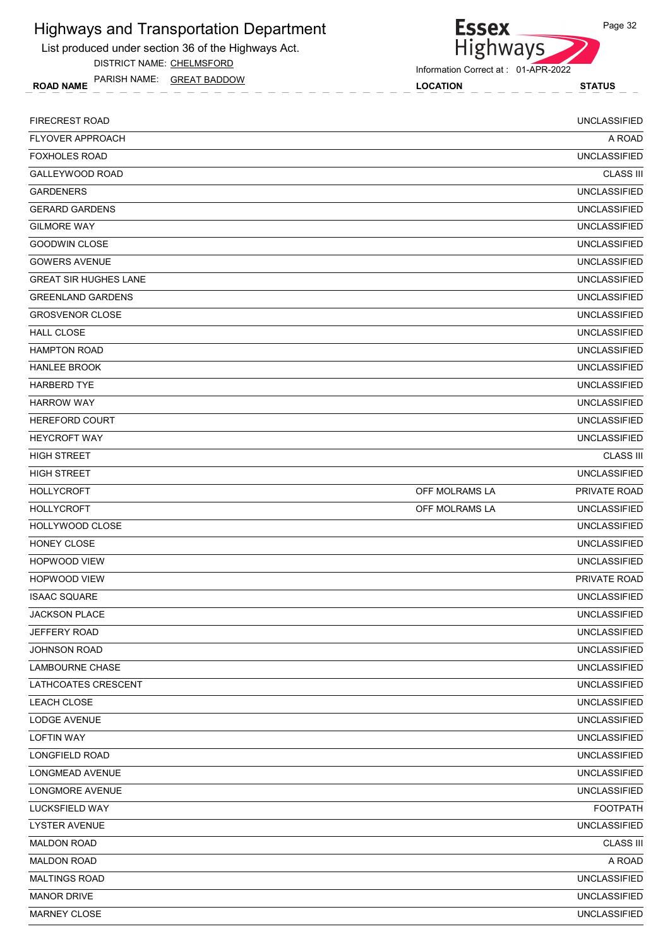List produced under section 36 of the Highways Act.

DISTRICT NAME: CHELMSFORD

ROAD NAME LOCATION STATUS PARISH NAME: GREAT BADDOW

Highways

Information Correct at : 01-APR-2022

**Essex** 

| FIRECREST ROAD               |                | <b>UNCLASSIFIED</b> |
|------------------------------|----------------|---------------------|
| <b>FLYOVER APPROACH</b>      |                | A ROAD              |
| <b>FOXHOLES ROAD</b>         |                | <b>UNCLASSIFIED</b> |
| GALLEYWOOD ROAD              |                | <b>CLASS III</b>    |
| <b>GARDENERS</b>             |                | <b>UNCLASSIFIED</b> |
| <b>GERARD GARDENS</b>        |                | <b>UNCLASSIFIED</b> |
| <b>GILMORE WAY</b>           |                | <b>UNCLASSIFIED</b> |
| <b>GOODWIN CLOSE</b>         |                | <b>UNCLASSIFIED</b> |
| <b>GOWERS AVENUE</b>         |                | <b>UNCLASSIFIED</b> |
| <b>GREAT SIR HUGHES LANE</b> |                | <b>UNCLASSIFIED</b> |
| <b>GREENLAND GARDENS</b>     |                | <b>UNCLASSIFIED</b> |
| <b>GROSVENOR CLOSE</b>       |                | <b>UNCLASSIFIED</b> |
| <b>HALL CLOSE</b>            |                | <b>UNCLASSIFIED</b> |
| <b>HAMPTON ROAD</b>          |                | <b>UNCLASSIFIED</b> |
| <b>HANLEE BROOK</b>          |                | <b>UNCLASSIFIED</b> |
| <b>HARBERD TYE</b>           |                | <b>UNCLASSIFIED</b> |
| <b>HARROW WAY</b>            |                | <b>UNCLASSIFIED</b> |
| <b>HEREFORD COURT</b>        |                | <b>UNCLASSIFIED</b> |
| <b>HEYCROFT WAY</b>          |                | <b>UNCLASSIFIED</b> |
| <b>HIGH STREET</b>           |                | <b>CLASS III</b>    |
| <b>HIGH STREET</b>           |                | <b>UNCLASSIFIED</b> |
| <b>HOLLYCROFT</b>            | OFF MOLRAMS LA | PRIVATE ROAD        |
| <b>HOLLYCROFT</b>            | OFF MOLRAMS LA | <b>UNCLASSIFIED</b> |
| HOLLYWOOD CLOSE              |                | <b>UNCLASSIFIED</b> |
| HONEY CLOSE                  |                | <b>UNCLASSIFIED</b> |
| <b>HOPWOOD VIEW</b>          |                | <b>UNCLASSIFIED</b> |
| <b>HOPWOOD VIEW</b>          |                | PRIVATE ROAD        |
| <b>ISAAC SQUARE</b>          |                | <b>UNCLASSIFIED</b> |
| <b>JACKSON PLACE</b>         |                | <b>UNCLASSIFIED</b> |
| JEFFERY ROAD                 |                | <b>UNCLASSIFIED</b> |
| JOHNSON ROAD                 |                | <b>UNCLASSIFIED</b> |
| LAMBOURNE CHASE              |                | <b>UNCLASSIFIED</b> |
| LATHCOATES CRESCENT          |                | <b>UNCLASSIFIED</b> |
| LEACH CLOSE                  |                | <b>UNCLASSIFIED</b> |
| LODGE AVENUE                 |                | <b>UNCLASSIFIED</b> |
| <b>LOFTIN WAY</b>            |                | <b>UNCLASSIFIED</b> |
| LONGFIELD ROAD               |                | <b>UNCLASSIFIED</b> |
| LONGMEAD AVENUE              |                | <b>UNCLASSIFIED</b> |
| LONGMORE AVENUE              |                | <b>UNCLASSIFIED</b> |
| LUCKSFIELD WAY               |                | <b>FOOTPATH</b>     |
| <b>LYSTER AVENUE</b>         |                | <b>UNCLASSIFIED</b> |
| <b>MALDON ROAD</b>           |                | <b>CLASS III</b>    |
| <b>MALDON ROAD</b>           |                | A ROAD              |
| <b>MALTINGS ROAD</b>         |                | <b>UNCLASSIFIED</b> |
| <b>MANOR DRIVE</b>           |                | <b>UNCLASSIFIED</b> |
| MARNEY CLOSE                 |                | <b>UNCLASSIFIED</b> |
|                              |                |                     |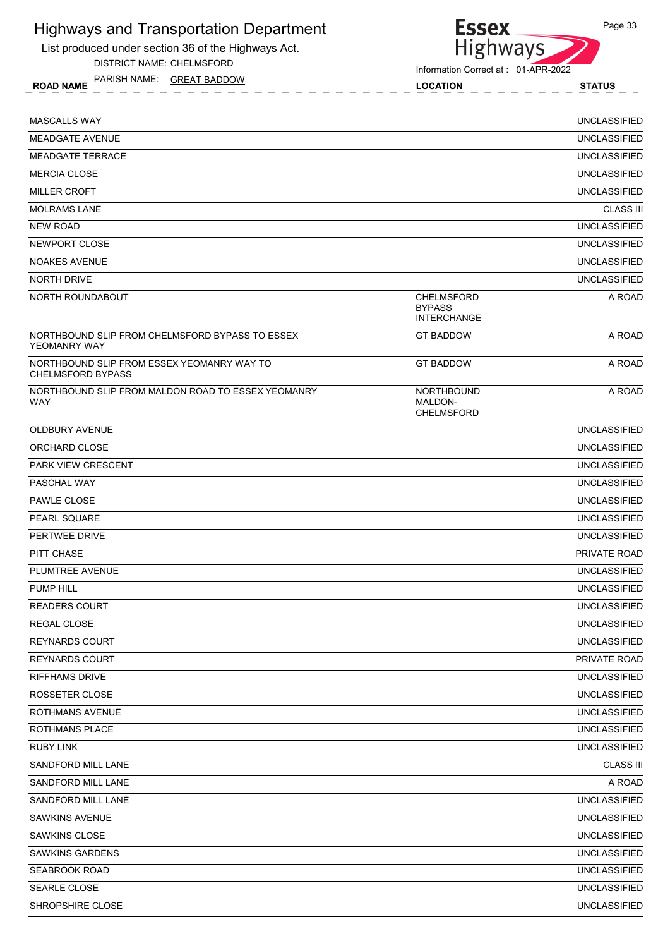List produced under section 36 of the Highways Act.

DISTRICT NAME: CHELMSFORD

ROAD NAME LOCATION STATUS PARISH NAME: GREAT BADDOW



Information Correct at : 01-APR-2022

| <b>MASCALLS WAY</b>                                                    |                                                   | <b>UNCLASSIFIED</b> |
|------------------------------------------------------------------------|---------------------------------------------------|---------------------|
| <b>MEADGATE AVENUE</b>                                                 |                                                   | <b>UNCLASSIFIED</b> |
| <b>MEADGATE TERRACE</b>                                                |                                                   | <b>UNCLASSIFIED</b> |
| <b>MERCIA CLOSE</b>                                                    |                                                   | <b>UNCLASSIFIED</b> |
| <b>MILLER CROFT</b>                                                    |                                                   | <b>UNCLASSIFIED</b> |
| <b>MOLRAMS LANE</b>                                                    |                                                   | <b>CLASS III</b>    |
| <b>NEW ROAD</b>                                                        |                                                   | <b>UNCLASSIFIED</b> |
| <b>NEWPORT CLOSE</b>                                                   |                                                   | <b>UNCLASSIFIED</b> |
| <b>NOAKES AVENUE</b>                                                   |                                                   | <b>UNCLASSIFIED</b> |
| <b>NORTH DRIVE</b>                                                     |                                                   | <b>UNCLASSIFIED</b> |
| NORTH ROUNDABOUT                                                       | CHELMSFORD<br><b>BYPASS</b><br><b>INTERCHANGE</b> | A ROAD              |
| NORTHBOUND SLIP FROM CHELMSFORD BYPASS TO ESSEX<br>YEOMANRY WAY        | <b>GT BADDOW</b>                                  | A ROAD              |
| NORTHBOUND SLIP FROM ESSEX YEOMANRY WAY TO<br><b>CHELMSFORD BYPASS</b> | <b>GT BADDOW</b>                                  | A ROAD              |
| NORTHBOUND SLIP FROM MALDON ROAD TO ESSEX YEOMANRY<br>WAY              | <b>NORTHBOUND</b><br>MALDON-<br><b>CHELMSFORD</b> | A ROAD              |
| <b>OLDBURY AVENUE</b>                                                  |                                                   | <b>UNCLASSIFIED</b> |
| ORCHARD CLOSE                                                          |                                                   | <b>UNCLASSIFIED</b> |
| <b>PARK VIEW CRESCENT</b>                                              |                                                   | <b>UNCLASSIFIED</b> |
| PASCHAL WAY                                                            |                                                   | <b>UNCLASSIFIED</b> |
| <b>PAWLE CLOSE</b>                                                     |                                                   | <b>UNCLASSIFIED</b> |
| <b>PEARL SQUARE</b>                                                    |                                                   | <b>UNCLASSIFIED</b> |
| PERTWEE DRIVE                                                          |                                                   | <b>UNCLASSIFIED</b> |
| PITT CHASE                                                             |                                                   | PRIVATE ROAD        |
| PLUMTREE AVENUE                                                        |                                                   | <b>UNCLASSIFIED</b> |
| <b>PUMP HILL</b>                                                       |                                                   | <b>UNCLASSIFIED</b> |
| <b>READERS COURT</b>                                                   |                                                   | <b>UNCLASSIFIED</b> |
| REGAL CLOSE                                                            |                                                   | <b>UNCLASSIFIED</b> |
| <b>REYNARDS COURT</b>                                                  |                                                   | <b>UNCLASSIFIED</b> |
| <b>REYNARDS COURT</b>                                                  |                                                   | PRIVATE ROAD        |
| <b>RIFFHAMS DRIVE</b>                                                  |                                                   | <b>UNCLASSIFIED</b> |
| ROSSETER CLOSE                                                         |                                                   | <b>UNCLASSIFIED</b> |
| ROTHMANS AVENUE                                                        |                                                   | <b>UNCLASSIFIED</b> |
| ROTHMANS PLACE                                                         |                                                   | <b>UNCLASSIFIED</b> |
| <b>RUBY LINK</b>                                                       |                                                   | <b>UNCLASSIFIED</b> |
| SANDFORD MILL LANE                                                     |                                                   | <b>CLASS III</b>    |
| SANDFORD MILL LANE                                                     |                                                   | A ROAD              |
| SANDFORD MILL LANE                                                     |                                                   | <b>UNCLASSIFIED</b> |
| <b>SAWKINS AVENUE</b>                                                  |                                                   | <b>UNCLASSIFIED</b> |
| SAWKINS CLOSE                                                          |                                                   | <b>UNCLASSIFIED</b> |
| <b>SAWKINS GARDENS</b>                                                 |                                                   | <b>UNCLASSIFIED</b> |
| <b>SEABROOK ROAD</b>                                                   |                                                   | <b>UNCLASSIFIED</b> |
| <b>SEARLE CLOSE</b>                                                    |                                                   | <b>UNCLASSIFIED</b> |
| SHROPSHIRE CLOSE                                                       |                                                   | <b>UNCLASSIFIED</b> |
|                                                                        |                                                   |                     |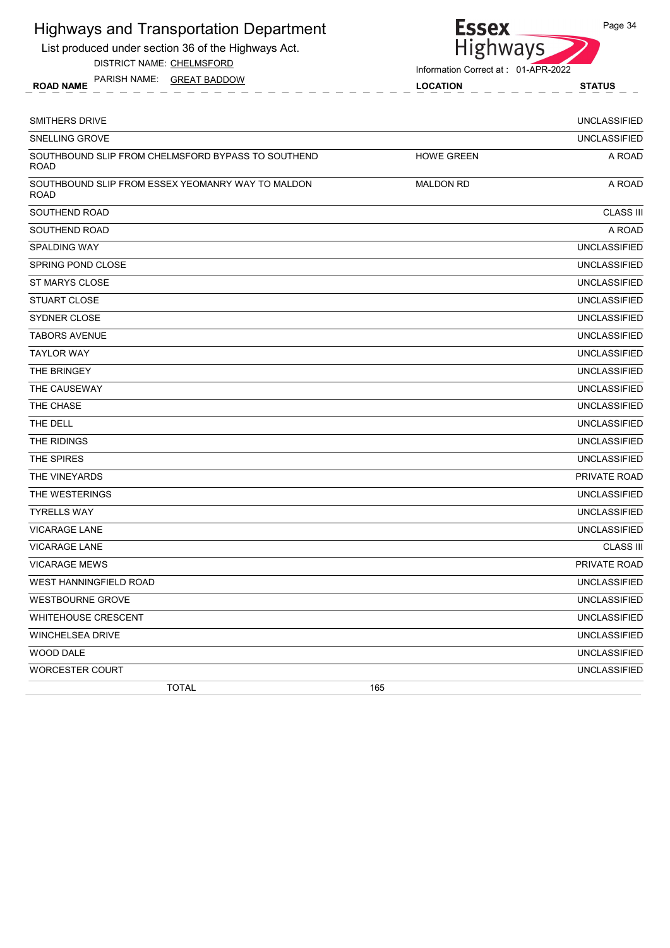List produced under section 36 of the Highways Act.

DISTRICT NAME: CHELMSFORD

ROAD NAME LOCATION STATUS PARISH NAME: GREAT BADDOW



| SMITHERS DRIVE                                                    |                   | <b>UNCLASSIFIED</b> |
|-------------------------------------------------------------------|-------------------|---------------------|
| <b>SNELLING GROVE</b>                                             |                   | <b>UNCLASSIFIED</b> |
| SOUTHBOUND SLIP FROM CHELMSFORD BYPASS TO SOUTHEND<br><b>ROAD</b> | <b>HOWE GREEN</b> | A ROAD              |
| SOUTHBOUND SLIP FROM ESSEX YEOMANRY WAY TO MALDON<br><b>ROAD</b>  | <b>MALDON RD</b>  | A ROAD              |
| SOUTHEND ROAD                                                     |                   | <b>CLASS III</b>    |
| SOUTHEND ROAD                                                     |                   | A ROAD              |
| <b>SPALDING WAY</b>                                               |                   | <b>UNCLASSIFIED</b> |
| <b>SPRING POND CLOSE</b>                                          |                   | <b>UNCLASSIFIED</b> |
| ST MARYS CLOSE                                                    |                   | <b>UNCLASSIFIED</b> |
| <b>STUART CLOSE</b>                                               |                   | <b>UNCLASSIFIED</b> |
| SYDNER CLOSE                                                      |                   | <b>UNCLASSIFIED</b> |
| <b>TABORS AVENUE</b>                                              |                   | <b>UNCLASSIFIED</b> |
| <b>TAYLOR WAY</b>                                                 |                   | <b>UNCLASSIFIED</b> |
| THE BRINGEY                                                       |                   | <b>UNCLASSIFIED</b> |
| THE CAUSEWAY                                                      |                   | <b>UNCLASSIFIED</b> |
| THE CHASE                                                         |                   | <b>UNCLASSIFIED</b> |
| THE DELL                                                          |                   | <b>UNCLASSIFIED</b> |
| THE RIDINGS                                                       |                   | <b>UNCLASSIFIED</b> |
| THE SPIRES                                                        |                   | <b>UNCLASSIFIED</b> |
| THE VINEYARDS                                                     |                   | PRIVATE ROAD        |
| THE WESTERINGS                                                    |                   | <b>UNCLASSIFIED</b> |
| <b>TYRELLS WAY</b>                                                |                   | <b>UNCLASSIFIED</b> |
| <b>VICARAGE LANE</b>                                              |                   | <b>UNCLASSIFIED</b> |
| <b>VICARAGE LANE</b>                                              |                   | <b>CLASS III</b>    |
| <b>VICARAGE MEWS</b>                                              |                   | PRIVATE ROAD        |
| <b>WEST HANNINGFIELD ROAD</b>                                     |                   | <b>UNCLASSIFIED</b> |
| <b>WESTBOURNE GROVE</b>                                           |                   | <b>UNCLASSIFIED</b> |
| <b>WHITEHOUSE CRESCENT</b>                                        |                   | <b>UNCLASSIFIED</b> |
| WINCHELSEA DRIVE                                                  |                   | <b>UNCLASSIFIED</b> |
| WOOD DALE                                                         |                   | <b>UNCLASSIFIED</b> |
| <b>WORCESTER COURT</b>                                            |                   | <b>UNCLASSIFIED</b> |
| <b>TOTAL</b>                                                      | 165               |                     |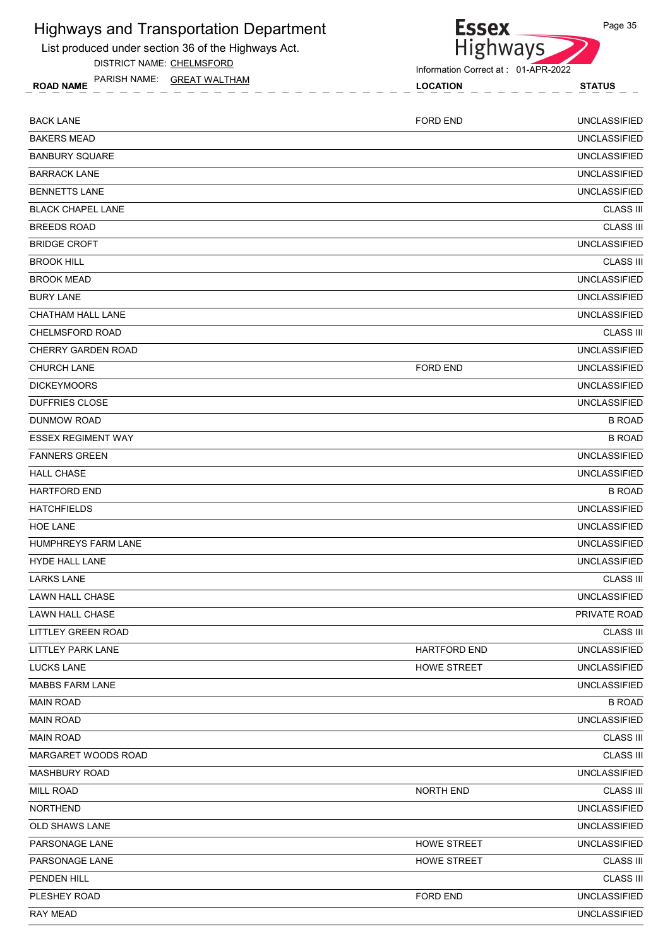List produced under section 36 of the Highways Act.

DISTRICT NAME: CHELMSFORD

ROAD NAME LOCATION STATUS PARISH NAME: GREAT WALTHAM

**Essex** 

| <b>BACK LANE</b>           | <b>FORD END</b>     | <b>UNCLASSIFIED</b> |
|----------------------------|---------------------|---------------------|
| <b>BAKERS MEAD</b>         |                     | <b>UNCLASSIFIED</b> |
| <b>BANBURY SQUARE</b>      |                     | <b>UNCLASSIFIED</b> |
| <b>BARRACK LANE</b>        |                     | <b>UNCLASSIFIED</b> |
| <b>BENNETTS LANE</b>       |                     | <b>UNCLASSIFIED</b> |
| <b>BLACK CHAPEL LANE</b>   |                     | <b>CLASS III</b>    |
| <b>BREEDS ROAD</b>         |                     | <b>CLASS III</b>    |
| <b>BRIDGE CROFT</b>        |                     | <b>UNCLASSIFIED</b> |
| <b>BROOK HILL</b>          |                     | <b>CLASS III</b>    |
| <b>BROOK MEAD</b>          |                     | <b>UNCLASSIFIED</b> |
| <b>BURY LANE</b>           |                     | <b>UNCLASSIFIED</b> |
| <b>CHATHAM HALL LANE</b>   |                     | <b>UNCLASSIFIED</b> |
| CHELMSFORD ROAD            |                     | <b>CLASS III</b>    |
| <b>CHERRY GARDEN ROAD</b>  |                     | <b>UNCLASSIFIED</b> |
| <b>CHURCH LANE</b>         | <b>FORD END</b>     | <b>UNCLASSIFIED</b> |
| <b>DICKEYMOORS</b>         |                     | <b>UNCLASSIFIED</b> |
| <b>DUFFRIES CLOSE</b>      |                     | <b>UNCLASSIFIED</b> |
| DUNMOW ROAD                |                     | <b>B ROAD</b>       |
| <b>ESSEX REGIMENT WAY</b>  |                     | <b>B ROAD</b>       |
| <b>FANNERS GREEN</b>       |                     | <b>UNCLASSIFIED</b> |
| <b>HALL CHASE</b>          |                     | <b>UNCLASSIFIED</b> |
| <b>HARTFORD END</b>        |                     | <b>B ROAD</b>       |
| <b>HATCHFIELDS</b>         |                     | <b>UNCLASSIFIED</b> |
| <b>HOE LANE</b>            |                     | <b>UNCLASSIFIED</b> |
| <b>HUMPHREYS FARM LANE</b> |                     | <b>UNCLASSIFIED</b> |
| <b>HYDE HALL LANE</b>      |                     | <b>UNCLASSIFIED</b> |
| <b>LARKS LANE</b>          |                     | <b>CLASS III</b>    |
| <b>LAWN HALL CHASE</b>     |                     | <b>UNCLASSIFIED</b> |
| <b>LAWN HALL CHASE</b>     |                     | PRIVATE ROAD        |
| <b>LITTLEY GREEN ROAD</b>  |                     | <b>CLASS III</b>    |
| LITTLEY PARK LANE          | <b>HARTFORD END</b> | <b>UNCLASSIFIED</b> |
| <b>LUCKS LANE</b>          | <b>HOWE STREET</b>  | <b>UNCLASSIFIED</b> |
| <b>MABBS FARM LANE</b>     |                     | <b>UNCLASSIFIED</b> |
| <b>MAIN ROAD</b>           |                     | <b>B ROAD</b>       |
| <b>MAIN ROAD</b>           |                     | <b>UNCLASSIFIED</b> |
| <b>MAIN ROAD</b>           |                     | <b>CLASS III</b>    |
| MARGARET WOODS ROAD        |                     | <b>CLASS III</b>    |
| <b>MASHBURY ROAD</b>       |                     | <b>UNCLASSIFIED</b> |
| MILL ROAD                  | <b>NORTH END</b>    | <b>CLASS III</b>    |
| <b>NORTHEND</b>            |                     | <b>UNCLASSIFIED</b> |
| OLD SHAWS LANE             |                     | <b>UNCLASSIFIED</b> |
| PARSONAGE LANE             | <b>HOWE STREET</b>  | <b>UNCLASSIFIED</b> |
| PARSONAGE LANE             | <b>HOWE STREET</b>  | <b>CLASS III</b>    |
| PENDEN HILL                |                     | <b>CLASS III</b>    |
| PLESHEY ROAD               | FORD END            | <b>UNCLASSIFIED</b> |
| RAY MEAD                   |                     | <b>UNCLASSIFIED</b> |
|                            |                     |                     |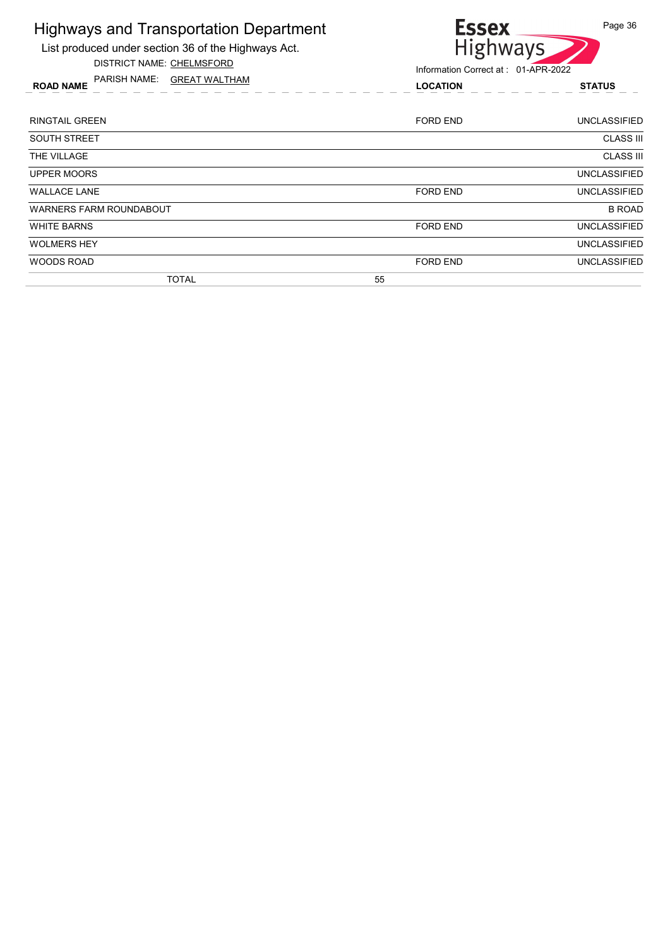List produced under section 36 of the Highways Act. DISTRICT NAME: CHELMSFORD

PARISH NAME: GREAT WALTHAM



Information Correct at : 01-APR-2022

| <b>FANJOH IVAIVIE.</b><br><b>UNEAI WALITAM</b><br><b>ROAD NAME</b> | <b>LOCATION</b> | <b>STATUS</b>       |
|--------------------------------------------------------------------|-----------------|---------------------|
| RINGTAIL GREEN                                                     | FORD END        | <b>UNCLASSIFIED</b> |
| SOUTH STREET                                                       |                 | <b>CLASS III</b>    |
| THE VILLAGE                                                        |                 | <b>CLASS III</b>    |
| UPPER MOORS                                                        |                 | <b>UNCLASSIFIED</b> |
| WALLACE LANE                                                       | <b>FORD END</b> | <b>UNCLASSIFIED</b> |
| WARNERS FARM ROUNDABOUT                                            |                 | <b>B ROAD</b>       |
| WHITE BARNS                                                        | <b>FORD END</b> | <b>UNCLASSIFIED</b> |
| WOLMERS HEY                                                        |                 | <b>UNCLASSIFIED</b> |

WOODS ROAD UNCLASSIFIED FORD END FORD END UNCLASSIFIED

TOTAL 55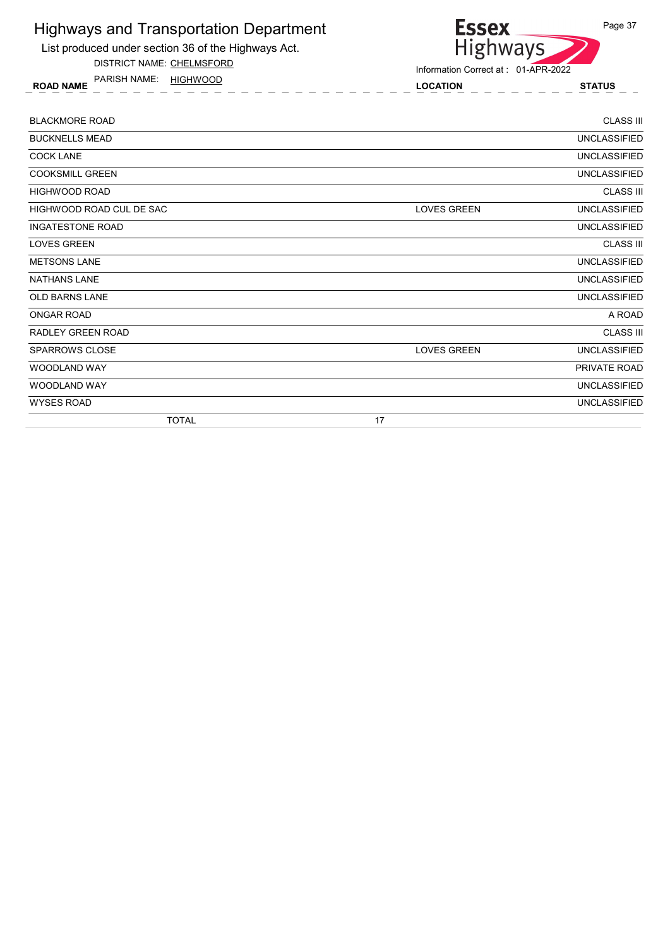

DISTRICT NAME: CHELMSFORD

ROAD NAME LOCATION STATUS PARISH NAME: HIGHWOOD



| <b>TOTAL</b>             | 17                                        |
|--------------------------|-------------------------------------------|
| <b>WYSES ROAD</b>        | <b>UNCLASSIFIED</b>                       |
| <b>WOODLAND WAY</b>      | <b>UNCLASSIFIED</b>                       |
| <b>WOODLAND WAY</b>      | PRIVATE ROAD                              |
| <b>SPARROWS CLOSE</b>    | <b>LOVES GREEN</b><br><b>UNCLASSIFIED</b> |
| RADLEY GREEN ROAD        | <b>CLASS III</b>                          |
| <b>ONGAR ROAD</b>        | A ROAD                                    |
| <b>OLD BARNS LANE</b>    | <b>UNCLASSIFIED</b>                       |
| <b>NATHANS LANE</b>      | <b>UNCLASSIFIED</b>                       |
| <b>METSONS LANE</b>      | <b>UNCLASSIFIED</b>                       |
| <b>LOVES GREEN</b>       | <b>CLASS III</b>                          |
| <b>INGATESTONE ROAD</b>  | UNCLASSIFIED                              |
| HIGHWOOD ROAD CUL DE SAC | <b>UNCLASSIFIED</b><br><b>LOVES GREEN</b> |
| <b>HIGHWOOD ROAD</b>     | <b>CLASS III</b>                          |
| <b>COOKSMILL GREEN</b>   | <b>UNCLASSIFIED</b>                       |
| <b>COCK LANE</b>         | <b>UNCLASSIFIED</b>                       |
| <b>BUCKNELLS MEAD</b>    | <b>UNCLASSIFIED</b>                       |
| <b>BLACKMORE ROAD</b>    | <b>CLASS III</b>                          |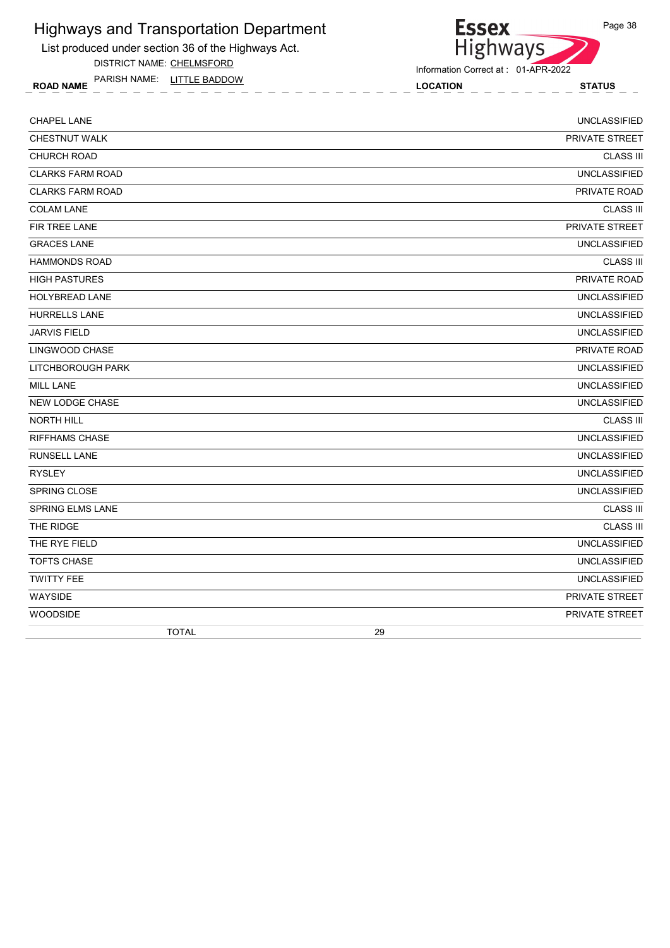List produced under section 36 of the Highways Act.

DISTRICT NAME: CHELMSFORD

ROAD NAME LOCATION STATUS PARISH NAME: LITTLE BADDOW



| <b>CHAPEL LANE</b>      | <b>UNCLASSIFIED</b>   |
|-------------------------|-----------------------|
| <b>CHESTNUT WALK</b>    | PRIVATE STREET        |
| <b>CHURCH ROAD</b>      | <b>CLASS III</b>      |
| <b>CLARKS FARM ROAD</b> | <b>UNCLASSIFIED</b>   |
| <b>CLARKS FARM ROAD</b> | PRIVATE ROAD          |
| <b>COLAM LANE</b>       | <b>CLASS III</b>      |
| FIR TREE LANE           | PRIVATE STREET        |
| <b>GRACES LANE</b>      | <b>UNCLASSIFIED</b>   |
| <b>HAMMONDS ROAD</b>    | <b>CLASS III</b>      |
| <b>HIGH PASTURES</b>    | PRIVATE ROAD          |
| <b>HOLYBREAD LANE</b>   | <b>UNCLASSIFIED</b>   |
| <b>HURRELLS LANE</b>    | <b>UNCLASSIFIED</b>   |
| <b>JARVIS FIELD</b>     | <b>UNCLASSIFIED</b>   |
| LINGWOOD CHASE          | PRIVATE ROAD          |
| LITCHBOROUGH PARK       | <b>UNCLASSIFIED</b>   |
| <b>MILL LANE</b>        | <b>UNCLASSIFIED</b>   |
| NEW LODGE CHASE         | <b>UNCLASSIFIED</b>   |
| NORTH HILL              | <b>CLASS III</b>      |
| <b>RIFFHAMS CHASE</b>   | <b>UNCLASSIFIED</b>   |
| <b>RUNSELL LANE</b>     | <b>UNCLASSIFIED</b>   |
| <b>RYSLEY</b>           | <b>UNCLASSIFIED</b>   |
| SPRING CLOSE            | <b>UNCLASSIFIED</b>   |
| SPRING ELMS LANE        | <b>CLASS III</b>      |
| THE RIDGE               | <b>CLASS III</b>      |
| THE RYE FIELD           | <b>UNCLASSIFIED</b>   |
| <b>TOFTS CHASE</b>      | <b>UNCLASSIFIED</b>   |
| <b>TWITTY FEE</b>       | <b>UNCLASSIFIED</b>   |
| <b>WAYSIDE</b>          | <b>PRIVATE STREET</b> |
| WOODSIDE                | PRIVATE STREET        |
| <b>TOTAL</b>            | 29                    |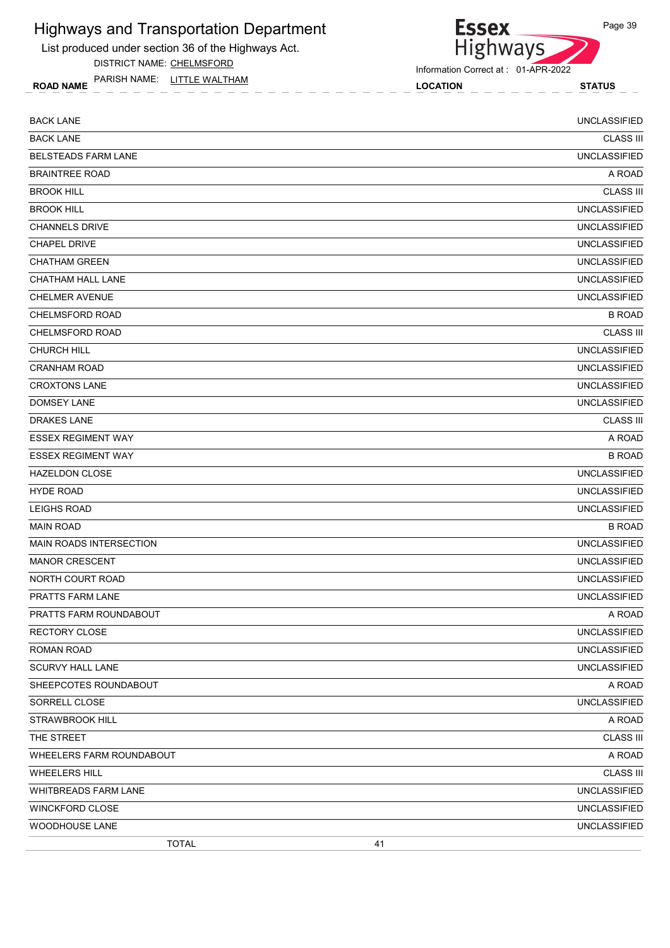List produced under section 36 of the Highways Act.

DISTRICT NAME: CHELMSFORD

ROAD NAME LOCATION STATUS PARISH NAME: LITTLE WALTHAM



Information Correct at : 01-APR-2022

| <b>BACK LANE</b>               |    | <b>UNCLASSIFIED</b> |
|--------------------------------|----|---------------------|
| <b>BACK LANE</b>               |    | <b>CLASS III</b>    |
| <b>BELSTEADS FARM LANE</b>     |    | <b>UNCLASSIFIED</b> |
| <b>BRAINTREE ROAD</b>          |    | A ROAD              |
| <b>BROOK HILL</b>              |    | <b>CLASS III</b>    |
| <b>BROOK HILL</b>              |    | <b>UNCLASSIFIED</b> |
| <b>CHANNELS DRIVE</b>          |    | <b>UNCLASSIFIED</b> |
| <b>CHAPEL DRIVE</b>            |    | <b>UNCLASSIFIED</b> |
| <b>CHATHAM GREEN</b>           |    | <b>UNCLASSIFIED</b> |
| CHATHAM HALL LANE              |    | <b>UNCLASSIFIED</b> |
| <b>CHELMER AVENUE</b>          |    | <b>UNCLASSIFIED</b> |
| <b>CHELMSFORD ROAD</b>         |    | <b>B ROAD</b>       |
| <b>CHELMSFORD ROAD</b>         |    | <b>CLASS III</b>    |
| <b>CHURCH HILL</b>             |    | <b>UNCLASSIFIED</b> |
| <b>CRANHAM ROAD</b>            |    | <b>UNCLASSIFIED</b> |
| <b>CROXTONS LANE</b>           |    | <b>UNCLASSIFIED</b> |
| <b>DOMSEY LANE</b>             |    | <b>UNCLASSIFIED</b> |
| <b>DRAKES LANE</b>             |    | <b>CLASS III</b>    |
| <b>ESSEX REGIMENT WAY</b>      |    | A ROAD              |
| <b>ESSEX REGIMENT WAY</b>      |    | <b>B ROAD</b>       |
| <b>HAZELDON CLOSE</b>          |    | <b>UNCLASSIFIED</b> |
| <b>HYDE ROAD</b>               |    | <b>UNCLASSIFIED</b> |
| LEIGHS ROAD                    |    | <b>UNCLASSIFIED</b> |
| <b>MAIN ROAD</b>               |    | <b>B ROAD</b>       |
| <b>MAIN ROADS INTERSECTION</b> |    | <b>UNCLASSIFIED</b> |
| <b>MANOR CRESCENT</b>          |    | <b>UNCLASSIFIED</b> |
| NORTH COURT ROAD               |    | <b>UNCLASSIFIED</b> |
| PRATTS FARM LANE               |    | <b>UNCLASSIFIED</b> |
| PRATTS FARM ROUNDABOUT         |    | A ROAD              |
| <b>RECTORY CLOSE</b>           |    | UNCLASSIFIED        |
| <b>ROMAN ROAD</b>              |    | <b>UNCLASSIFIED</b> |
| SCURVY HALL LANE               |    | <b>UNCLASSIFIED</b> |
| SHEEPCOTES ROUNDABOUT          |    | A ROAD              |
| SORRELL CLOSE                  |    | <b>UNCLASSIFIED</b> |
| <b>STRAWBROOK HILL</b>         |    | A ROAD              |
| THE STREET                     |    | <b>CLASS III</b>    |
| WHEELERS FARM ROUNDABOUT       |    | A ROAD              |
| <b>WHEELERS HILL</b>           |    | <b>CLASS III</b>    |
| WHITBREADS FARM LANE           |    | <b>UNCLASSIFIED</b> |
| <b>WINCKFORD CLOSE</b>         |    | <b>UNCLASSIFIED</b> |
| WOODHOUSE LANE                 |    | <b>UNCLASSIFIED</b> |
| <b>TOTAL</b>                   | 41 |                     |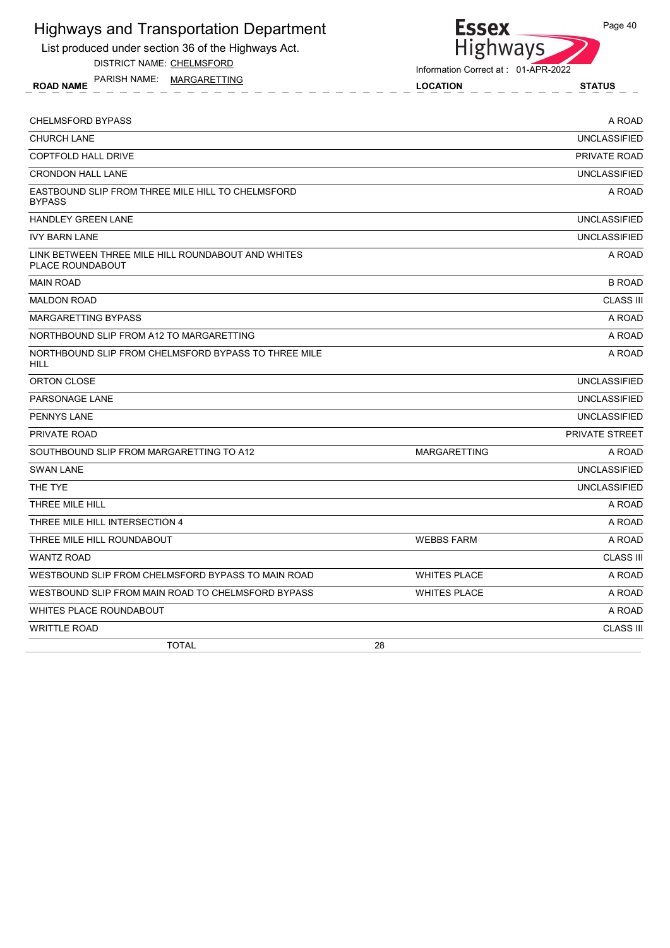List produced under section 36 of the Highways Act.

DISTRICT NAME: CHELMSFORD

ROAD NAME LOCATION STATUS PARISH NAME: MARGARETTING



Information Correct at : 01-APR-2022

| <b>CHELMSFORD BYPASS</b>                                               |                     | A ROAD                |
|------------------------------------------------------------------------|---------------------|-----------------------|
| CHURCH LANE                                                            |                     | <b>UNCLASSIFIED</b>   |
| <b>COPTFOLD HALL DRIVE</b>                                             |                     | PRIVATE ROAD          |
| <b>CRONDON HALL LANE</b>                                               |                     | <b>UNCLASSIFIED</b>   |
| EASTBOUND SLIP FROM THREE MILE HILL TO CHELMSFORD<br><b>BYPASS</b>     |                     | A ROAD                |
| <b>HANDLEY GREEN LANE</b>                                              |                     | <b>UNCLASSIFIED</b>   |
| <b>IVY BARN LANE</b>                                                   |                     | <b>UNCLASSIFIED</b>   |
| LINK BETWEEN THREE MILE HILL ROUNDABOUT AND WHITES<br>PLACE ROUNDABOUT |                     | A ROAD                |
| <b>MAIN ROAD</b>                                                       |                     | <b>B ROAD</b>         |
| <b>MALDON ROAD</b>                                                     |                     | <b>CLASS III</b>      |
| MARGARETTING BYPASS                                                    |                     | A ROAD                |
| NORTHBOUND SLIP FROM A12 TO MARGARETTING                               |                     | A ROAD                |
| NORTHBOUND SLIP FROM CHELMSFORD BYPASS TO THREE MILE<br><b>HILL</b>    |                     | A ROAD                |
| ORTON CLOSE                                                            |                     | <b>UNCLASSIFIED</b>   |
| <b>PARSONAGE LANE</b>                                                  |                     | <b>UNCLASSIFIED</b>   |
| <b>PENNYS LANE</b>                                                     |                     | <b>UNCLASSIFIED</b>   |
| <b>PRIVATE ROAD</b>                                                    |                     | <b>PRIVATE STREET</b> |
| SOUTHBOUND SLIP FROM MARGARETTING TO A12                               | <b>MARGARETTING</b> | A ROAD                |
| <b>SWAN LANE</b>                                                       |                     | <b>UNCLASSIFIED</b>   |
| THE TYE                                                                |                     | <b>UNCLASSIFIED</b>   |
| THREE MILE HILL                                                        |                     | A ROAD                |
| THREE MILE HILL INTERSECTION 4                                         |                     | A ROAD                |
| THREE MILE HILL ROUNDABOUT                                             | <b>WEBBS FARM</b>   | A ROAD                |
| <b>WANTZ ROAD</b>                                                      |                     | <b>CLASS III</b>      |
| WESTBOUND SLIP FROM CHELMSFORD BYPASS TO MAIN ROAD                     | <b>WHITES PLACE</b> | A ROAD                |
| WESTBOUND SLIP FROM MAIN ROAD TO CHELMSFORD BYPASS                     | <b>WHITES PLACE</b> | A ROAD                |
| WHITES PLACE ROUNDABOUT                                                |                     | A ROAD                |
| <b>WRITTLE ROAD</b>                                                    |                     | <b>CLASS III</b>      |
| <b>TOTAL</b>                                                           | 28                  |                       |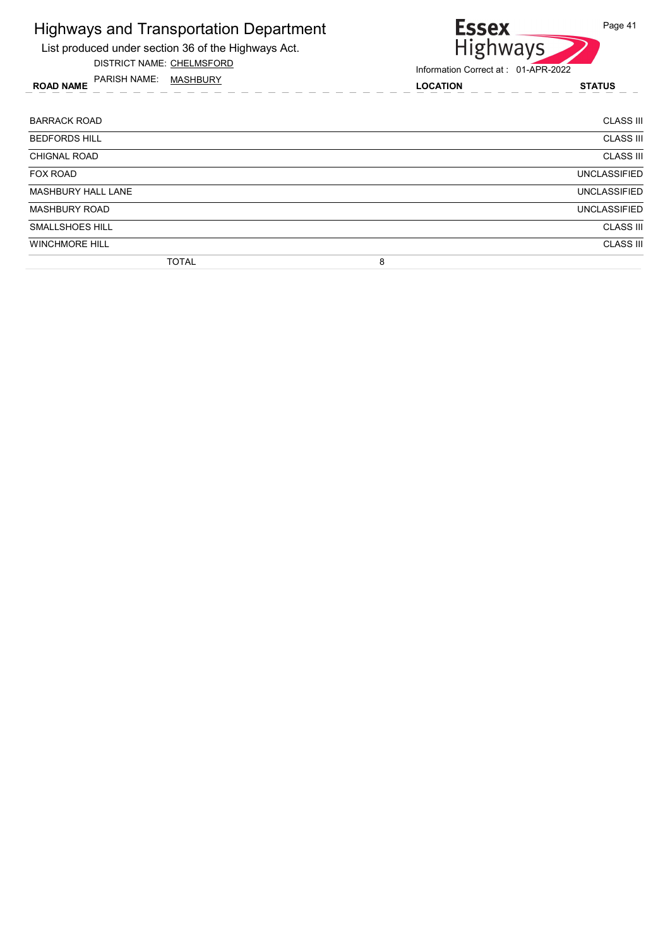

DISTRICT NAME: CHELMSFORD

ROAD NAME LOCATION STATUS PARISH NAME: MASHBURY



| <b>BARRACK ROAD</b>       | <b>CLASS III</b>    |
|---------------------------|---------------------|
| <b>BEDFORDS HILL</b>      | <b>CLASS III</b>    |
| <b>CHIGNAL ROAD</b>       | <b>CLASS III</b>    |
| <b>FOX ROAD</b>           | <b>UNCLASSIFIED</b> |
| <b>MASHBURY HALL LANE</b> | <b>UNCLASSIFIED</b> |
| <b>MASHBURY ROAD</b>      | <b>UNCLASSIFIED</b> |
| <b>SMALLSHOES HILL</b>    | <b>CLASS III</b>    |
| <b>WINCHMORE HILL</b>     | <b>CLASS III</b>    |
| <b>TOTAL</b>              | 8                   |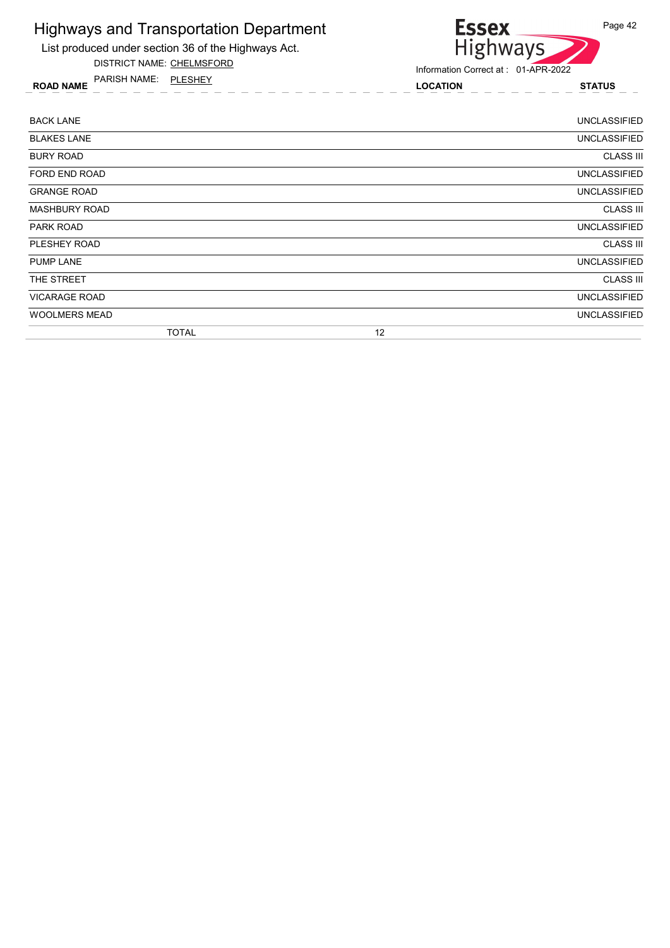

List produced under section 36 of the Highways Act. DISTRICT NAME: CHELMSFORD

ROAD NAME LOCATION STATUS PARISH NAME: PLESHEY

| <b>BACK LANE</b>     |              | <b>UNCLASSIFIED</b> |
|----------------------|--------------|---------------------|
| <b>BLAKES LANE</b>   |              | <b>UNCLASSIFIED</b> |
| <b>BURY ROAD</b>     |              | <b>CLASS III</b>    |
| FORD END ROAD        |              | <b>UNCLASSIFIED</b> |
| <b>GRANGE ROAD</b>   |              | <b>UNCLASSIFIED</b> |
| <b>MASHBURY ROAD</b> |              | <b>CLASS III</b>    |
| <b>PARK ROAD</b>     |              | <b>UNCLASSIFIED</b> |
| PLESHEY ROAD         |              | <b>CLASS III</b>    |
| <b>PUMP LANE</b>     |              | <b>UNCLASSIFIED</b> |
| THE STREET           |              | <b>CLASS III</b>    |
| <b>VICARAGE ROAD</b> |              | <b>UNCLASSIFIED</b> |
| <b>WOOLMERS MEAD</b> |              | <b>UNCLASSIFIED</b> |
|                      | <b>TOTAL</b> | 12                  |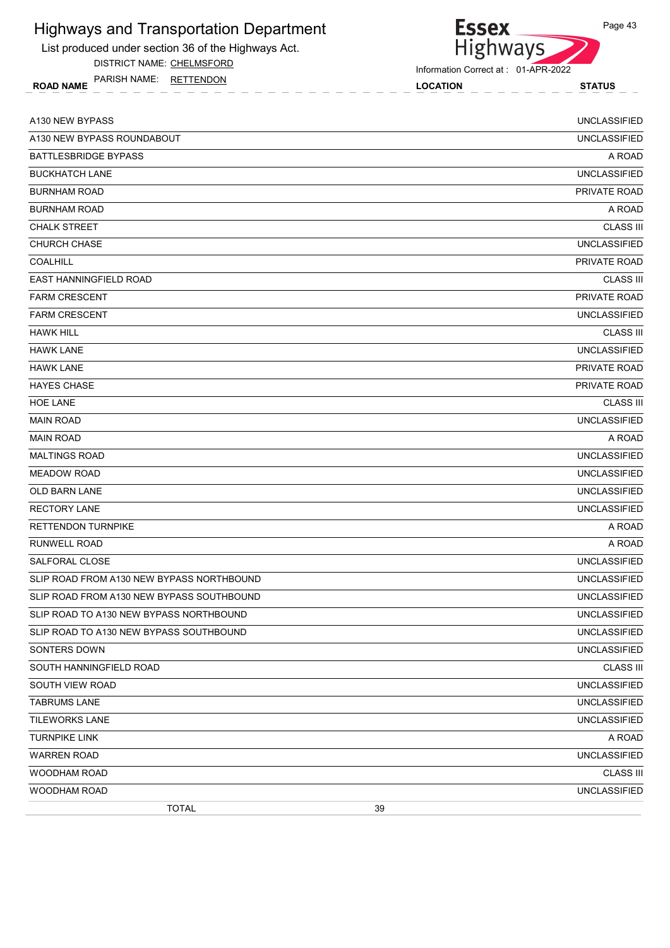

DISTRICT NAME: CHELMSFORD

ROAD NAME LOCATION STATUS PARISH NAME: RETTENDON



| A130 NEW BYPASS                           |    | <b>UNCLASSIFIED</b> |
|-------------------------------------------|----|---------------------|
| A130 NEW BYPASS ROUNDABOUT                |    | <b>UNCLASSIFIED</b> |
| <b>BATTLESBRIDGE BYPASS</b>               |    | A ROAD              |
| <b>BUCKHATCH LANE</b>                     |    | <b>UNCLASSIFIED</b> |
| <b>BURNHAM ROAD</b>                       |    | PRIVATE ROAD        |
| <b>BURNHAM ROAD</b>                       |    | A ROAD              |
| <b>CHALK STREET</b>                       |    | <b>CLASS III</b>    |
| <b>CHURCH CHASE</b>                       |    | <b>UNCLASSIFIED</b> |
| COALHILL                                  |    | PRIVATE ROAD        |
| EAST HANNINGFIELD ROAD                    |    | <b>CLASS III</b>    |
| <b>FARM CRESCENT</b>                      |    | PRIVATE ROAD        |
| <b>FARM CRESCENT</b>                      |    | <b>UNCLASSIFIED</b> |
| <b>HAWK HILL</b>                          |    | <b>CLASS III</b>    |
| <b>HAWK LANE</b>                          |    | <b>UNCLASSIFIED</b> |
| <b>HAWK LANE</b>                          |    | PRIVATE ROAD        |
| <b>HAYES CHASE</b>                        |    | PRIVATE ROAD        |
| <b>HOE LANE</b>                           |    | <b>CLASS III</b>    |
| <b>MAIN ROAD</b>                          |    | <b>UNCLASSIFIED</b> |
| <b>MAIN ROAD</b>                          |    | A ROAD              |
| <b>MALTINGS ROAD</b>                      |    | <b>UNCLASSIFIED</b> |
| <b>MEADOW ROAD</b>                        |    | <b>UNCLASSIFIED</b> |
| OLD BARN LANE                             |    | <b>UNCLASSIFIED</b> |
| <b>RECTORY LANE</b>                       |    | <b>UNCLASSIFIED</b> |
| <b>RETTENDON TURNPIKE</b>                 |    | A ROAD              |
| <b>RUNWELL ROAD</b>                       |    | A ROAD              |
| SALFORAL CLOSE                            |    | <b>UNCLASSIFIED</b> |
| SLIP ROAD FROM A130 NEW BYPASS NORTHBOUND |    | <b>UNCLASSIFIED</b> |
| SLIP ROAD FROM A130 NEW BYPASS SOUTHBOUND |    | <b>UNCLASSIFIED</b> |
| SLIP ROAD TO A130 NEW BYPASS NORTHBOUND   |    | <b>UNCLASSIFIED</b> |
| SLIP ROAD TO A130 NEW BYPASS SOUTHBOUND   |    | <b>UNCLASSIFIED</b> |
| SONTERS DOWN                              |    | <b>UNCLASSIFIED</b> |
| SOUTH HANNINGFIELD ROAD                   |    | <b>CLASS III</b>    |
| SOUTH VIEW ROAD                           |    | <b>UNCLASSIFIED</b> |
| <b>TABRUMS LANE</b>                       |    | <b>UNCLASSIFIED</b> |
| TILEWORKS LANE                            |    | <b>UNCLASSIFIED</b> |
| <b>TURNPIKE LINK</b>                      |    | A ROAD              |
| <b>WARREN ROAD</b>                        |    | <b>UNCLASSIFIED</b> |
| WOODHAM ROAD                              |    | <b>CLASS III</b>    |
| WOODHAM ROAD                              |    | <b>UNCLASSIFIED</b> |
| <b>TOTAL</b>                              | 39 |                     |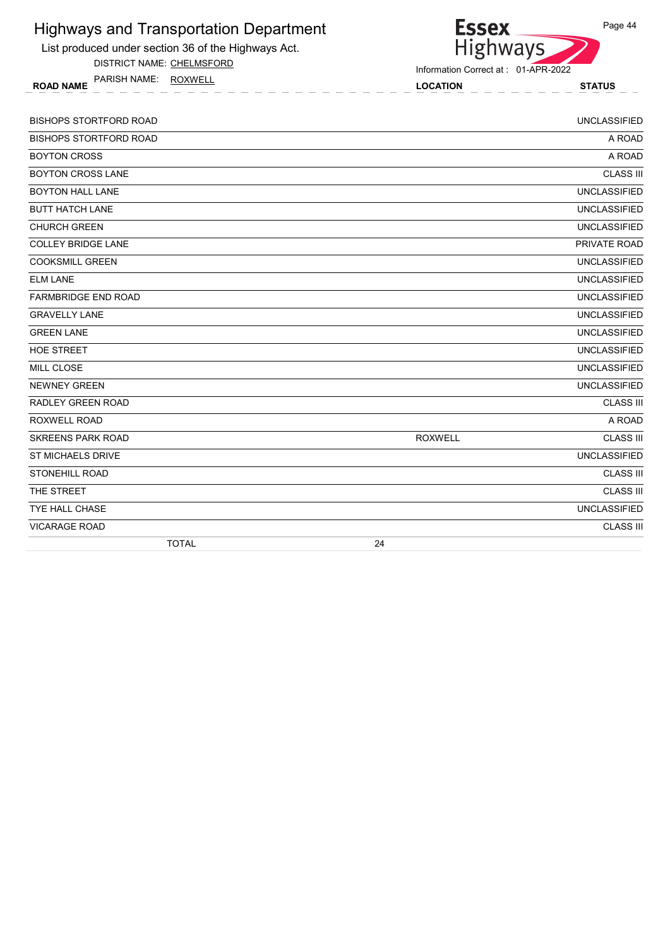| <b>Highways and Transportation Department</b><br>List produced under section 36 of the Highways Act. | <b>Essex</b><br>Highways            | Page 44             |
|------------------------------------------------------------------------------------------------------|-------------------------------------|---------------------|
| DISTRICT NAME: CHELMSFORD                                                                            | Information Correct at: 01-APR-2022 |                     |
| PARISH NAME: ROXWELL<br><b>ROAD NAME</b>                                                             | <b>LOCATION</b>                     | <b>STATUS</b>       |
| <b>BISHOPS STORTFORD ROAD</b>                                                                        |                                     | <b>UNCLASSIFIED</b> |
| <b>BISHOPS STORTFORD ROAD</b>                                                                        |                                     | A ROAD              |
| <b>BOYTON CROSS</b>                                                                                  |                                     | A ROAD              |
| <b>BOYTON CROSS LANE</b>                                                                             |                                     | <b>CLASS III</b>    |
| <b>BOYTON HALL LANE</b>                                                                              |                                     | <b>UNCLASSIFIED</b> |
| <b>BUTT HATCH LANE</b>                                                                               |                                     | <b>UNCLASSIFIED</b> |
| <b>CHURCH GREEN</b>                                                                                  |                                     | <b>UNCLASSIFIED</b> |
| <b>COLLEY BRIDGE LANE</b>                                                                            |                                     | PRIVATE ROAD        |
| <b>COOKSMILL GREEN</b>                                                                               |                                     | <b>UNCLASSIFIED</b> |
| <b>ELM LANE</b>                                                                                      |                                     | <b>UNCLASSIFIED</b> |
| <b>FARMBRIDGE END ROAD</b>                                                                           |                                     | <b>UNCLASSIFIED</b> |
| <b>GRAVELLY LANE</b>                                                                                 |                                     | <b>UNCLASSIFIED</b> |
| <b>GREEN LANE</b>                                                                                    |                                     | <b>UNCLASSIFIED</b> |
| <b>HOE STREET</b>                                                                                    |                                     | <b>UNCLASSIFIED</b> |
| <b>MILL CLOSE</b>                                                                                    |                                     | <b>UNCLASSIFIED</b> |
| <b>NEWNEY GREEN</b>                                                                                  |                                     | <b>UNCLASSIFIED</b> |
| <b>RADLEY GREEN ROAD</b>                                                                             |                                     | <b>CLASS III</b>    |
| <b>ROXWELL ROAD</b>                                                                                  |                                     | A ROAD              |
| <b>SKREENS PARK ROAD</b>                                                                             | <b>ROXWELL</b>                      | <b>CLASS III</b>    |
| <b>ST MICHAELS DRIVE</b>                                                                             |                                     | <b>UNCLASSIFIED</b> |
| <b>STONEHILL ROAD</b>                                                                                |                                     | <b>CLASS III</b>    |
| THE STREET                                                                                           |                                     | <b>CLASS III</b>    |
| <b>TYE HALL CHASE</b>                                                                                |                                     | <b>UNCLASSIFIED</b> |
| <b>VICARAGE ROAD</b>                                                                                 |                                     | <b>CLASS III</b>    |
| <b>TOTAL</b>                                                                                         | 24                                  |                     |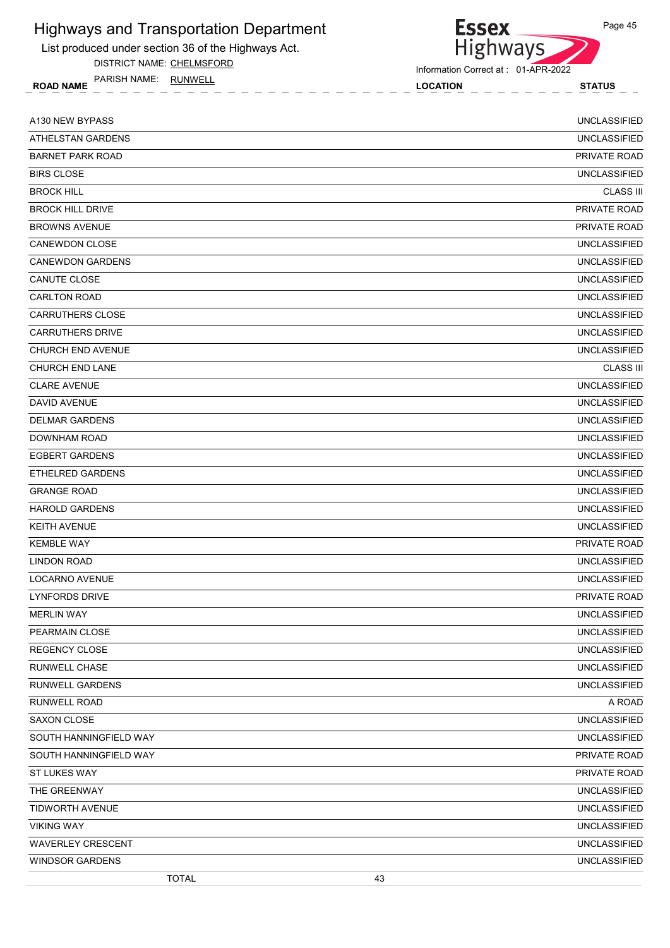

DISTRICT NAME: CHELMSFORD

ROAD NAME LOCATION STATUS PARISH NAME: RUNWELL



Information Correct at : 01-APR-2022

| A130 NEW BYPASS          | <b>UNCLASSIFIED</b> |
|--------------------------|---------------------|
| ATHELSTAN GARDENS        | <b>UNCLASSIFIED</b> |
| <b>BARNET PARK ROAD</b>  | PRIVATE ROAD        |
| <b>BIRS CLOSE</b>        | <b>UNCLASSIFIED</b> |
| <b>BROCK HILL</b>        | <b>CLASS III</b>    |
| <b>BROCK HILL DRIVE</b>  | PRIVATE ROAD        |
| <b>BROWNS AVENUE</b>     | PRIVATE ROAD        |
| <b>CANEWDON CLOSE</b>    | <b>UNCLASSIFIED</b> |
| <b>CANEWDON GARDENS</b>  | <b>UNCLASSIFIED</b> |
| CANUTE CLOSE             | <b>UNCLASSIFIED</b> |
| <b>CARLTON ROAD</b>      | <b>UNCLASSIFIED</b> |
| <b>CARRUTHERS CLOSE</b>  | <b>UNCLASSIFIED</b> |
| <b>CARRUTHERS DRIVE</b>  | <b>UNCLASSIFIED</b> |
| <b>CHURCH END AVENUE</b> | <b>UNCLASSIFIED</b> |
| <b>CHURCH END LANE</b>   | <b>CLASS III</b>    |
| <b>CLARE AVENUE</b>      | <b>UNCLASSIFIED</b> |
| DAVID AVENUE             | <b>UNCLASSIFIED</b> |
| <b>DELMAR GARDENS</b>    | <b>UNCLASSIFIED</b> |
| DOWNHAM ROAD             | <b>UNCLASSIFIED</b> |
| <b>EGBERT GARDENS</b>    | <b>UNCLASSIFIED</b> |
| <b>ETHELRED GARDENS</b>  | <b>UNCLASSIFIED</b> |
| <b>GRANGE ROAD</b>       | <b>UNCLASSIFIED</b> |
| <b>HAROLD GARDENS</b>    | <b>UNCLASSIFIED</b> |
| <b>KEITH AVENUE</b>      | <b>UNCLASSIFIED</b> |
| <b>KEMBLE WAY</b>        | PRIVATE ROAD        |
| LINDON ROAD              | <b>UNCLASSIFIED</b> |
| LOCARNO AVENUE           | <b>UNCLASSIFIED</b> |
| <b>LYNFORDS DRIVE</b>    | PRIVATE ROAD        |
| <b>MERLIN WAY</b>        | <b>UNCLASSIFIED</b> |
| PEARMAIN CLOSE           | <b>UNCLASSIFIED</b> |
| REGENCY CLOSE            | <b>UNCLASSIFIED</b> |
| <b>RUNWELL CHASE</b>     | <b>UNCLASSIFIED</b> |
| RUNWELL GARDENS          | <b>UNCLASSIFIED</b> |
| RUNWELL ROAD             | A ROAD              |
| SAXON CLOSE              | <b>UNCLASSIFIED</b> |
| SOUTH HANNINGFIELD WAY   | <b>UNCLASSIFIED</b> |
| SOUTH HANNINGFIELD WAY   | PRIVATE ROAD        |
| ST LUKES WAY             | PRIVATE ROAD        |
| THE GREENWAY             | <b>UNCLASSIFIED</b> |
| TIDWORTH AVENUE          | <b>UNCLASSIFIED</b> |
| <b>VIKING WAY</b>        | <b>UNCLASSIFIED</b> |
| <b>WAVERLEY CRESCENT</b> | <b>UNCLASSIFIED</b> |
| <b>WINDSOR GARDENS</b>   | <b>UNCLASSIFIED</b> |
| <b>TOTAL</b>             | 43                  |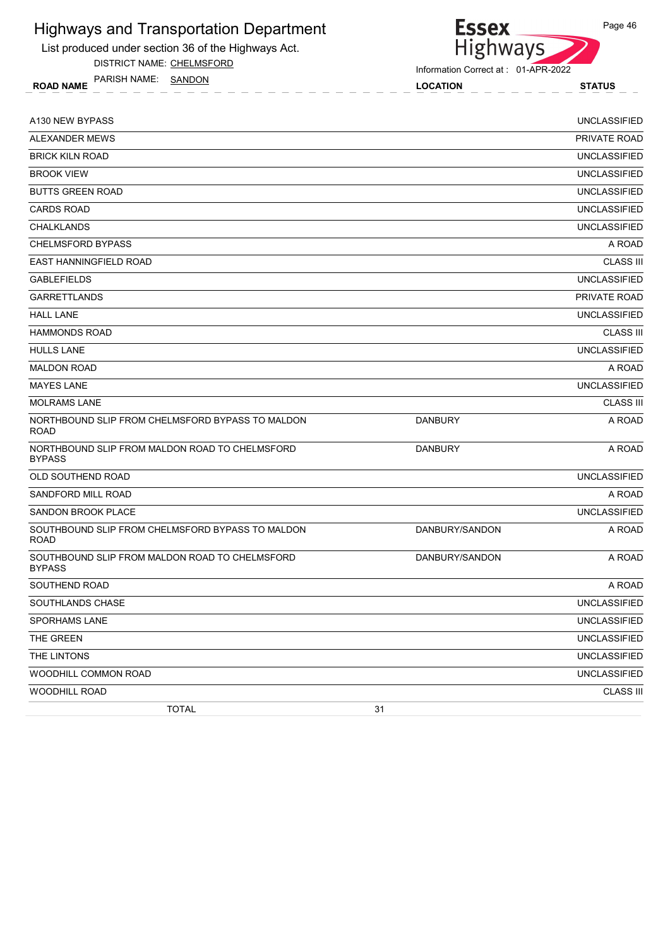

List produced under section 36 of the Highways Act.

DISTRICT NAME: CHELMSFORD

ROAD NAME LOCATION STATUS PARISH NAME: SANDON

Information Correct at : 01-APR-2022

| A130 NEW BYPASS                                                 |                | <b>UNCLASSIFIED</b> |
|-----------------------------------------------------------------|----------------|---------------------|
| <b>ALEXANDER MEWS</b>                                           |                | <b>PRIVATE ROAD</b> |
| <b>BRICK KILN ROAD</b>                                          |                | <b>UNCLASSIFIED</b> |
| <b>BROOK VIEW</b>                                               |                | <b>UNCLASSIFIED</b> |
| <b>BUTTS GREEN ROAD</b>                                         |                | <b>UNCLASSIFIED</b> |
| <b>CARDS ROAD</b>                                               |                | <b>UNCLASSIFIED</b> |
| <b>CHALKLANDS</b>                                               |                | <b>UNCLASSIFIED</b> |
| <b>CHELMSFORD BYPASS</b>                                        |                | A ROAD              |
| <b>EAST HANNINGFIELD ROAD</b>                                   |                | <b>CLASS III</b>    |
| <b>GABLEFIELDS</b>                                              |                | <b>UNCLASSIFIED</b> |
| <b>GARRETTLANDS</b>                                             |                | PRIVATE ROAD        |
| <b>HALL LANE</b>                                                |                | <b>UNCLASSIFIED</b> |
| <b>HAMMONDS ROAD</b>                                            |                | <b>CLASS III</b>    |
| <b>HULLS LANE</b>                                               |                | <b>UNCLASSIFIED</b> |
| <b>MALDON ROAD</b>                                              |                | A ROAD              |
| <b>MAYES LANE</b>                                               |                | <b>UNCLASSIFIED</b> |
| <b>MOLRAMS LANE</b>                                             |                | <b>CLASS III</b>    |
| NORTHBOUND SLIP FROM CHELMSFORD BYPASS TO MALDON<br><b>ROAD</b> | <b>DANBURY</b> | A ROAD              |
| NORTHBOUND SLIP FROM MALDON ROAD TO CHELMSFORD<br><b>BYPASS</b> | <b>DANBURY</b> | A ROAD              |
| OLD SOUTHEND ROAD                                               |                | <b>UNCLASSIFIED</b> |
| SANDFORD MILL ROAD                                              |                | A ROAD              |
| <b>SANDON BROOK PLACE</b>                                       |                | <b>UNCLASSIFIED</b> |
| SOUTHBOUND SLIP FROM CHELMSFORD BYPASS TO MALDON<br><b>ROAD</b> | DANBURY/SANDON | A ROAD              |
| SOUTHBOUND SLIP FROM MALDON ROAD TO CHELMSFORD<br><b>BYPASS</b> | DANBURY/SANDON | A ROAD              |
| SOUTHEND ROAD                                                   |                | A ROAD              |
| SOUTHLANDS CHASE                                                |                | <b>UNCLASSIFIED</b> |
| SPORHAMS LANE                                                   |                | <b>UNCLASSIFIED</b> |
| THE GREEN                                                       |                | <b>UNCLASSIFIED</b> |
| THE LINTONS                                                     |                | <b>UNCLASSIFIED</b> |
| WOODHILL COMMON ROAD                                            |                | <b>UNCLASSIFIED</b> |
| <b>WOODHILL ROAD</b>                                            |                | <b>CLASS III</b>    |
| <b>TOTAL</b>                                                    | 31             |                     |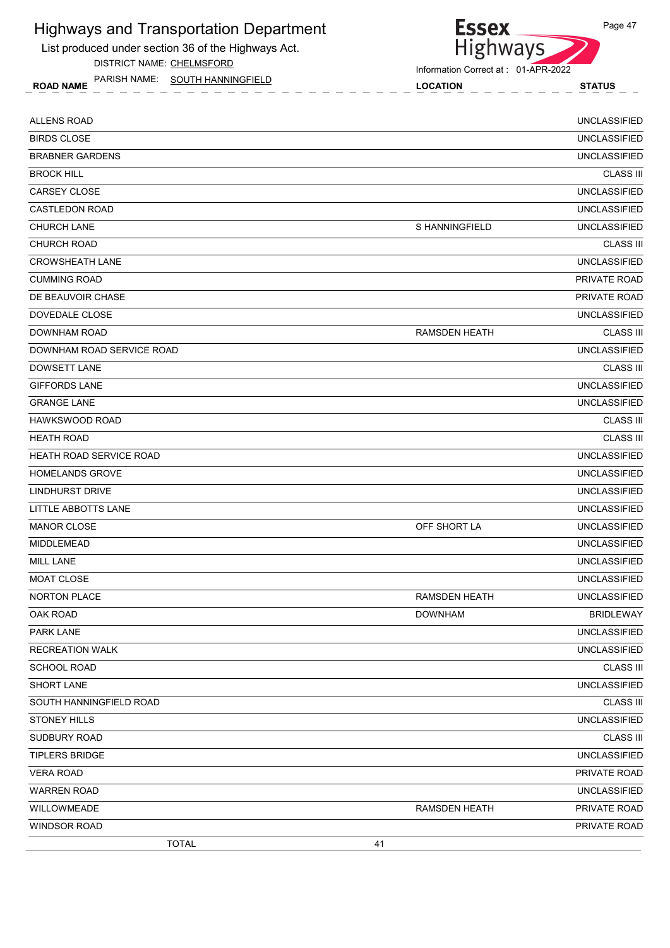List produced under section 36 of the Highways Act.

DISTRICT NAME: CHELMSFORD

ROAD NAME LOCATION STATUS PARISH NAME: SOUTH HANNINGFIELD



| <b>TOTAL</b>                   | 41                   |                     |
|--------------------------------|----------------------|---------------------|
| <b>WINDSOR ROAD</b>            |                      | PRIVATE ROAD        |
| WILLOWMEADE                    | <b>RAMSDEN HEATH</b> | PRIVATE ROAD        |
| <b>WARREN ROAD</b>             |                      | <b>UNCLASSIFIED</b> |
| <b>VERA ROAD</b>               |                      | PRIVATE ROAD        |
| <b>TIPLERS BRIDGE</b>          |                      | <b>UNCLASSIFIED</b> |
| SUDBURY ROAD                   |                      | <b>CLASS III</b>    |
| <b>STONEY HILLS</b>            |                      | <b>UNCLASSIFIED</b> |
| SOUTH HANNINGFIELD ROAD        |                      | <b>CLASS III</b>    |
| SHORT LANE                     |                      | <b>UNCLASSIFIED</b> |
| <b>SCHOOL ROAD</b>             |                      | <b>CLASS III</b>    |
| <b>RECREATION WALK</b>         |                      | <b>UNCLASSIFIED</b> |
| PARK LANE                      |                      | UNCLASSIFIED        |
| OAK ROAD                       | <b>DOWNHAM</b>       | <b>BRIDLEWAY</b>    |
| NORTON PLACE                   | <b>RAMSDEN HEATH</b> | <b>UNCLASSIFIED</b> |
| <b>MOAT CLOSE</b>              |                      | <b>UNCLASSIFIED</b> |
| <b>MILL LANE</b>               |                      | <b>UNCLASSIFIED</b> |
| MIDDLEMEAD                     |                      | <b>UNCLASSIFIED</b> |
| <b>MANOR CLOSE</b>             | OFF SHORT LA         | <b>UNCLASSIFIED</b> |
| LITTLE ABBOTTS LANE            |                      | <b>UNCLASSIFIED</b> |
| <b>LINDHURST DRIVE</b>         |                      | <b>UNCLASSIFIED</b> |
| <b>HOMELANDS GROVE</b>         |                      | <b>UNCLASSIFIED</b> |
| <b>HEATH ROAD SERVICE ROAD</b> |                      | <b>UNCLASSIFIED</b> |
| <b>HEATH ROAD</b>              |                      | <b>CLASS III</b>    |
| <b>HAWKSWOOD ROAD</b>          |                      | <b>CLASS III</b>    |
| <b>GRANGE LANE</b>             |                      | <b>UNCLASSIFIED</b> |
| <b>GIFFORDS LANE</b>           |                      | <b>UNCLASSIFIED</b> |
| <b>DOWSETT LANE</b>            |                      | <b>CLASS III</b>    |
| DOWNHAM ROAD SERVICE ROAD      |                      | <b>UNCLASSIFIED</b> |
| DOWNHAM ROAD                   | <b>RAMSDEN HEATH</b> | <b>CLASS III</b>    |
| DOVEDALE CLOSE                 |                      | <b>UNCLASSIFIED</b> |
| DE BEAUVOIR CHASE              |                      | <b>PRIVATE ROAD</b> |
| <b>CUMMING ROAD</b>            |                      | PRIVATE ROAD        |
| <b>CROWSHEATH LANE</b>         |                      | <b>UNCLASSIFIED</b> |
| <b>CHURCH ROAD</b>             |                      | <b>CLASS III</b>    |
| <b>CHURCH LANE</b>             | S HANNINGFIELD       | <b>UNCLASSIFIED</b> |
| <b>CASTLEDON ROAD</b>          |                      | <b>UNCLASSIFIED</b> |
| CARSEY CLOSE                   |                      | <b>UNCLASSIFIED</b> |
| <b>BROCK HILL</b>              |                      | <b>CLASS III</b>    |
| <b>BRABNER GARDENS</b>         |                      | <b>UNCLASSIFIED</b> |
| <b>BIRDS CLOSE</b>             |                      | <b>UNCLASSIFIED</b> |
| <b>ALLENS ROAD</b>             |                      | <b>UNCLASSIFIED</b> |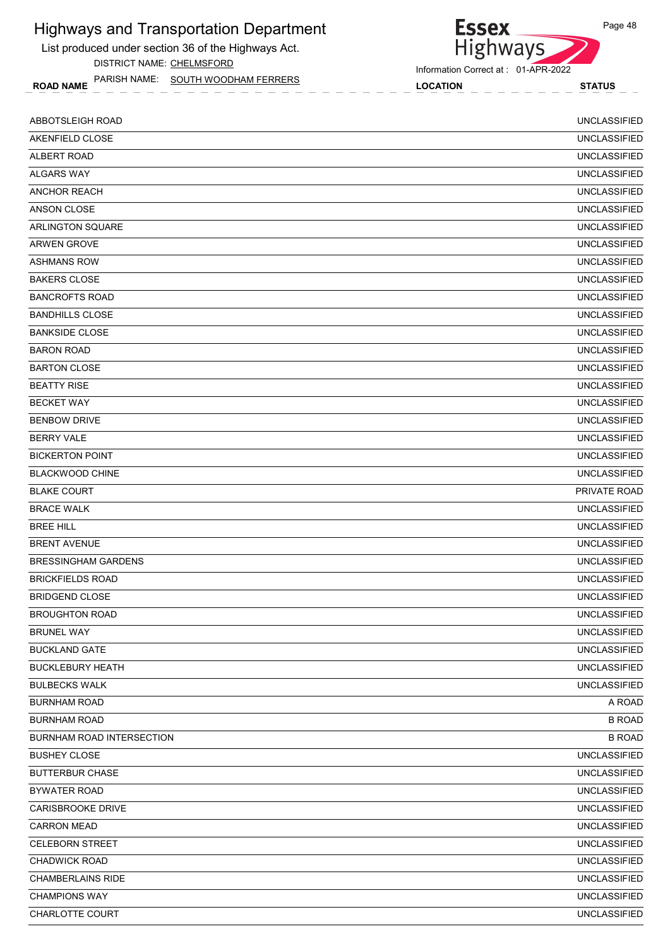List produced under section 36 of the Highways Act. DISTRICT NAME: CHELMSFORD

ROAD NAME LOCATION STATUS PARISH NAME: SOUTH WOODHAM FERRERS

#### Information Correct at : 01-APR-2022

Highways

**Essex** 

| ABBOTSLEIGH ROAD                 | <b>UNCLASSIFIED</b> |
|----------------------------------|---------------------|
| AKENFIELD CLOSE                  | <b>UNCLASSIFIED</b> |
| ALBERT ROAD                      | <b>UNCLASSIFIED</b> |
| <b>ALGARS WAY</b>                | <b>UNCLASSIFIED</b> |
| <b>ANCHOR REACH</b>              | <b>UNCLASSIFIED</b> |
| ANSON CLOSE                      | <b>UNCLASSIFIED</b> |
| <b>ARLINGTON SQUARE</b>          | <b>UNCLASSIFIED</b> |
| <b>ARWEN GROVE</b>               | <b>UNCLASSIFIED</b> |
| <b>ASHMANS ROW</b>               | <b>UNCLASSIFIED</b> |
| <b>BAKERS CLOSE</b>              | <b>UNCLASSIFIED</b> |
| <b>BANCROFTS ROAD</b>            | <b>UNCLASSIFIED</b> |
| <b>BANDHILLS CLOSE</b>           | <b>UNCLASSIFIED</b> |
| <b>BANKSIDE CLOSE</b>            | <b>UNCLASSIFIED</b> |
| <b>BARON ROAD</b>                | <b>UNCLASSIFIED</b> |
| <b>BARTON CLOSE</b>              | <b>UNCLASSIFIED</b> |
| <b>BEATTY RISE</b>               | <b>UNCLASSIFIED</b> |
| <b>BECKET WAY</b>                | <b>UNCLASSIFIED</b> |
| <b>BENBOW DRIVE</b>              | <b>UNCLASSIFIED</b> |
| <b>BERRY VALE</b>                | <b>UNCLASSIFIED</b> |
| <b>BICKERTON POINT</b>           | <b>UNCLASSIFIED</b> |
| <b>BLACKWOOD CHINE</b>           | <b>UNCLASSIFIED</b> |
| <b>BLAKE COURT</b>               | PRIVATE ROAD        |
| <b>BRACE WALK</b>                | <b>UNCLASSIFIED</b> |
| <b>BREE HILL</b>                 | <b>UNCLASSIFIED</b> |
| <b>BRENT AVENUE</b>              | <b>UNCLASSIFIED</b> |
| <b>BRESSINGHAM GARDENS</b>       | <b>UNCLASSIFIED</b> |
| <b>BRICKFIELDS ROAD</b>          | <b>UNCLASSIFIED</b> |
| <b>BRIDGEND CLOSE</b>            | <b>UNCLASSIFIED</b> |
| <b>BROUGHTON ROAD</b>            | <b>UNCLASSIFIED</b> |
| <b>BRUNEL WAY</b>                | <b>UNCLASSIFIED</b> |
| <b>BUCKLAND GATE</b>             | <b>UNCLASSIFIED</b> |
| <b>BUCKLEBURY HEATH</b>          | <b>UNCLASSIFIED</b> |
| <b>BULBECKS WALK</b>             | <b>UNCLASSIFIED</b> |
| <b>BURNHAM ROAD</b>              | A ROAD              |
| <b>BURNHAM ROAD</b>              | <b>B ROAD</b>       |
| <b>BURNHAM ROAD INTERSECTION</b> | <b>B ROAD</b>       |
| <b>BUSHEY CLOSE</b>              | <b>UNCLASSIFIED</b> |
| <b>BUTTERBUR CHASE</b>           | <b>UNCLASSIFIED</b> |
| <b>BYWATER ROAD</b>              | <b>UNCLASSIFIED</b> |
| CARISBROOKE DRIVE                | <b>UNCLASSIFIED</b> |
| <b>CARRON MEAD</b>               | <b>UNCLASSIFIED</b> |
| <b>CELEBORN STREET</b>           | <b>UNCLASSIFIED</b> |
| <b>CHADWICK ROAD</b>             | <b>UNCLASSIFIED</b> |
| <b>CHAMBERLAINS RIDE</b>         | <b>UNCLASSIFIED</b> |
| <b>CHAMPIONS WAY</b>             | <b>UNCLASSIFIED</b> |
| CHARLOTTE COURT                  | <b>UNCLASSIFIED</b> |
|                                  |                     |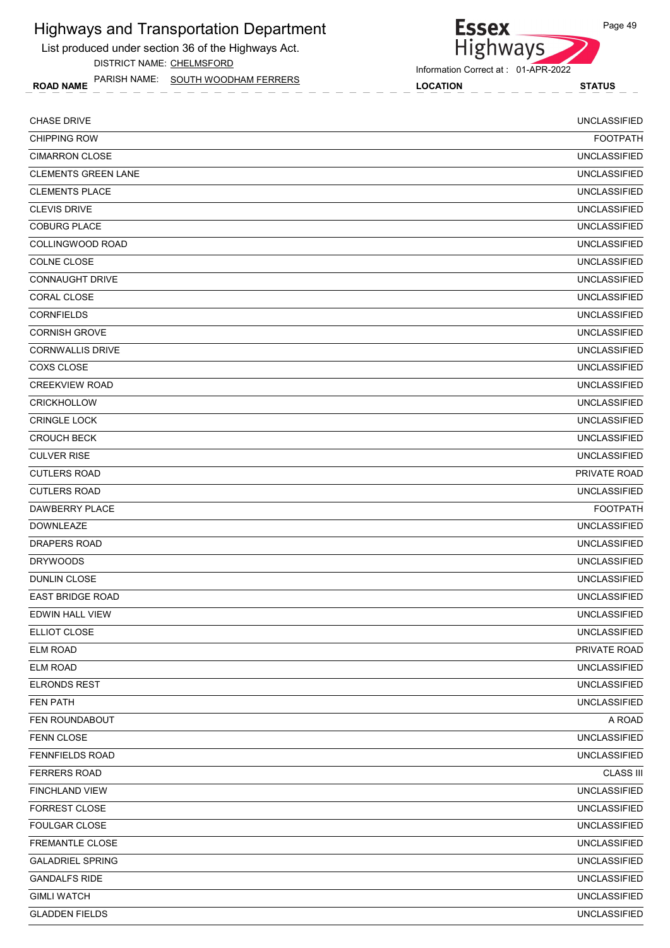List produced under section 36 of the Highways Act. DISTRICT NAME: CHELMSFORD

ROAD NAME LOCATION STATUS PARISH NAME: SOUTH WOODHAM FERRERS

## Essex<br>Highways Information Correct at : 01-APR-2022

| <b>CHASE DRIVE</b>         | <b>UNCLASSIFIED</b> |
|----------------------------|---------------------|
| <b>CHIPPING ROW</b>        | <b>FOOTPATH</b>     |
| <b>CIMARRON CLOSE</b>      | <b>UNCLASSIFIED</b> |
| <b>CLEMENTS GREEN LANE</b> | <b>UNCLASSIFIED</b> |
| <b>CLEMENTS PLACE</b>      | <b>UNCLASSIFIED</b> |
| <b>CLEVIS DRIVE</b>        | <b>UNCLASSIFIED</b> |
| <b>COBURG PLACE</b>        | <b>UNCLASSIFIED</b> |
| COLLINGWOOD ROAD           | <b>UNCLASSIFIED</b> |
| COLNE CLOSE                | <b>UNCLASSIFIED</b> |
| <b>CONNAUGHT DRIVE</b>     | <b>UNCLASSIFIED</b> |
| <b>CORAL CLOSE</b>         | <b>UNCLASSIFIED</b> |
| <b>CORNFIELDS</b>          | <b>UNCLASSIFIED</b> |
| <b>CORNISH GROVE</b>       | <b>UNCLASSIFIED</b> |
| <b>CORNWALLIS DRIVE</b>    | <b>UNCLASSIFIED</b> |
| <b>COXS CLOSE</b>          | <b>UNCLASSIFIED</b> |
| <b>CREEKVIEW ROAD</b>      | <b>UNCLASSIFIED</b> |
| <b>CRICKHOLLOW</b>         | <b>UNCLASSIFIED</b> |
| <b>CRINGLE LOCK</b>        | <b>UNCLASSIFIED</b> |
| <b>CROUCH BECK</b>         | <b>UNCLASSIFIED</b> |
| <b>CULVER RISE</b>         | <b>UNCLASSIFIED</b> |
| <b>CUTLERS ROAD</b>        | PRIVATE ROAD        |
| <b>CUTLERS ROAD</b>        | <b>UNCLASSIFIED</b> |
| DAWBERRY PLACE             | <b>FOOTPATH</b>     |
| <b>DOWNLEAZE</b>           | <b>UNCLASSIFIED</b> |
| <b>DRAPERS ROAD</b>        | <b>UNCLASSIFIED</b> |
| <b>DRYWOODS</b>            | <b>UNCLASSIFIED</b> |
| <b>DUNLIN CLOSE</b>        | <b>UNCLASSIFIED</b> |
| <b>EAST BRIDGE ROAD</b>    | <b>UNCLASSIFIED</b> |
| EDWIN HALL VIEW            | <b>UNCLASSIFIED</b> |
| ELLIOT CLOSE               | <b>UNCLASSIFIED</b> |
| <b>ELM ROAD</b>            | PRIVATE ROAD        |
| <b>ELM ROAD</b>            | <b>UNCLASSIFIED</b> |
| <b>ELRONDS REST</b>        | <b>UNCLASSIFIED</b> |
| FEN PATH                   | <b>UNCLASSIFIED</b> |
| FEN ROUNDABOUT             | A ROAD              |
| <b>FENN CLOSE</b>          | <b>UNCLASSIFIED</b> |
| <b>FENNFIELDS ROAD</b>     | <b>UNCLASSIFIED</b> |
| <b>FERRERS ROAD</b>        | <b>CLASS III</b>    |
| <b>FINCHLAND VIEW</b>      | <b>UNCLASSIFIED</b> |
| FORREST CLOSE              | <b>UNCLASSIFIED</b> |
| FOULGAR CLOSE              | <b>UNCLASSIFIED</b> |
| FREMANTLE CLOSE            | <b>UNCLASSIFIED</b> |
| <b>GALADRIEL SPRING</b>    | <b>UNCLASSIFIED</b> |
| <b>GANDALFS RIDE</b>       | <b>UNCLASSIFIED</b> |
| <b>GIMLI WATCH</b>         | <b>UNCLASSIFIED</b> |
| <b>GLADDEN FIELDS</b>      | <b>UNCLASSIFIED</b> |

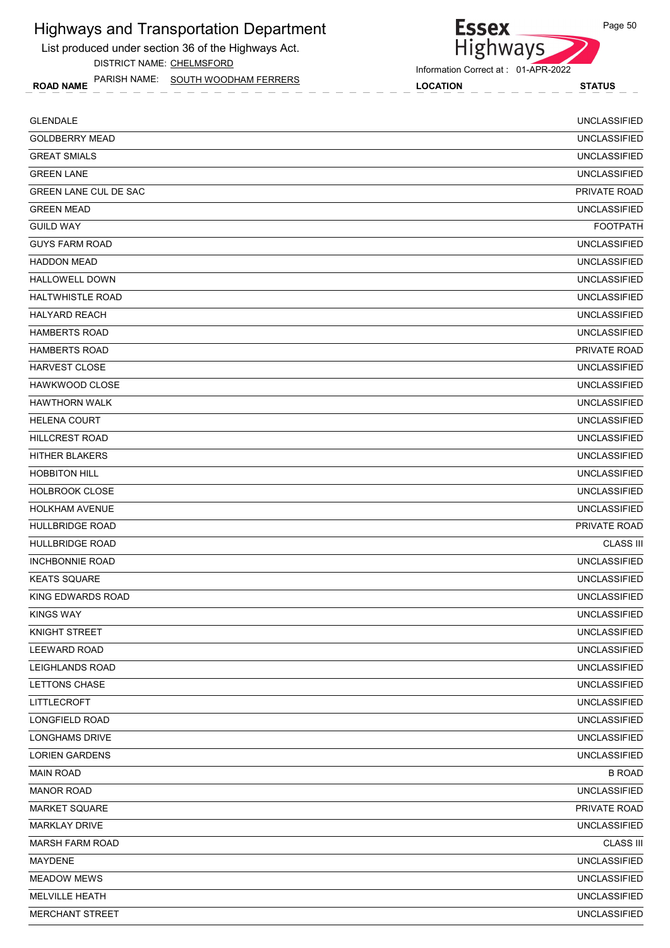List produced under section 36 of the Highways Act. DISTRICT NAME: CHELMSFORD

ROAD NAME LOCATION STATUS PARISH NAME: SOUTH WOODHAM FERRERS

# Highways

Information Correct at : 01-APR-2022

**Essex** 

| <b>GLENDALE</b>              | <b>UNCLASSIFIED</b> |
|------------------------------|---------------------|
| <b>GOLDBERRY MEAD</b>        | <b>UNCLASSIFIED</b> |
| <b>GREAT SMIALS</b>          | <b>UNCLASSIFIED</b> |
| <b>GREEN LANE</b>            | <b>UNCLASSIFIED</b> |
| <b>GREEN LANE CUL DE SAC</b> | PRIVATE ROAD        |
| <b>GREEN MEAD</b>            | <b>UNCLASSIFIED</b> |
| <b>GUILD WAY</b>             | <b>FOOTPATH</b>     |
| <b>GUYS FARM ROAD</b>        | <b>UNCLASSIFIED</b> |
| <b>HADDON MEAD</b>           | <b>UNCLASSIFIED</b> |
| <b>HALLOWELL DOWN</b>        | <b>UNCLASSIFIED</b> |
| <b>HALTWHISTLE ROAD</b>      | <b>UNCLASSIFIED</b> |
| <b>HALYARD REACH</b>         | <b>UNCLASSIFIED</b> |
| <b>HAMBERTS ROAD</b>         | <b>UNCLASSIFIED</b> |
| <b>HAMBERTS ROAD</b>         | PRIVATE ROAD        |
| <b>HARVEST CLOSE</b>         | <b>UNCLASSIFIED</b> |
| <b>HAWKWOOD CLOSE</b>        | <b>UNCLASSIFIED</b> |
| <b>HAWTHORN WALK</b>         | <b>UNCLASSIFIED</b> |
| <b>HELENA COURT</b>          | <b>UNCLASSIFIED</b> |
| <b>HILLCREST ROAD</b>        | <b>UNCLASSIFIED</b> |
| HITHER BLAKERS               | <b>UNCLASSIFIED</b> |
| <b>HOBBITON HILL</b>         | <b>UNCLASSIFIED</b> |
| <b>HOLBROOK CLOSE</b>        | <b>UNCLASSIFIED</b> |
| <b>HOLKHAM AVENUE</b>        | <b>UNCLASSIFIED</b> |
| <b>HULLBRIDGE ROAD</b>       | PRIVATE ROAD        |
| <b>HULLBRIDGE ROAD</b>       | <b>CLASS III</b>    |
| <b>INCHBONNIE ROAD</b>       | <b>UNCLASSIFIED</b> |
| <b>KEATS SQUARE</b>          | <b>UNCLASSIFIED</b> |
| KING EDWARDS ROAD            | <b>UNCLASSIFIED</b> |
| <b>KINGS WAY</b>             | <b>UNCLASSIFIED</b> |
| KNIGHT STREET                | <b>UNCLASSIFIED</b> |
| <b>LEEWARD ROAD</b>          | <b>UNCLASSIFIED</b> |
| LEIGHLANDS ROAD              | <b>UNCLASSIFIED</b> |
| LETTONS CHASE                | <b>UNCLASSIFIED</b> |
| LITTLECROFT                  | <b>UNCLASSIFIED</b> |
| LONGFIELD ROAD               | <b>UNCLASSIFIED</b> |
| <b>LONGHAMS DRIVE</b>        | <b>UNCLASSIFIED</b> |
| <b>LORIEN GARDENS</b>        | <b>UNCLASSIFIED</b> |
| <b>MAIN ROAD</b>             | <b>B ROAD</b>       |
| <b>MANOR ROAD</b>            | <b>UNCLASSIFIED</b> |
| MARKET SQUARE                | PRIVATE ROAD        |
| <b>MARKLAY DRIVE</b>         | <b>UNCLASSIFIED</b> |
| <b>MARSH FARM ROAD</b>       | <b>CLASS III</b>    |
| MAYDENE                      | <b>UNCLASSIFIED</b> |
| <b>MEADOW MEWS</b>           | <b>UNCLASSIFIED</b> |
| MELVILLE HEATH               | <b>UNCLASSIFIED</b> |
| <b>MERCHANT STREET</b>       | <b>UNCLASSIFIED</b> |
|                              |                     |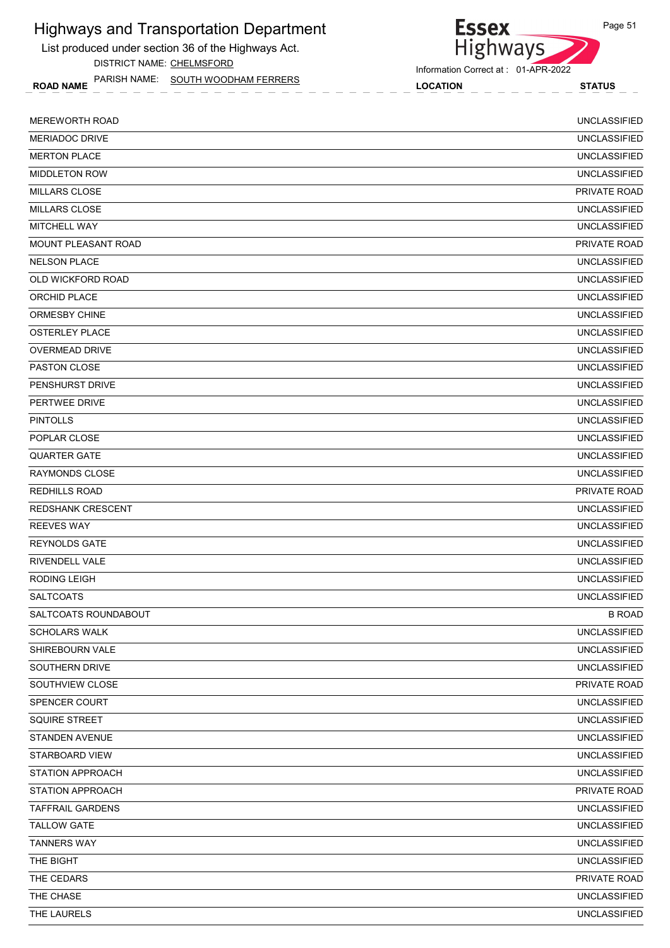List produced under section 36 of the Highways Act. DISTRICT NAME: CHELMSFORD

ROAD NAME LOCATION STATUS PARISH NAME: SOUTH WOODHAM FERRERS

#### Information Correct at : 01-APR-2022

Highways

**Essex** 

| <b>MEREWORTH ROAD</b>    | <b>UNCLASSIFIED</b> |
|--------------------------|---------------------|
| <b>MERIADOC DRIVE</b>    | <b>UNCLASSIFIED</b> |
| <b>MERTON PLACE</b>      | <b>UNCLASSIFIED</b> |
| <b>MIDDLETON ROW</b>     | <b>UNCLASSIFIED</b> |
| <b>MILLARS CLOSE</b>     | PRIVATE ROAD        |
| <b>MILLARS CLOSE</b>     | <b>UNCLASSIFIED</b> |
| <b>MITCHELL WAY</b>      | <b>UNCLASSIFIED</b> |
| MOUNT PLEASANT ROAD      | PRIVATE ROAD        |
| <b>NELSON PLACE</b>      | <b>UNCLASSIFIED</b> |
| OLD WICKFORD ROAD        | <b>UNCLASSIFIED</b> |
| ORCHID PLACE             | <b>UNCLASSIFIED</b> |
| <b>ORMESBY CHINE</b>     | <b>UNCLASSIFIED</b> |
| <b>OSTERLEY PLACE</b>    | <b>UNCLASSIFIED</b> |
| <b>OVERMEAD DRIVE</b>    | <b>UNCLASSIFIED</b> |
| <b>PASTON CLOSE</b>      | <b>UNCLASSIFIED</b> |
| PENSHURST DRIVE          | <b>UNCLASSIFIED</b> |
| PERTWEE DRIVE            | <b>UNCLASSIFIED</b> |
| <b>PINTOLLS</b>          | <b>UNCLASSIFIED</b> |
| POPLAR CLOSE             | <b>UNCLASSIFIED</b> |
| <b>QUARTER GATE</b>      | <b>UNCLASSIFIED</b> |
| <b>RAYMONDS CLOSE</b>    | <b>UNCLASSIFIED</b> |
| <b>REDHILLS ROAD</b>     | PRIVATE ROAD        |
| <b>REDSHANK CRESCENT</b> | <b>UNCLASSIFIED</b> |
| <b>REEVES WAY</b>        | <b>UNCLASSIFIED</b> |
| <b>REYNOLDS GATE</b>     | <b>UNCLASSIFIED</b> |
| <b>RIVENDELL VALE</b>    | <b>UNCLASSIFIED</b> |
| <b>RODING LEIGH</b>      | <b>UNCLASSIFIED</b> |
| <b>SALTCOATS</b>         | <b>UNCLASSIFIED</b> |
| SALTCOATS ROUNDABOUT     | <b>B ROAD</b>       |
| <b>SCHOLARS WALK</b>     | <b>UNCLASSIFIED</b> |
| SHIREBOURN VALE          | <b>UNCLASSIFIED</b> |
| SOUTHERN DRIVE           | <b>UNCLASSIFIED</b> |
| SOUTHVIEW CLOSE          | PRIVATE ROAD        |
| SPENCER COURT            | <b>UNCLASSIFIED</b> |
| SQUIRE STREET            | <b>UNCLASSIFIED</b> |
| <b>STANDEN AVENUE</b>    | <b>UNCLASSIFIED</b> |
| STARBOARD VIEW           | <b>UNCLASSIFIED</b> |
| <b>STATION APPROACH</b>  | <b>UNCLASSIFIED</b> |
| <b>STATION APPROACH</b>  | PRIVATE ROAD        |
| <b>TAFFRAIL GARDENS</b>  | <b>UNCLASSIFIED</b> |
| <b>TALLOW GATE</b>       | UNCLASSIFIED        |
| <b>TANNERS WAY</b>       | <b>UNCLASSIFIED</b> |
| THE BIGHT                | <b>UNCLASSIFIED</b> |
| THE CEDARS               | PRIVATE ROAD        |
| THE CHASE                | <b>UNCLASSIFIED</b> |
| THE LAURELS              | <b>UNCLASSIFIED</b> |
|                          |                     |

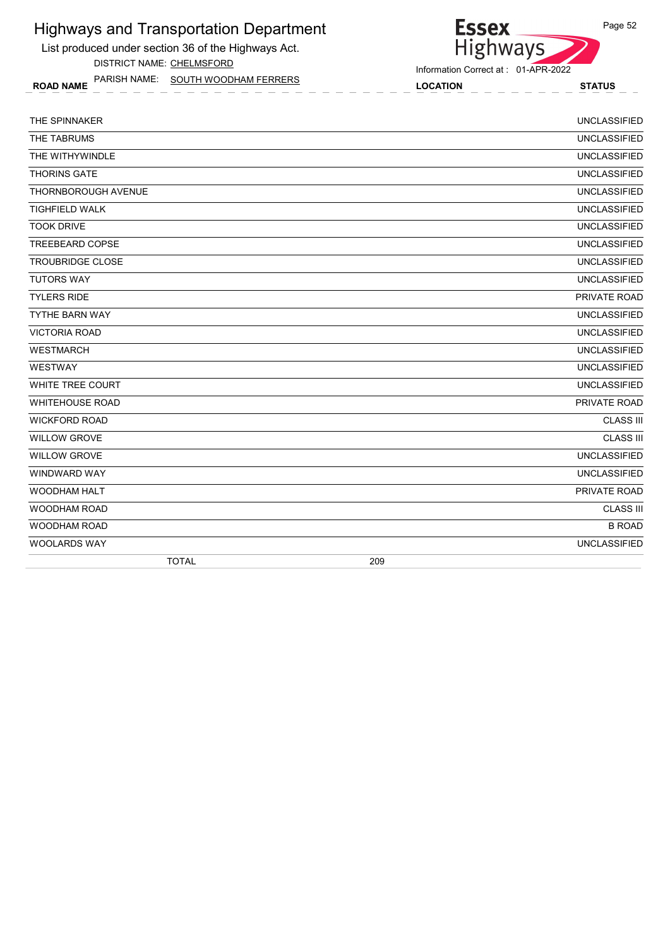List produced under section 36 of the Highways Act. DISTRICT NAME: CHELMSFORD

ROAD NAME LOCATION STATUS PARISH NAME: SOUTH WOODHAM FERRERS

#### Information Correct at : 01-APR-2022

Essex<br>Highways

| THE SPINNAKER              |              |     | <b>UNCLASSIFIED</b> |
|----------------------------|--------------|-----|---------------------|
| THE TABRUMS                |              |     | <b>UNCLASSIFIED</b> |
| THE WITHYWINDLE            |              |     | <b>UNCLASSIFIED</b> |
| <b>THORINS GATE</b>        |              |     | <b>UNCLASSIFIED</b> |
| <b>THORNBOROUGH AVENUE</b> |              |     | <b>UNCLASSIFIED</b> |
| <b>TIGHFIELD WALK</b>      |              |     | <b>UNCLASSIFIED</b> |
| <b>TOOK DRIVE</b>          |              |     | <b>UNCLASSIFIED</b> |
| <b>TREEBEARD COPSE</b>     |              |     | <b>UNCLASSIFIED</b> |
| <b>TROUBRIDGE CLOSE</b>    |              |     | <b>UNCLASSIFIED</b> |
| <b>TUTORS WAY</b>          |              |     | <b>UNCLASSIFIED</b> |
| <b>TYLERS RIDE</b>         |              |     | PRIVATE ROAD        |
| <b>TYTHE BARN WAY</b>      |              |     | <b>UNCLASSIFIED</b> |
| <b>VICTORIA ROAD</b>       |              |     | <b>UNCLASSIFIED</b> |
| <b>WESTMARCH</b>           |              |     | <b>UNCLASSIFIED</b> |
| WESTWAY                    |              |     | <b>UNCLASSIFIED</b> |
| WHITE TREE COURT           |              |     | <b>UNCLASSIFIED</b> |
| <b>WHITEHOUSE ROAD</b>     |              |     | PRIVATE ROAD        |
| <b>WICKFORD ROAD</b>       |              |     | <b>CLASS III</b>    |
| <b>WILLOW GROVE</b>        |              |     | <b>CLASS III</b>    |
| <b>WILLOW GROVE</b>        |              |     | <b>UNCLASSIFIED</b> |
| <b>WINDWARD WAY</b>        |              |     | <b>UNCLASSIFIED</b> |
| <b>WOODHAM HALT</b>        |              |     | PRIVATE ROAD        |
| <b>WOODHAM ROAD</b>        |              |     | <b>CLASS III</b>    |
| <b>WOODHAM ROAD</b>        |              |     | <b>B ROAD</b>       |
| <b>WOOLARDS WAY</b>        |              |     | <b>UNCLASSIFIED</b> |
|                            | <b>TOTAL</b> | 209 |                     |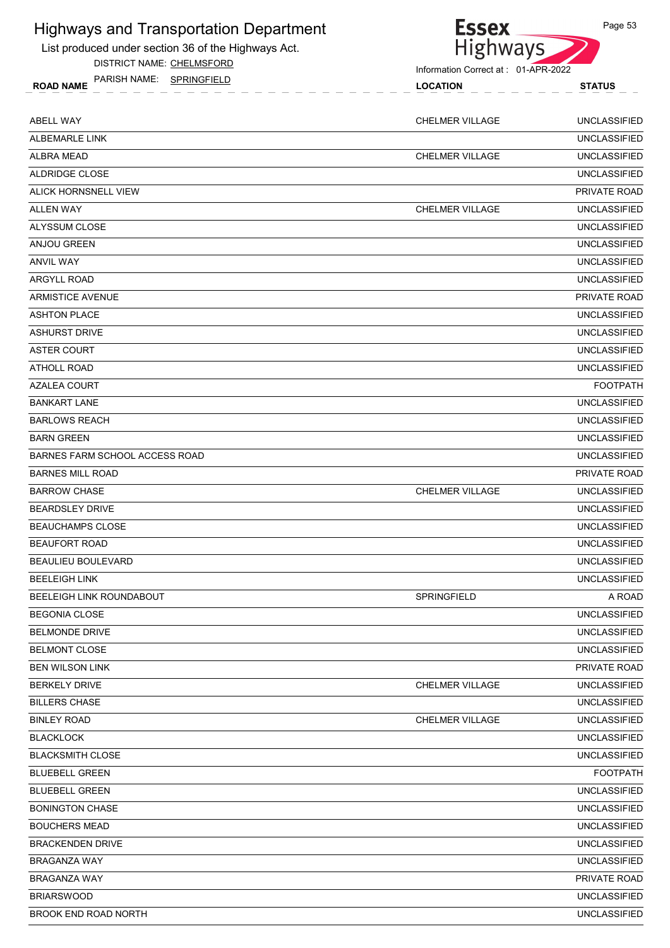List produc



Page 53

| List produced under section 36 of the Highways Act. | <b>Highways</b>                     |                     |  |
|-----------------------------------------------------|-------------------------------------|---------------------|--|
| DISTRICT NAME: CHELMSFORD                           | Information Correct at: 01-APR-2022 |                     |  |
| PARISH NAME: SPRINGFIELD<br><b>ROAD NAME</b>        | <b>LOCATION</b>                     | <b>STATUS</b>       |  |
| ABELL WAY                                           | CHELMER VILLAGE                     | <b>UNCLASSIFIED</b> |  |
| ALBEMARLE LINK                                      |                                     | <b>UNCLASSIFIED</b> |  |
| <b>ALBRA MEAD</b>                                   | <b>CHELMER VILLAGE</b>              | <b>UNCLASSIFIED</b> |  |
| ALDRIDGE CLOSE                                      |                                     | <b>UNCLASSIFIED</b> |  |
| ALICK HORNSNELL VIEW                                |                                     | PRIVATE ROAD        |  |
| <b>ALLEN WAY</b>                                    | <b>CHELMER VILLAGE</b>              | <b>UNCLASSIFIED</b> |  |
| ALYSSUM CLOSE                                       |                                     | <b>UNCLASSIFIED</b> |  |
| ANJOU GREEN                                         |                                     | <b>UNCLASSIFIED</b> |  |
| <b>ANVIL WAY</b>                                    |                                     | <b>UNCLASSIFIED</b> |  |
| <b>ARGYLL ROAD</b>                                  |                                     | <b>UNCLASSIFIED</b> |  |
| <b>ARMISTICE AVENUE</b>                             |                                     | PRIVATE ROAD        |  |
| <b>ASHTON PLACE</b>                                 |                                     | <b>UNCLASSIFIED</b> |  |
| <b>ASHURST DRIVE</b>                                |                                     | <b>UNCLASSIFIED</b> |  |
| <b>ASTER COURT</b>                                  |                                     | <b>UNCLASSIFIED</b> |  |
| ATHOLL ROAD                                         |                                     | <b>UNCLASSIFIED</b> |  |
| <b>AZALEA COURT</b>                                 |                                     | <b>FOOTPATH</b>     |  |
| <b>BANKART LANE</b>                                 |                                     | <b>UNCLASSIFIED</b> |  |
| <b>BARLOWS REACH</b>                                |                                     | <b>UNCLASSIFIED</b> |  |
| <b>BARN GREEN</b>                                   |                                     | <b>UNCLASSIFIED</b> |  |
| <b>BARNES FARM SCHOOL ACCESS ROAD</b>               |                                     | <b>UNCLASSIFIED</b> |  |
| <b>BARNES MILL ROAD</b>                             |                                     | PRIVATE ROAD        |  |
| <b>BARROW CHASE</b>                                 | CHELMER VILLAGE                     | <b>UNCLASSIFIED</b> |  |
| <b>BEARDSLEY DRIVE</b>                              |                                     | <b>UNCLASSIFIED</b> |  |
| <b>BEAUCHAMPS CLOSE</b>                             |                                     | <b>UNCLASSIFIED</b> |  |
| <b>BEAUFORT ROAD</b>                                |                                     | <b>UNCLASSIFIED</b> |  |
| BEAULIEU BOULEVARD                                  |                                     | <b>UNCLASSIFIED</b> |  |
| <b>BEELEIGH LINK</b>                                |                                     | <b>UNCLASSIFIED</b> |  |
| BEELEIGH LINK ROUNDABOUT                            | SPRINGFIELD                         | A ROAD              |  |
| <b>BEGONIA CLOSE</b>                                |                                     | <b>UNCLASSIFIED</b> |  |
| <b>BELMONDE DRIVE</b>                               |                                     | <b>UNCLASSIFIED</b> |  |
| <b>BELMONT CLOSE</b>                                |                                     | <b>UNCLASSIFIED</b> |  |
| <b>BEN WILSON LINK</b>                              |                                     | PRIVATE ROAD        |  |

BERKELY DRIVE CHELMER VILLAGE UNCLASSIFIED

| CHASE<br><b>BILL</b><br><b>FRS</b> |                        | <b>SIFIED</b><br>UNCI ASS                 |
|------------------------------------|------------------------|-------------------------------------------|
| <b>BINLEY ROAD</b>                 | _AGE<br>CHE<br>MER VII | <b>UNCL</b><br>$I = I = F$<br>ΛC<br>'FIEL |

BLACKLOCK UNCLASSIFIED

BLACKSMITH CLOSE UNCLASSIFIED BLUEBELL GREEN FOOTPATH

BLUEBELL GREEN UNCLASSIFIED

BONINGTON CHASE UNCLASSIFIED

BOUCHERS MEAD UNCLASSIFIED

BRACKENDEN DRIVE UNCLASSIFIED

BRAGANZA WAY UNCLASSIFIED

BRAGANZA WAY PRIVATE ROAD

BRIARSWOOD UNCLASSIFIED

BROOK END ROAD NORTH **EXECUTE IS A RELEASE OF A RELEASE OF A RELEASE OF A RELEASE OF A RELEASE OF A RELEASE OF A RELEASE OF A RELEASE OF A RELEASE OF A RELEASE OF A RELEASE OF A RELEASE OF A RELEASE OF A RELEASE OF A RELEA**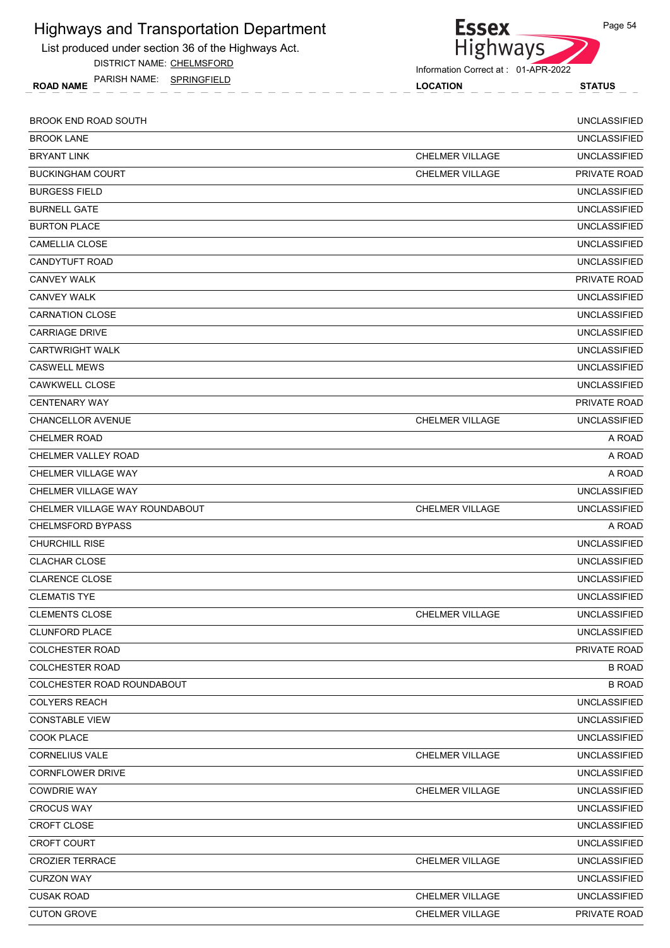List produced under section 36 of the Highways Act.

DISTRICT NAME: CHELMSFORD

ROAD NAME LOCATION STATUS PARISH NAME: SPRINGFIELD



Information Correct at : 01-APR-2022

| <b>BROOK END ROAD SOUTH</b>    |                        | <b>UNCLASSIFIED</b> |
|--------------------------------|------------------------|---------------------|
| <b>BROOK LANE</b>              |                        | <b>UNCLASSIFIED</b> |
| <b>BRYANT LINK</b>             | <b>CHELMER VILLAGE</b> | <b>UNCLASSIFIED</b> |
| <b>BUCKINGHAM COURT</b>        | <b>CHELMER VILLAGE</b> | PRIVATE ROAD        |
| <b>BURGESS FIELD</b>           |                        | <b>UNCLASSIFIED</b> |
| <b>BURNELL GATE</b>            |                        | <b>UNCLASSIFIED</b> |
| <b>BURTON PLACE</b>            |                        | <b>UNCLASSIFIED</b> |
| <b>CAMELLIA CLOSE</b>          |                        | <b>UNCLASSIFIED</b> |
| <b>CANDYTUFT ROAD</b>          |                        | <b>UNCLASSIFIED</b> |
| <b>CANVEY WALK</b>             |                        | PRIVATE ROAD        |
| <b>CANVEY WALK</b>             |                        | <b>UNCLASSIFIED</b> |
| <b>CARNATION CLOSE</b>         |                        | <b>UNCLASSIFIED</b> |
| <b>CARRIAGE DRIVE</b>          |                        | <b>UNCLASSIFIED</b> |
| <b>CARTWRIGHT WALK</b>         |                        | <b>UNCLASSIFIED</b> |
| <b>CASWELL MEWS</b>            |                        | <b>UNCLASSIFIED</b> |
| <b>CAWKWELL CLOSE</b>          |                        | <b>UNCLASSIFIED</b> |
| <b>CENTENARY WAY</b>           |                        | <b>PRIVATE ROAD</b> |
| <b>CHANCELLOR AVENUE</b>       | <b>CHELMER VILLAGE</b> | <b>UNCLASSIFIED</b> |
| <b>CHELMER ROAD</b>            |                        | A ROAD              |
| <b>CHELMER VALLEY ROAD</b>     |                        | A ROAD              |
| CHELMER VILLAGE WAY            |                        | A ROAD              |
| CHELMER VILLAGE WAY            |                        | <b>UNCLASSIFIED</b> |
| CHELMER VILLAGE WAY ROUNDABOUT | <b>CHELMER VILLAGE</b> | <b>UNCLASSIFIED</b> |
| <b>CHELMSFORD BYPASS</b>       |                        | A ROAD              |
| <b>CHURCHILL RISE</b>          |                        | <b>UNCLASSIFIED</b> |
| <b>CLACHAR CLOSE</b>           |                        | <b>UNCLASSIFIED</b> |
| <b>CLARENCE CLOSE</b>          |                        | <b>UNCLASSIFIED</b> |
| <b>CLEMATIS TYE</b>            |                        | <b>UNCLASSIFIED</b> |
| <b>CLEMENTS CLOSE</b>          | <b>CHELMER VILLAGE</b> | <b>UNCLASSIFIED</b> |
| <b>CLUNFORD PLACE</b>          |                        | <b>UNCLASSIFIED</b> |
| <b>COLCHESTER ROAD</b>         |                        | PRIVATE ROAD        |
| <b>COLCHESTER ROAD</b>         |                        | <b>B ROAD</b>       |
| COLCHESTER ROAD ROUNDABOUT     |                        | <b>B ROAD</b>       |
| <b>COLYERS REACH</b>           |                        | <b>UNCLASSIFIED</b> |
| <b>CONSTABLE VIEW</b>          |                        | <b>UNCLASSIFIED</b> |
| COOK PLACE                     |                        | <b>UNCLASSIFIED</b> |
| <b>CORNELIUS VALE</b>          | <b>CHELMER VILLAGE</b> | <b>UNCLASSIFIED</b> |
| <b>CORNFLOWER DRIVE</b>        |                        | <b>UNCLASSIFIED</b> |
| <b>COWDRIE WAY</b>             | CHELMER VILLAGE        | <b>UNCLASSIFIED</b> |
| <b>CROCUS WAY</b>              |                        | <b>UNCLASSIFIED</b> |
| CROFT CLOSE                    |                        | <b>UNCLASSIFIED</b> |
| <b>CROFT COURT</b>             |                        | <b>UNCLASSIFIED</b> |
| <b>CROZIER TERRACE</b>         | <b>CHELMER VILLAGE</b> | <b>UNCLASSIFIED</b> |
| <b>CURZON WAY</b>              |                        | <b>UNCLASSIFIED</b> |
| <b>CUSAK ROAD</b>              | <b>CHELMER VILLAGE</b> | <b>UNCLASSIFIED</b> |
| <b>CUTON GROVE</b>             | <b>CHELMER VILLAGE</b> | PRIVATE ROAD        |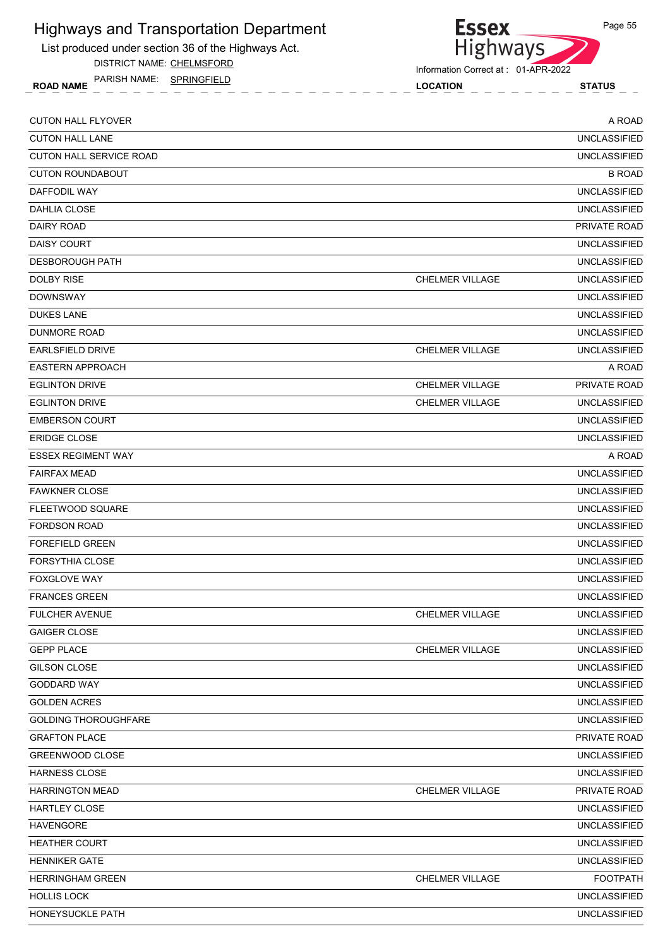

DISTRICT NAME: CHELMSFORD

ROAD NAME LOCATION STATUS PARISH NAME: SPRINGFIELD



Information Correct at : 01-APR-2022

| <b>CUTON HALL FLYOVER</b>      |                        | A ROAD              |
|--------------------------------|------------------------|---------------------|
| <b>CUTON HALL LANE</b>         |                        | <b>UNCLASSIFIED</b> |
| <b>CUTON HALL SERVICE ROAD</b> |                        | <b>UNCLASSIFIED</b> |
| <b>CUTON ROUNDABOUT</b>        |                        | <b>B ROAD</b>       |
| DAFFODIL WAY                   |                        | <b>UNCLASSIFIED</b> |
| DAHLIA CLOSE                   |                        | <b>UNCLASSIFIED</b> |
| DAIRY ROAD                     |                        | PRIVATE ROAD        |
| <b>DAISY COURT</b>             |                        | <b>UNCLASSIFIED</b> |
| <b>DESBOROUGH PATH</b>         |                        | <b>UNCLASSIFIED</b> |
| DOLBY RISE                     | <b>CHELMER VILLAGE</b> | <b>UNCLASSIFIED</b> |
| <b>DOWNSWAY</b>                |                        | <b>UNCLASSIFIED</b> |
| <b>DUKES LANE</b>              |                        | <b>UNCLASSIFIED</b> |
| DUNMORE ROAD                   |                        | <b>UNCLASSIFIED</b> |
| <b>EARLSFIELD DRIVE</b>        | <b>CHELMER VILLAGE</b> | <b>UNCLASSIFIED</b> |
| <b>EASTERN APPROACH</b>        |                        | A ROAD              |
| <b>EGLINTON DRIVE</b>          | <b>CHELMER VILLAGE</b> | <b>PRIVATE ROAD</b> |
| <b>EGLINTON DRIVE</b>          | <b>CHELMER VILLAGE</b> | <b>UNCLASSIFIED</b> |
| <b>EMBERSON COURT</b>          |                        | <b>UNCLASSIFIED</b> |
| <b>ERIDGE CLOSE</b>            |                        | <b>UNCLASSIFIED</b> |
| <b>ESSEX REGIMENT WAY</b>      |                        | A ROAD              |
| <b>FAIRFAX MEAD</b>            |                        | <b>UNCLASSIFIED</b> |
| <b>FAWKNER CLOSE</b>           |                        | <b>UNCLASSIFIED</b> |
| FLEETWOOD SQUARE               |                        | <b>UNCLASSIFIED</b> |
| <b>FORDSON ROAD</b>            |                        | <b>UNCLASSIFIED</b> |
| <b>FOREFIELD GREEN</b>         |                        | <b>UNCLASSIFIED</b> |
| <b>FORSYTHIA CLOSE</b>         |                        | <b>UNCLASSIFIED</b> |
| <b>FOXGLOVE WAY</b>            |                        | <b>UNCLASSIFIED</b> |
| <b>FRANCES GREEN</b>           |                        | <b>UNCLASSIFIED</b> |
| FULCHER AVENUE                 | <b>CHELMER VILLAGE</b> | <b>UNCLASSIFIED</b> |
| <b>GAIGER CLOSE</b>            |                        | <b>UNCLASSIFIED</b> |
| <b>GEPP PLACE</b>              | <b>CHELMER VILLAGE</b> | <b>UNCLASSIFIED</b> |
| GILSON CLOSE                   |                        | <b>UNCLASSIFIED</b> |
| GODDARD WAY                    |                        | <b>UNCLASSIFIED</b> |
| <b>GOLDEN ACRES</b>            |                        | <b>UNCLASSIFIED</b> |
| <b>GOLDING THOROUGHFARE</b>    |                        | <b>UNCLASSIFIED</b> |
| <b>GRAFTON PLACE</b>           |                        | PRIVATE ROAD        |
| GREENWOOD CLOSE                |                        | <b>UNCLASSIFIED</b> |
| HARNESS CLOSE                  |                        | <b>UNCLASSIFIED</b> |
| <b>HARRINGTON MEAD</b>         | <b>CHELMER VILLAGE</b> | PRIVATE ROAD        |
| HARTLEY CLOSE                  |                        | <b>UNCLASSIFIED</b> |
| <b>HAVENGORE</b>               |                        | <b>UNCLASSIFIED</b> |
| <b>HEATHER COURT</b>           |                        | <b>UNCLASSIFIED</b> |
| <b>HENNIKER GATE</b>           |                        | <b>UNCLASSIFIED</b> |
| <b>HERRINGHAM GREEN</b>        | CHELMER VILLAGE        | <b>FOOTPATH</b>     |
| <b>HOLLIS LOCK</b>             |                        | <b>UNCLASSIFIED</b> |
| HONEYSUCKLE PATH               |                        | <b>UNCLASSIFIED</b> |
|                                |                        |                     |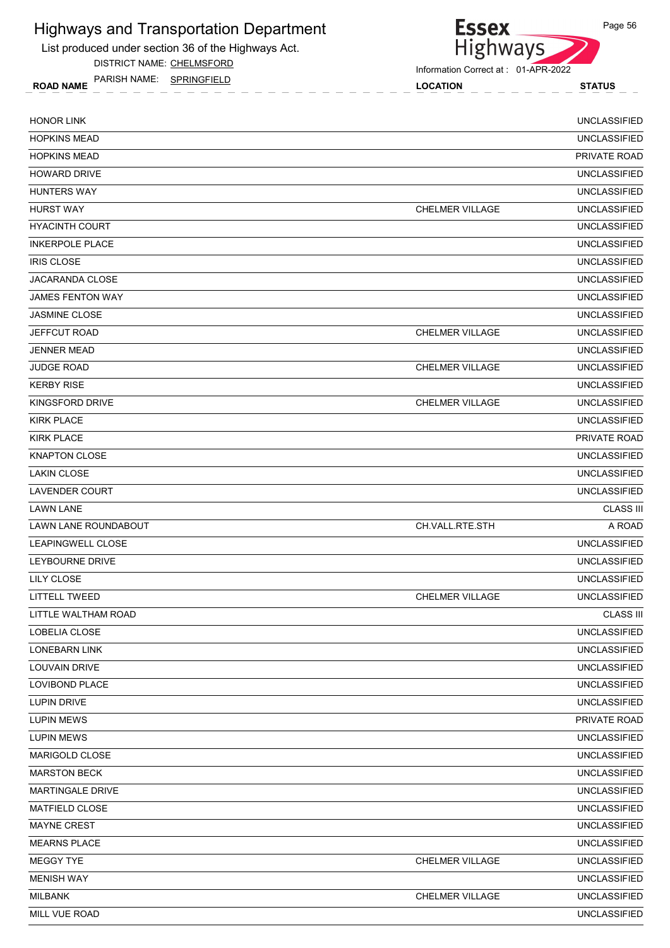List produced under section 36 of the Highways Act.

DISTRICT NAME: CHELMSFORD

ROAD NAME LOCATION STATUS PARISH NAME: SPRINGFIELD



**Essex** 

| <b>HONOR LINK</b>       |                        | <b>UNCLASSIFIED</b> |
|-------------------------|------------------------|---------------------|
| <b>HOPKINS MEAD</b>     |                        | <b>UNCLASSIFIED</b> |
| <b>HOPKINS MEAD</b>     |                        | PRIVATE ROAD        |
| <b>HOWARD DRIVE</b>     |                        | <b>UNCLASSIFIED</b> |
| <b>HUNTERS WAY</b>      |                        | <b>UNCLASSIFIED</b> |
| <b>HURST WAY</b>        | <b>CHELMER VILLAGE</b> | <b>UNCLASSIFIED</b> |
| <b>HYACINTH COURT</b>   |                        | <b>UNCLASSIFIED</b> |
| <b>INKERPOLE PLACE</b>  |                        | <b>UNCLASSIFIED</b> |
| <b>IRIS CLOSE</b>       |                        | <b>UNCLASSIFIED</b> |
| <b>JACARANDA CLOSE</b>  |                        | <b>UNCLASSIFIED</b> |
| <b>JAMES FENTON WAY</b> |                        | <b>UNCLASSIFIED</b> |
| <b>JASMINE CLOSE</b>    |                        | <b>UNCLASSIFIED</b> |
| <b>JEFFCUT ROAD</b>     | <b>CHELMER VILLAGE</b> | <b>UNCLASSIFIED</b> |
| <b>JENNER MEAD</b>      |                        | <b>UNCLASSIFIED</b> |
| <b>JUDGE ROAD</b>       | <b>CHELMER VILLAGE</b> | <b>UNCLASSIFIED</b> |
| <b>KERBY RISE</b>       |                        | <b>UNCLASSIFIED</b> |
| KINGSFORD DRIVE         | <b>CHELMER VILLAGE</b> | <b>UNCLASSIFIED</b> |
| <b>KIRK PLACE</b>       |                        | <b>UNCLASSIFIED</b> |
| <b>KIRK PLACE</b>       |                        | PRIVATE ROAD        |
| <b>KNAPTON CLOSE</b>    |                        | <b>UNCLASSIFIED</b> |
| <b>LAKIN CLOSE</b>      |                        | <b>UNCLASSIFIED</b> |
| <b>LAVENDER COURT</b>   |                        | <b>UNCLASSIFIED</b> |
| <b>LAWN LANE</b>        |                        | <b>CLASS III</b>    |
| LAWN LANE ROUNDABOUT    | CH.VALL.RTE.STH        | A ROAD              |
| LEAPINGWELL CLOSE       |                        | <b>UNCLASSIFIED</b> |
| LEYBOURNE DRIVE         |                        | <b>UNCLASSIFIED</b> |
| <b>LILY CLOSE</b>       |                        | <b>UNCLASSIFIED</b> |
| <b>LITTELL TWEED</b>    | <b>CHELMER VILLAGE</b> | <b>UNCLASSIFIED</b> |
| LITTLE WALTHAM ROAD     |                        | <b>CLASS III</b>    |
| LOBELIA CLOSE           |                        | <b>UNCLASSIFIED</b> |
| <b>LONEBARN LINK</b>    |                        | <b>UNCLASSIFIED</b> |
| LOUVAIN DRIVE           |                        | <b>UNCLASSIFIED</b> |
| LOVIBOND PLACE          |                        | <b>UNCLASSIFIED</b> |
| LUPIN DRIVE             |                        | <b>UNCLASSIFIED</b> |
| <b>LUPIN MEWS</b>       |                        | PRIVATE ROAD        |
| <b>LUPIN MEWS</b>       |                        | <b>UNCLASSIFIED</b> |
| MARIGOLD CLOSE          |                        | <b>UNCLASSIFIED</b> |
| <b>MARSTON BECK</b>     |                        | <b>UNCLASSIFIED</b> |
| MARTINGALE DRIVE        |                        | <b>UNCLASSIFIED</b> |
| MATFIELD CLOSE          |                        | <b>UNCLASSIFIED</b> |
| MAYNE CREST             |                        | <b>UNCLASSIFIED</b> |
| <b>MEARNS PLACE</b>     |                        | <b>UNCLASSIFIED</b> |
| MEGGY TYE               | <b>CHELMER VILLAGE</b> | <b>UNCLASSIFIED</b> |
| <b>MENISH WAY</b>       |                        | <b>UNCLASSIFIED</b> |
| <b>MILBANK</b>          | CHELMER VILLAGE        | <b>UNCLASSIFIED</b> |
| MILL VUE ROAD           |                        | <b>UNCLASSIFIED</b> |
|                         |                        |                     |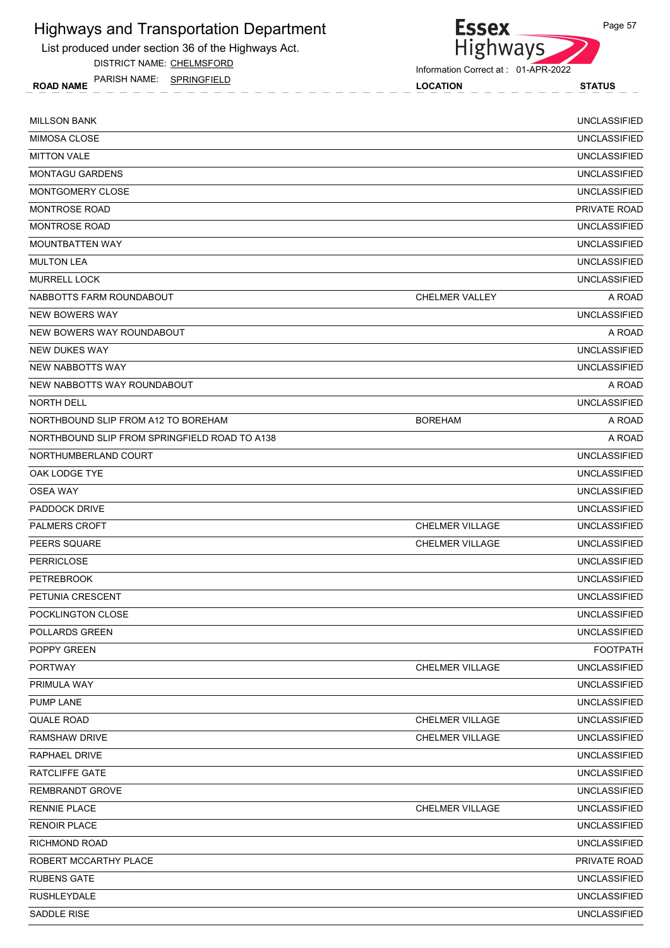

DISTRICT NAME: CHELMSFORD

Essex<br>Highways

Page 57

Information Correct at : 01-APR-2022

ROAD NAME LOCATION STATUS PARISH NAME: SPRINGFIELD

| <b>MILLSON BANK</b>                           |                        | <b>UNCLASSIFIED</b> |
|-----------------------------------------------|------------------------|---------------------|
| <b>MIMOSA CLOSE</b>                           |                        | <b>UNCLASSIFIED</b> |
| <b>MITTON VALE</b>                            |                        | <b>UNCLASSIFIED</b> |
| <b>MONTAGU GARDENS</b>                        |                        | <b>UNCLASSIFIED</b> |
| MONTGOMERY CLOSE                              |                        | <b>UNCLASSIFIED</b> |
| <b>MONTROSE ROAD</b>                          |                        | PRIVATE ROAD        |
| <b>MONTROSE ROAD</b>                          |                        | <b>UNCLASSIFIED</b> |
| MOUNTBATTEN WAY                               |                        | <b>UNCLASSIFIED</b> |
| <b>MULTON LEA</b>                             |                        | <b>UNCLASSIFIED</b> |
| <b>MURRELL LOCK</b>                           |                        | <b>UNCLASSIFIED</b> |
| NABBOTTS FARM ROUNDABOUT                      | CHELMER VALLEY         | A ROAD              |
| <b>NEW BOWERS WAY</b>                         |                        | <b>UNCLASSIFIED</b> |
| NEW BOWERS WAY ROUNDABOUT                     |                        | A ROAD              |
| NEW DUKES WAY                                 |                        | <b>UNCLASSIFIED</b> |
| <b>NEW NABBOTTS WAY</b>                       |                        | <b>UNCLASSIFIED</b> |
| NEW NABBOTTS WAY ROUNDABOUT                   |                        | A ROAD              |
| <b>NORTH DELL</b>                             |                        | <b>UNCLASSIFIED</b> |
| NORTHBOUND SLIP FROM A12 TO BOREHAM           | <b>BOREHAM</b>         | A ROAD              |
| NORTHBOUND SLIP FROM SPRINGFIELD ROAD TO A138 |                        | A ROAD              |
| NORTHUMBERLAND COURT                          |                        | <b>UNCLASSIFIED</b> |
| OAK LODGE TYE                                 |                        | <b>UNCLASSIFIED</b> |
| <b>OSEA WAY</b>                               |                        | <b>UNCLASSIFIED</b> |
| PADDOCK DRIVE                                 |                        | <b>UNCLASSIFIED</b> |
| <b>PALMERS CROFT</b>                          | <b>CHELMER VILLAGE</b> | <b>UNCLASSIFIED</b> |
| PEERS SQUARE                                  | <b>CHELMER VILLAGE</b> | <b>UNCLASSIFIED</b> |
| <b>PERRICLOSE</b>                             |                        | <b>UNCLASSIFIED</b> |
| <b>PETREBROOK</b>                             |                        | <b>UNCLASSIFIED</b> |
| PETUNIA CRESCENT                              |                        | <b>UNCLASSIFIED</b> |
| POCKLINGTON CLOSE                             |                        | <b>UNCLASSIFIED</b> |
| POLLARDS GREEN                                |                        | <b>UNCLASSIFIED</b> |
| POPPY GREEN                                   |                        | <b>FOOTPATH</b>     |
| <b>PORTWAY</b>                                | <b>CHELMER VILLAGE</b> | <b>UNCLASSIFIED</b> |
| PRIMULA WAY                                   |                        | <b>UNCLASSIFIED</b> |
| PUMP LANE                                     |                        | <b>UNCLASSIFIED</b> |
| QUALE ROAD                                    | CHELMER VILLAGE        | <b>UNCLASSIFIED</b> |
| RAMSHAW DRIVE                                 | CHELMER VILLAGE        | <b>UNCLASSIFIED</b> |
| RAPHAEL DRIVE                                 |                        | <b>UNCLASSIFIED</b> |
| RATCLIFFE GATE                                |                        | <b>UNCLASSIFIED</b> |
| REMBRANDT GROVE                               |                        | <b>UNCLASSIFIED</b> |
| <b>RENNIE PLACE</b>                           | <b>CHELMER VILLAGE</b> | <b>UNCLASSIFIED</b> |
| <b>RENOIR PLACE</b>                           |                        | <b>UNCLASSIFIED</b> |
| RICHMOND ROAD                                 |                        | <b>UNCLASSIFIED</b> |
| ROBERT MCCARTHY PLACE                         |                        | PRIVATE ROAD        |
| <b>RUBENS GATE</b>                            |                        | <b>UNCLASSIFIED</b> |
| <b>RUSHLEYDALE</b>                            |                        | <b>UNCLASSIFIED</b> |
| SADDLE RISE                                   |                        | <b>UNCLASSIFIED</b> |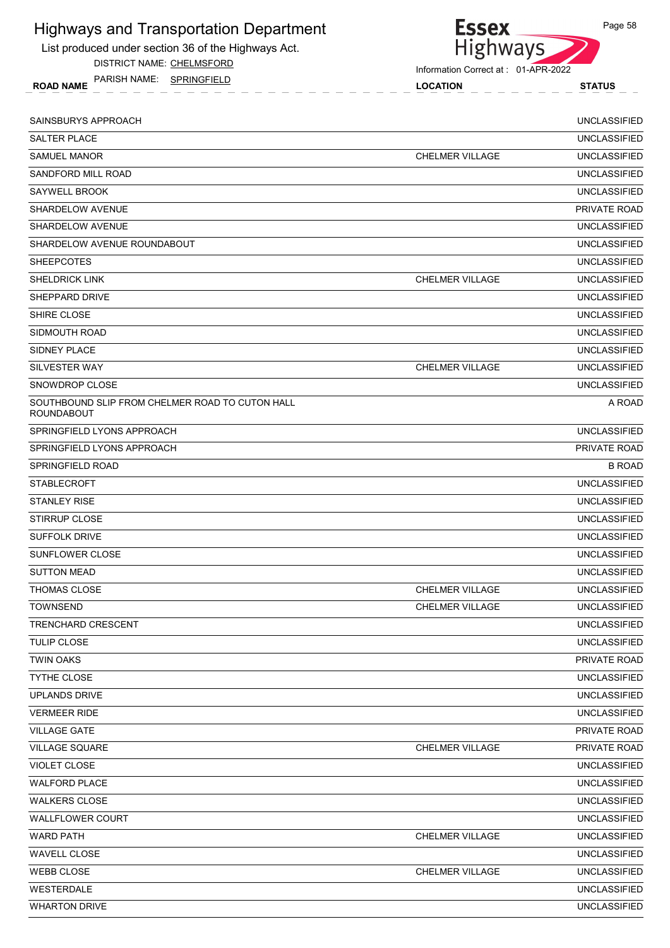List produced under section 36 of the Highways Act.

DISTRICT NAME: CHELMSFORD

ROAD NAME LOCATION STATUS PARISH NAME: SPRINGFIELD



Information Correct at : 01-APR-2022

| SAINSBURYS APPROACH                                                  |                        | <b>UNCLASSIFIED</b> |
|----------------------------------------------------------------------|------------------------|---------------------|
| <b>SALTER PLACE</b>                                                  |                        | <b>UNCLASSIFIED</b> |
| <b>SAMUEL MANOR</b>                                                  | <b>CHELMER VILLAGE</b> | <b>UNCLASSIFIED</b> |
| SANDFORD MILL ROAD                                                   |                        | <b>UNCLASSIFIED</b> |
| SAYWELL BROOK                                                        |                        | <b>UNCLASSIFIED</b> |
| <b>SHARDELOW AVENUE</b>                                              |                        | PRIVATE ROAD        |
| SHARDELOW AVENUE                                                     |                        | <b>UNCLASSIFIED</b> |
| SHARDELOW AVENUE ROUNDABOUT                                          |                        | <b>UNCLASSIFIED</b> |
| <b>SHEEPCOTES</b>                                                    |                        | <b>UNCLASSIFIED</b> |
| <b>SHELDRICK LINK</b>                                                | <b>CHELMER VILLAGE</b> | <b>UNCLASSIFIED</b> |
| SHEPPARD DRIVE                                                       |                        | <b>UNCLASSIFIED</b> |
| SHIRE CLOSE                                                          |                        | <b>UNCLASSIFIED</b> |
| SIDMOUTH ROAD                                                        |                        | <b>UNCLASSIFIED</b> |
| SIDNEY PLACE                                                         |                        | <b>UNCLASSIFIED</b> |
| SILVESTER WAY                                                        | <b>CHELMER VILLAGE</b> | <b>UNCLASSIFIED</b> |
| SNOWDROP CLOSE                                                       |                        | <b>UNCLASSIFIED</b> |
| SOUTHBOUND SLIP FROM CHELMER ROAD TO CUTON HALL<br><b>ROUNDABOUT</b> |                        | A ROAD              |
| SPRINGFIELD LYONS APPROACH                                           |                        | <b>UNCLASSIFIED</b> |
| SPRINGFIELD LYONS APPROACH                                           |                        | <b>PRIVATE ROAD</b> |
| SPRINGFIELD ROAD                                                     |                        | <b>B ROAD</b>       |
| <b>STABLECROFT</b>                                                   |                        | <b>UNCLASSIFIED</b> |
| <b>STANLEY RISE</b>                                                  |                        | <b>UNCLASSIFIED</b> |
| <b>STIRRUP CLOSE</b>                                                 |                        | <b>UNCLASSIFIED</b> |
| <b>SUFFOLK DRIVE</b>                                                 |                        | <b>UNCLASSIFIED</b> |
| SUNFLOWER CLOSE                                                      |                        | <b>UNCLASSIFIED</b> |
| <b>SUTTON MEAD</b>                                                   |                        | <b>UNCLASSIFIED</b> |
| <b>THOMAS CLOSE</b>                                                  | <b>CHELMER VILLAGE</b> | <b>UNCLASSIFIED</b> |
| <b>TOWNSEND</b>                                                      | <b>CHELMER VILLAGE</b> | <b>UNCLASSIFIED</b> |
| TRENCHARD CRESCENT                                                   |                        | <b>UNCLASSIFIED</b> |
| <b>TULIP CLOSE</b>                                                   |                        | <b>UNCLASSIFIED</b> |
| <b>TWIN OAKS</b>                                                     |                        | PRIVATE ROAD        |
| TYTHE CLOSE                                                          |                        | <b>UNCLASSIFIED</b> |
| <b>UPLANDS DRIVE</b>                                                 |                        | <b>UNCLASSIFIED</b> |
| <b>VERMEER RIDE</b>                                                  |                        | <b>UNCLASSIFIED</b> |
| <b>VILLAGE GATE</b>                                                  |                        | PRIVATE ROAD        |
| <b>VILLAGE SQUARE</b>                                                | CHELMER VILLAGE        | PRIVATE ROAD        |
| <b>VIOLET CLOSE</b>                                                  |                        | <b>UNCLASSIFIED</b> |
| <b>WALFORD PLACE</b>                                                 |                        | <b>UNCLASSIFIED</b> |
| <b>WALKERS CLOSE</b>                                                 |                        | <b>UNCLASSIFIED</b> |
| <b>WALLFLOWER COURT</b>                                              |                        | <b>UNCLASSIFIED</b> |
| <b>WARD PATH</b>                                                     | <b>CHELMER VILLAGE</b> | <b>UNCLASSIFIED</b> |
| <b>WAVELL CLOSE</b>                                                  |                        | <b>UNCLASSIFIED</b> |
| <b>WEBB CLOSE</b>                                                    | <b>CHELMER VILLAGE</b> | <b>UNCLASSIFIED</b> |
| WESTERDALE                                                           |                        | <b>UNCLASSIFIED</b> |
| <b>WHARTON DRIVE</b>                                                 |                        | <b>UNCLASSIFIED</b> |
|                                                                      |                        |                     |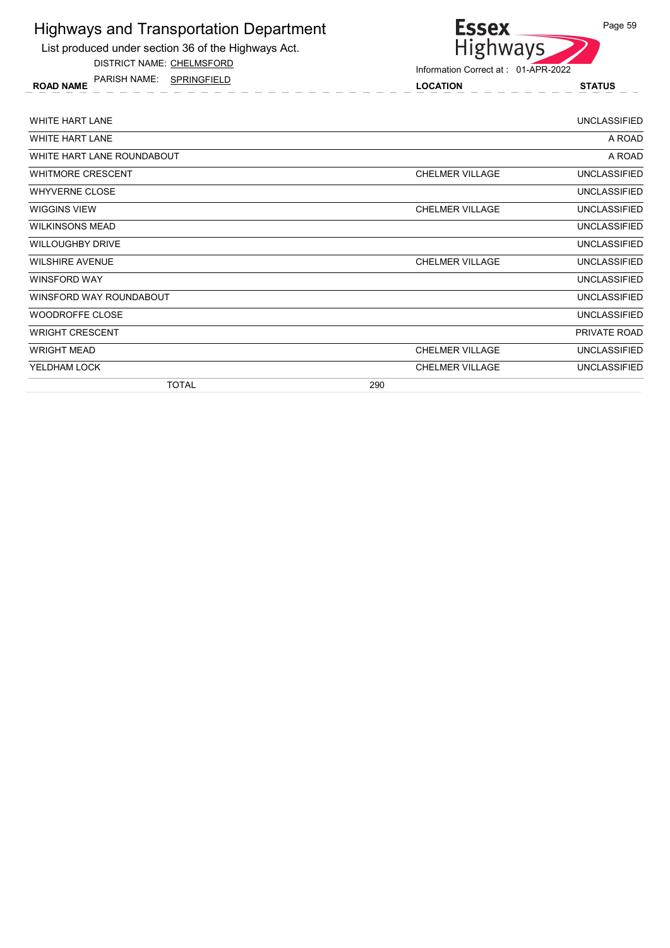List produced under section 36 of the Highways Act.

DISTRICT NAME: CHELMSFORD

ROAD NAME LOCATION STATUS PARISH NAME: SPRINGFIELD



| <b>WHITE HART LANE</b>     |                        | <b>UNCLASSIFIED</b> |
|----------------------------|------------------------|---------------------|
| <b>WHITE HART LANE</b>     |                        | A ROAD              |
| WHITE HART LANE ROUNDABOUT |                        | A ROAD              |
| WHITMORE CRESCENT          | <b>CHELMER VILLAGE</b> | <b>UNCLASSIFIED</b> |
| <b>WHYVERNE CLOSE</b>      |                        | UNCLASSIFIED        |
| WIGGINS VIEW               | <b>CHELMER VILLAGE</b> | <b>UNCLASSIFIED</b> |
| <b>WILKINSONS MEAD</b>     |                        | <b>UNCLASSIFIED</b> |
| <b>WILLOUGHBY DRIVE</b>    |                        | UNCLASSIFIED        |
| <b>WILSHIRE AVENUE</b>     | <b>CHELMER VILLAGE</b> | <b>UNCLASSIFIED</b> |
| WINSFORD WAY               |                        | <b>UNCLASSIFIED</b> |
| WINSFORD WAY ROUNDABOUT    |                        | <b>UNCLASSIFIED</b> |
| WOODROFFE CLOSE            |                        | <b>UNCLASSIFIED</b> |
| <b>WRIGHT CRESCENT</b>     |                        | PRIVATE ROAD        |
| <b>WRIGHT MEAD</b>         | <b>CHELMER VILLAGE</b> | <b>UNCLASSIFIED</b> |
| YELDHAM LOCK               | <b>CHELMER VILLAGE</b> | <b>UNCLASSIFIED</b> |
| TOTAL                      | 290                    |                     |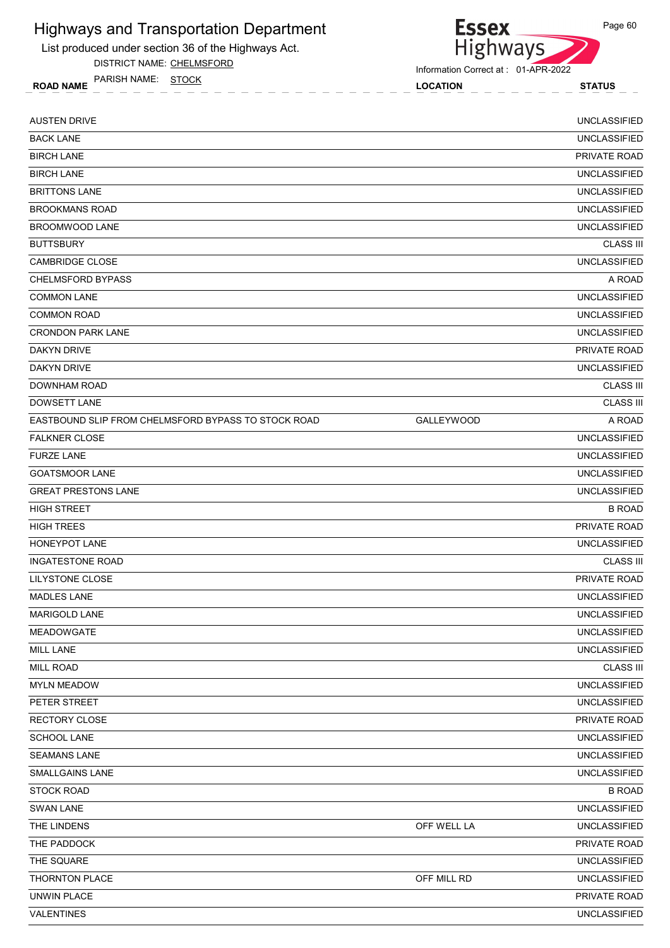

DISTRICT NAME: CHELMSFORD

PARISH NAME: STOCK



Information Correct at : 01-APR-2022

Page 60

ROAD NAME TANISH IVAIVIE. **STOCK** CONTROL CONTROL CONTROL CONTROL CONTROL CONTROL STATUS AUSTEN DRIVE UNCLASSIFIED BACK LANE UNCLASSIFIED BIRCH LANE PRIVATE ROAD BIRCH LANE UNCLASSIFIED BRITTONS LANE UNCLASSIFIED BROOKMANS ROAD UNCLASSIFIED BROOMWOOD LANE UNCLASSIFIED **BUTTSBURY** CLASS III CAMBRIDGE CLOSE UNCLASSIFIED CHELMSFORD BYPASS A ROAD CHELMSFORD BYPASS A ROAD CHELMSFORD BYPASS A ROAD CHELMSFORD BYPASS COMMON LANE UNCLASSIFIED COMMON ROAD UNCLASSIFIED CRONDON PARK LANE UNCLASSIFIED DAKYN DRIVE PRIVATE ROAD DAKYN DRIVE UNCLASSIFIED DOWNHAM ROAD CLASS III **DOWSETT LANE** CLASS III EASTBOUND SLIP FROM CHELMSFORD BYPASS TO STOCK ROAD GALLEYWOOD GALLEY OOD **FALKNER CLOSE** UNCLASSIFIED FURZE LANE UNCLASSIFIED GOATSMOOR LANE UNCLASSIFIED GREAT PRESTONS LANE UNCLASSIFIED HIGH STREET **Example 2008** ROAD CONTROL AND RESERVE AT A STREET AND RESERVE AT A STREET AND RESERVE AT A STREET HIGH TREES PRIVATE ROAD HONEYPOT LANE UNCLASSIFIED INGATESTONE ROAD CLASS III LILYSTONE CLOSE PRIVATE ROAD MADLES LANE UNCLASSIFIED MARIGOLD LANE UNCLASSIFIED MEADOWGATE UNCLASSIFIED MILL LANE UNCLASSIFIED MILL ROAD CLASS III MYLN MEADOW UNCLASSIFIED PETER STREET AND INTERNATIONAL SERVICES IN A SERVICE OF STREET AND INCLUSION ON THE STREET AND INCLUSION ON THE STREET RECTORY CLOSE PRIVATE ROAD AND RECTORY CLOSE PRIVATE ROAD AND RECTORY CLOSE PRIVATE ROAD AND RECTORY CLOSE PRIVATE ROAD SCHOOL LANE UNCLASSIFIED SEAMANS LANE UNCLASSIFIED SMALLGAINS LANE UNCLASSIFIED STOCK ROAD B ROAD B ROAD B ROAD B ROAD B ROAD B ROAD B ROAD B ROAD B ROAD B ROAD B ROAD B ROAD B ROAD B ROAD B SWAN LANE UNCLASSIFIED THE LINDENS UNCLASSIFIED CONTROLLER CONTROLLER THE LINDENS UNCLASSIFIED THE PADDOCK **EXECUTIVE PRIVATE ROAD** THE SQUARE **UNCLASSIFIED** THORNTON PLACE OFF MILL RD UNCLASSIFIED UNWIN PLACE PRIVATE ROAD

VALENTINES UNCLASSIFIED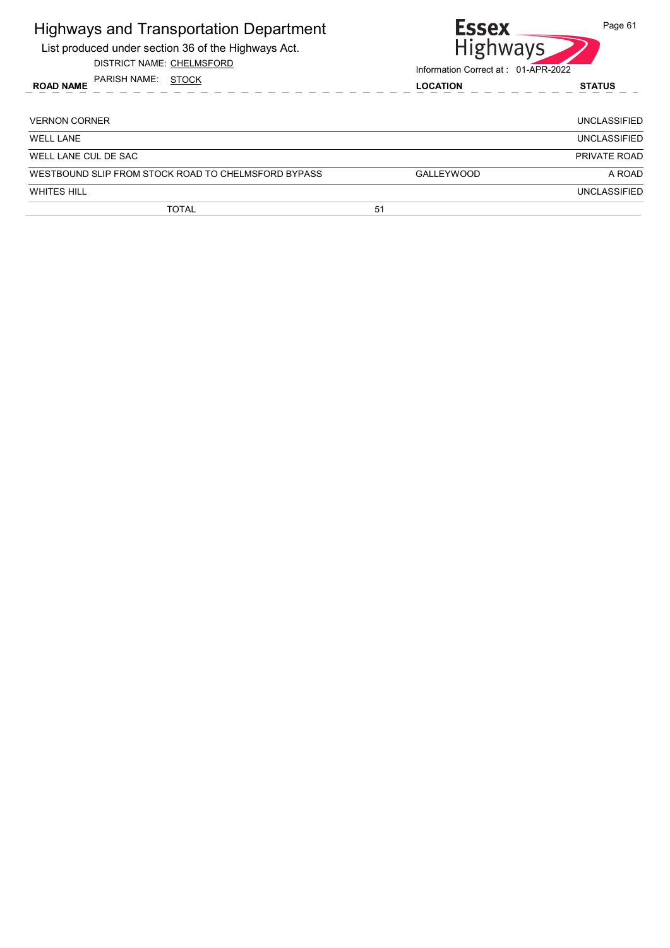| <b>Highways and Transportation Department</b><br>List produced under section 36 of the Highways Act.<br><b>DISTRICT NAME: CHELMSFORD</b> | <b>Essex</b>      | Page 61<br><b>Highways</b><br>Information Correct at: 01-APR-2022 |
|------------------------------------------------------------------------------------------------------------------------------------------|-------------------|-------------------------------------------------------------------|
| PARISH NAME:<br>STOCK<br><b>ROAD NAME</b>                                                                                                | <b>LOCATION</b>   | <b>STATUS</b>                                                     |
| <b>VERNON CORNER</b>                                                                                                                     |                   | <b>UNCLASSIFIED</b>                                               |
| <b>WELL LANE</b>                                                                                                                         |                   | <b>UNCLASSIFIED</b>                                               |
| WELL LANE CUL DE SAC                                                                                                                     |                   | PRIVATE ROAD                                                      |
| WESTBOUND SLIP FROM STOCK ROAD TO CHELMSFORD BYPASS                                                                                      | <b>GALLEYWOOD</b> | A ROAD                                                            |
| <b>WHITES HILL</b>                                                                                                                       |                   | <b>UNCLASSIFIED</b>                                               |
| <b>TOTAL</b>                                                                                                                             | 51                |                                                                   |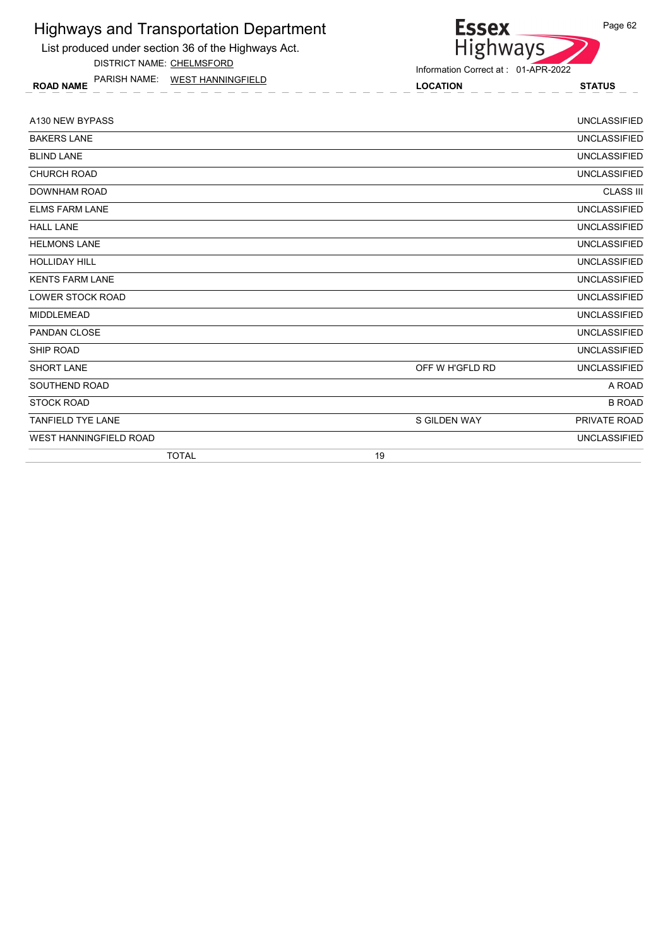

DISTRICT NAME: CHELMSFORD

ROAD NAME LOCATION STATUS PARISH NAME: WEST HANNINGFIELD



Information Correct at : 01-APR-2022

| A130 NEW BYPASS               |                 | <b>UNCLASSIFIED</b> |
|-------------------------------|-----------------|---------------------|
| <b>BAKERS LANE</b>            |                 | <b>UNCLASSIFIED</b> |
| <b>BLIND LANE</b>             |                 | <b>UNCLASSIFIED</b> |
| <b>CHURCH ROAD</b>            |                 | <b>UNCLASSIFIED</b> |
| <b>DOWNHAM ROAD</b>           |                 | <b>CLASS III</b>    |
| <b>ELMS FARM LANE</b>         |                 | <b>UNCLASSIFIED</b> |
| <b>HALL LANE</b>              |                 | <b>UNCLASSIFIED</b> |
| <b>HELMONS LANE</b>           |                 | <b>UNCLASSIFIED</b> |
| <b>HOLLIDAY HILL</b>          |                 | <b>UNCLASSIFIED</b> |
| <b>KENTS FARM LANE</b>        |                 | <b>UNCLASSIFIED</b> |
| <b>LOWER STOCK ROAD</b>       |                 | <b>UNCLASSIFIED</b> |
| <b>MIDDLEMEAD</b>             |                 | <b>UNCLASSIFIED</b> |
| <b>PANDAN CLOSE</b>           |                 | <b>UNCLASSIFIED</b> |
| SHIP ROAD                     |                 | <b>UNCLASSIFIED</b> |
| <b>SHORT LANE</b>             | OFF W H'GFLD RD | <b>UNCLASSIFIED</b> |
| SOUTHEND ROAD                 |                 | A ROAD              |
| <b>STOCK ROAD</b>             |                 | <b>B ROAD</b>       |
| <b>TANFIELD TYE LANE</b>      | S GILDEN WAY    | PRIVATE ROAD        |
| <b>WEST HANNINGFIELD ROAD</b> |                 | <b>UNCLASSIFIED</b> |
| <b>TOTAL</b>                  | 19              |                     |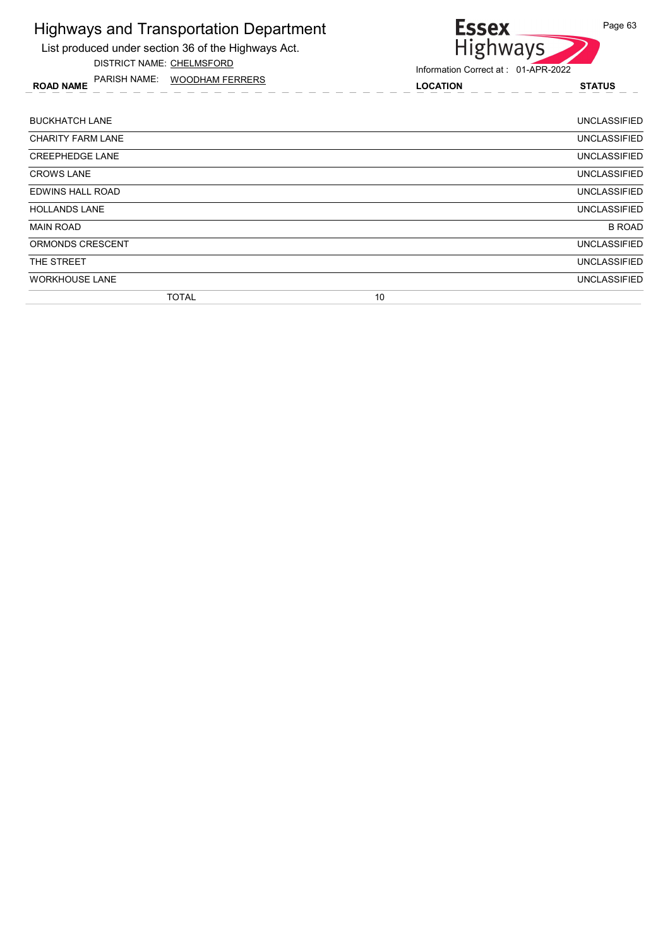List produced under section 36 of the Highways Act. DISTRICT NAME: CHELMSFORD

ROAD NAME LOCATION STATUS PARISH NAME: WOODHAM FERRERS



| <b>BUCKHATCH LANE</b>    |              |    | <b>UNCLASSIFIED</b> |
|--------------------------|--------------|----|---------------------|
| <b>CHARITY FARM LANE</b> |              |    | UNCLASSIFIED        |
| <b>CREEPHEDGE LANE</b>   |              |    | <b>UNCLASSIFIED</b> |
| <b>CROWS LANE</b>        |              |    | <b>UNCLASSIFIED</b> |
| EDWINS HALL ROAD         |              |    | <b>UNCLASSIFIED</b> |
| <b>HOLLANDS LANE</b>     |              |    | <b>UNCLASSIFIED</b> |
| <b>MAIN ROAD</b>         |              |    | <b>B ROAD</b>       |
| ORMONDS CRESCENT         |              |    | <b>UNCLASSIFIED</b> |
| THE STREET               |              |    | <b>UNCLASSIFIED</b> |
| <b>WORKHOUSE LANE</b>    |              |    | <b>UNCLASSIFIED</b> |
|                          | <b>TOTAL</b> | 10 |                     |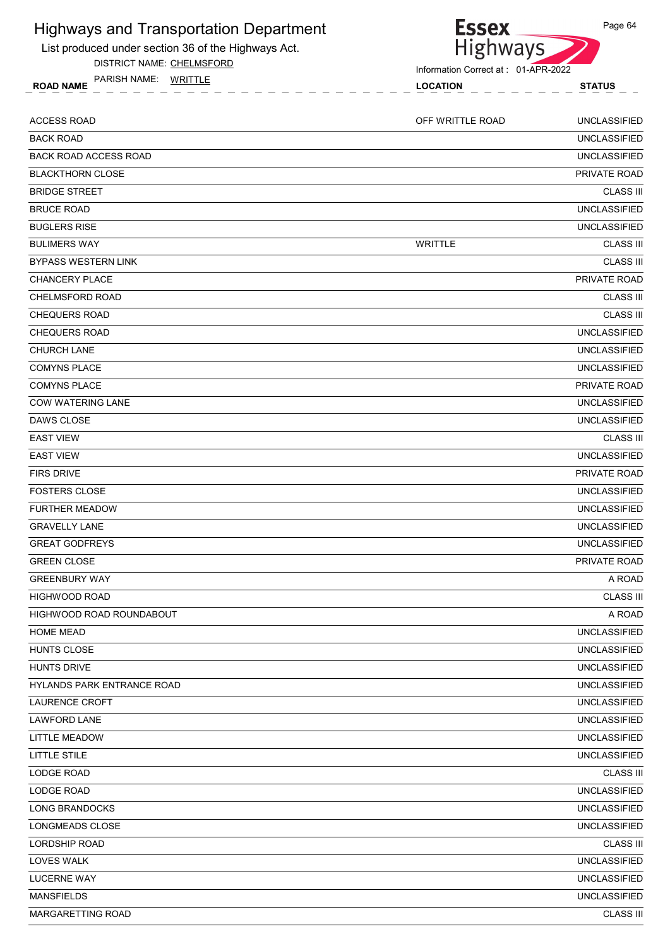

DISTRICT NAME: CHELMSFORD

ROAD NAME LOCATION STATUS PARISH NAME: WRITTLE



Information Correct at : 01-APR-2022

| <b>ACCESS ROAD</b>           | OFF WRITTLE ROAD | <b>UNCLASSIFIED</b> |
|------------------------------|------------------|---------------------|
| <b>BACK ROAD</b>             |                  | <b>UNCLASSIFIED</b> |
| <b>BACK ROAD ACCESS ROAD</b> |                  | <b>UNCLASSIFIED</b> |
| <b>BLACKTHORN CLOSE</b>      |                  | PRIVATE ROAD        |
| <b>BRIDGE STREET</b>         |                  | <b>CLASS III</b>    |
| <b>BRUCE ROAD</b>            |                  | <b>UNCLASSIFIED</b> |
| <b>BUGLERS RISE</b>          |                  | <b>UNCLASSIFIED</b> |
| <b>BULIMERS WAY</b>          | <b>WRITTLE</b>   | <b>CLASS III</b>    |
| <b>BYPASS WESTERN LINK</b>   |                  | <b>CLASS III</b>    |
| <b>CHANCERY PLACE</b>        |                  | PRIVATE ROAD        |
| <b>CHELMSFORD ROAD</b>       |                  | <b>CLASS III</b>    |
| <b>CHEQUERS ROAD</b>         |                  | <b>CLASS III</b>    |
| <b>CHEQUERS ROAD</b>         |                  | <b>UNCLASSIFIED</b> |
| <b>CHURCH LANE</b>           |                  | <b>UNCLASSIFIED</b> |
| <b>COMYNS PLACE</b>          |                  | <b>UNCLASSIFIED</b> |
| <b>COMYNS PLACE</b>          |                  | <b>PRIVATE ROAD</b> |
| <b>COW WATERING LANE</b>     |                  | <b>UNCLASSIFIED</b> |
| DAWS CLOSE                   |                  | <b>UNCLASSIFIED</b> |
| <b>EAST VIEW</b>             |                  | <b>CLASS III</b>    |
| <b>EAST VIEW</b>             |                  | <b>UNCLASSIFIED</b> |
| <b>FIRS DRIVE</b>            |                  | <b>PRIVATE ROAD</b> |
| <b>FOSTERS CLOSE</b>         |                  | <b>UNCLASSIFIED</b> |
| <b>FURTHER MEADOW</b>        |                  | <b>UNCLASSIFIED</b> |
| <b>GRAVELLY LANE</b>         |                  | <b>UNCLASSIFIED</b> |
| <b>GREAT GODFREYS</b>        |                  | <b>UNCLASSIFIED</b> |
| <b>GREEN CLOSE</b>           |                  | PRIVATE ROAD        |
| <b>GREENBURY WAY</b>         |                  | A ROAD              |
| <b>HIGHWOOD ROAD</b>         |                  | <b>CLASS III</b>    |
| HIGHWOOD ROAD ROUNDABOUT     |                  | A ROAD              |
| <b>HOME MEAD</b>             |                  | <b>UNCLASSIFIED</b> |
| HUNTS CLOSE                  |                  | <b>UNCLASSIFIED</b> |
| <b>HUNTS DRIVE</b>           |                  | <b>UNCLASSIFIED</b> |
| HYLANDS PARK ENTRANCE ROAD   |                  | <b>UNCLASSIFIED</b> |
| LAURENCE CROFT               |                  | <b>UNCLASSIFIED</b> |
| <b>LAWFORD LANE</b>          |                  | <b>UNCLASSIFIED</b> |
| <b>LITTLE MEADOW</b>         |                  | <b>UNCLASSIFIED</b> |
| LITTLE STILE                 |                  | <b>UNCLASSIFIED</b> |
| LODGE ROAD                   |                  | <b>CLASS III</b>    |
| LODGE ROAD                   |                  | <b>UNCLASSIFIED</b> |
| LONG BRANDOCKS               |                  | <b>UNCLASSIFIED</b> |
| LONGMEADS CLOSE              |                  | <b>UNCLASSIFIED</b> |
| LORDSHIP ROAD                |                  | <b>CLASS III</b>    |
| LOVES WALK                   |                  | <b>UNCLASSIFIED</b> |
| <b>LUCERNE WAY</b>           |                  | <b>UNCLASSIFIED</b> |
| <b>MANSFIELDS</b>            |                  | <b>UNCLASSIFIED</b> |
| MARGARETTING ROAD            |                  | <b>CLASS III</b>    |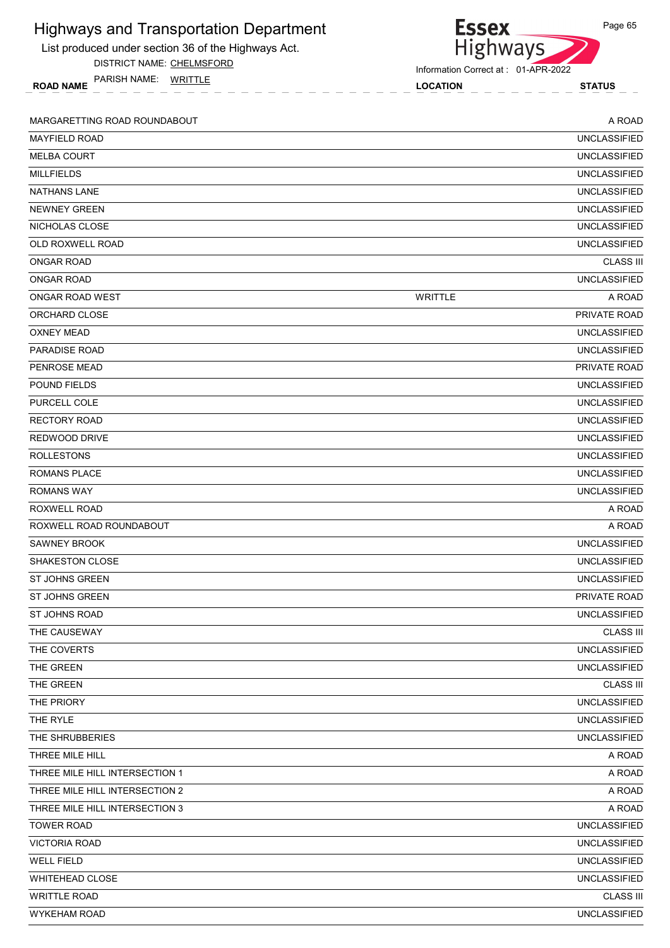| <b>Highways and Transportation Department</b>       | <b>Essex</b>                        | Page 65             |
|-----------------------------------------------------|-------------------------------------|---------------------|
| List produced under section 36 of the Highways Act. | Highways                            |                     |
| DISTRICT NAME: CHELMSFORD                           | Information Correct at: 01-APR-2022 |                     |
| PARISH NAME: WRITTLE<br><b>ROAD NAME</b>            | <b>LOCATION</b>                     | <b>STATUS</b>       |
| MARGARETTING ROAD ROUNDABOUT                        |                                     | A ROAD              |
| <b>MAYFIELD ROAD</b>                                |                                     | <b>UNCLASSIFIED</b> |
| <b>MELBA COURT</b>                                  |                                     | <b>UNCLASSIFIED</b> |
| <b>MILLFIELDS</b>                                   |                                     | <b>UNCLASSIFIED</b> |
| <b>NATHANS LANE</b>                                 |                                     | <b>UNCLASSIFIED</b> |
| <b>NEWNEY GREEN</b>                                 |                                     | <b>UNCLASSIFIED</b> |
| NICHOLAS CLOSE                                      |                                     | <b>UNCLASSIFIED</b> |
| OLD ROXWELL ROAD                                    |                                     | <b>UNCLASSIFIED</b> |
| <b>ONGAR ROAD</b>                                   |                                     | <b>CLASS III</b>    |
| <b>ONGAR ROAD</b>                                   |                                     | <b>UNCLASSIFIED</b> |
| ONGAR ROAD WEST                                     | <b>WRITTLE</b>                      | A ROAD              |
| ORCHARD CLOSE                                       |                                     | PRIVATE ROAD        |
| <b>OXNEY MEAD</b>                                   |                                     | <b>UNCLASSIFIED</b> |
| PARADISE ROAD                                       |                                     | <b>UNCLASSIFIED</b> |
| PENROSE MEAD                                        |                                     | PRIVATE ROAD        |
| POUND FIELDS                                        |                                     | <b>UNCLASSIFIED</b> |
| PURCELL COLE                                        |                                     | <b>UNCLASSIFIED</b> |
| <b>RECTORY ROAD</b>                                 |                                     | <b>UNCLASSIFIED</b> |
| REDWOOD DRIVE                                       |                                     | <b>UNCLASSIFIED</b> |
| <b>ROLLESTONS</b>                                   |                                     | <b>UNCLASSIFIED</b> |
| <b>ROMANS PLACE</b>                                 |                                     | <b>UNCLASSIFIED</b> |
| <b>ROMANS WAY</b>                                   |                                     | <b>UNCLASSIFIED</b> |
| ROXWELL ROAD                                        |                                     | A ROAD              |
| ROXWELL ROAD ROUNDABOUT                             |                                     | A ROAD              |
| <b>SAWNEY BROOK</b>                                 |                                     | <b>UNCLASSIFIED</b> |
| <b>SHAKESTON CLOSE</b>                              |                                     | <b>UNCLASSIFIED</b> |
| ST JOHNS GREEN                                      |                                     | <b>UNCLASSIFIED</b> |
| <b>ST JOHNS GREEN</b>                               |                                     | PRIVATE ROAD        |
| ST JOHNS ROAD                                       |                                     | <b>UNCLASSIFIED</b> |
| THE CAUSEWAY                                        |                                     | <b>CLASS III</b>    |
| THE COVERTS                                         |                                     | <b>UNCLASSIFIED</b> |
| THE GREEN                                           |                                     | <b>UNCLASSIFIED</b> |
| THE GREEN                                           |                                     | <b>CLASS III</b>    |
| THE PRIORY                                          |                                     | <b>UNCLASSIFIED</b> |
| THE RYLE                                            |                                     | <b>UNCLASSIFIED</b> |
| THE SHRUBBERIES                                     |                                     | <b>UNCLASSIFIED</b> |
| THREE MILE HILL                                     |                                     | A ROAD              |
| THREE MILE HILL INTERSECTION 1                      |                                     | A ROAD              |
| THREE MILE HILL INTERSECTION 2                      |                                     | A ROAD              |
| THREE MILE HILL INTERSECTION 3                      |                                     | A ROAD              |
| <b>TOWER ROAD</b>                                   |                                     | <b>UNCLASSIFIED</b> |
| <b>VICTORIA ROAD</b>                                |                                     | <b>UNCLASSIFIED</b> |
| <b>WELL FIELD</b>                                   |                                     | <b>UNCLASSIFIED</b> |
| <b>WHITEHEAD CLOSE</b>                              |                                     | <b>UNCLASSIFIED</b> |
| <b>WRITTLE ROAD</b>                                 |                                     | <b>CLASS III</b>    |
| <b>WYKEHAM ROAD</b>                                 |                                     | <b>UNCLASSIFIED</b> |